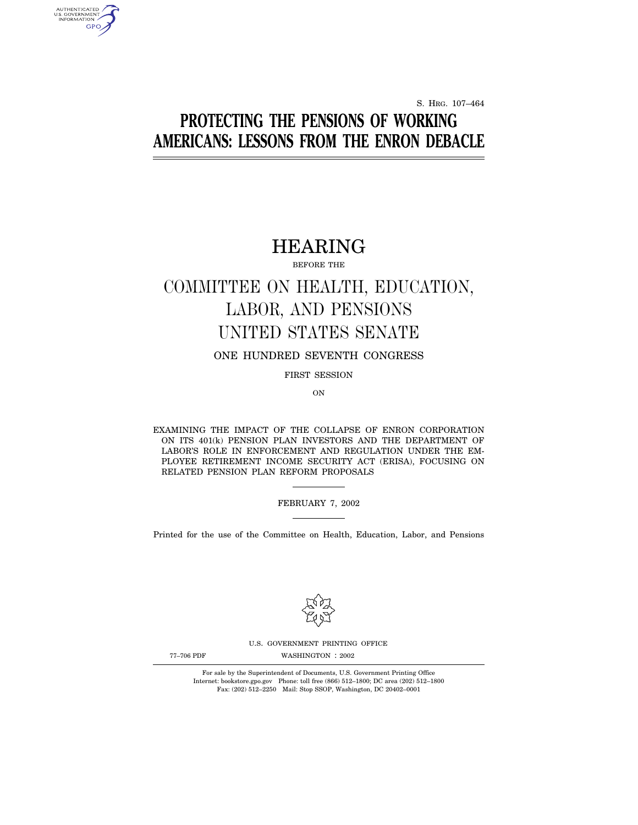S. HRG. 107–464

# **PROTECTING THE PENSIONS OF WORKING AMERICANS: LESSONS FROM THE ENRON DEBACLE**

# HEARING

BEFORE THE

# COMMITTEE ON HEALTH, EDUCATION, LABOR, AND PENSIONS UNITED STATES SENATE

## ONE HUNDRED SEVENTH CONGRESS

FIRST SESSION

ON

EXAMINING THE IMPACT OF THE COLLAPSE OF ENRON CORPORATION ON ITS 401(k) PENSION PLAN INVESTORS AND THE DEPARTMENT OF LABOR'S ROLE IN ENFORCEMENT AND REGULATION UNDER THE EM-PLOYEE RETIREMENT INCOME SECURITY ACT (ERISA), FOCUSING ON RELATED PENSION PLAN REFORM PROPOSALS

FEBRUARY 7, 2002

Printed for the use of the Committee on Health, Education, Labor, and Pensions



U.S. GOVERNMENT PRINTING OFFICE

AUTHENTICATED<br>U.S. GOVERNMENT<br>INFORMATION **GPO** 

77-706 PDF WASHINGTON : 2002

For sale by the Superintendent of Documents, U.S. Government Printing Office Internet: bookstore.gpo.gov Phone: toll free (866) 512–1800; DC area (202) 512–1800 Fax: (202) 512–2250 Mail: Stop SSOP, Washington, DC 20402–0001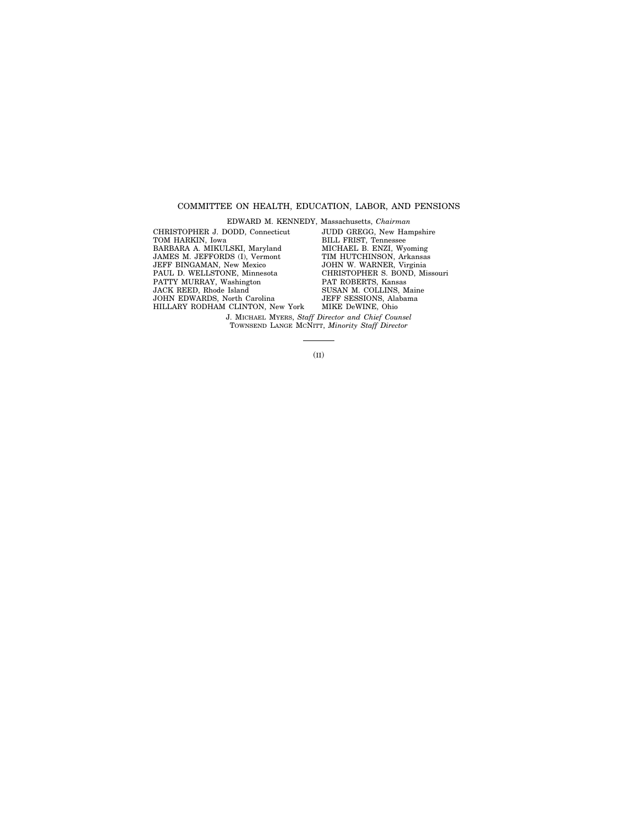### COMMITTEE ON HEALTH, EDUCATION, LABOR, AND PENSIONS

EDWARD M. KENNEDY, Massachusetts, *Chairman* CHRISTOPHER J. DODD, Connecticut TOM HARKIN, Iowa BARBARA A. MIKULSKI, Maryland JAMES M. JEFFORDS (I), Vermont JEFF BINGAMAN, New Mexico PAUL D. WELLSTONE, Minnesota PATTY MURRAY, Washington JACK REED, Rhode Island JOHN EDWARDS, North Carolina HILLARY RODHAM CLINTON, New York JUDD GREGG, New Hampshire BILL FRIST, Tennessee MICHAEL B. ENZI, Wyoming TIM HUTCHINSON, Arkansas JOHN W. WARNER, Virginia CHRISTOPHER S. BOND, Missouri PAT ROBERTS, Kansas SUSAN M. COLLINS, Maine JEFF SESSIONS, Alabama MIKE DeWINE, Ohio J. MICHAEL MYERS, *Staff Director and Chief Counsel*

TOWNSEND LANGE MCNITT, *Minority Staff Director*

(II)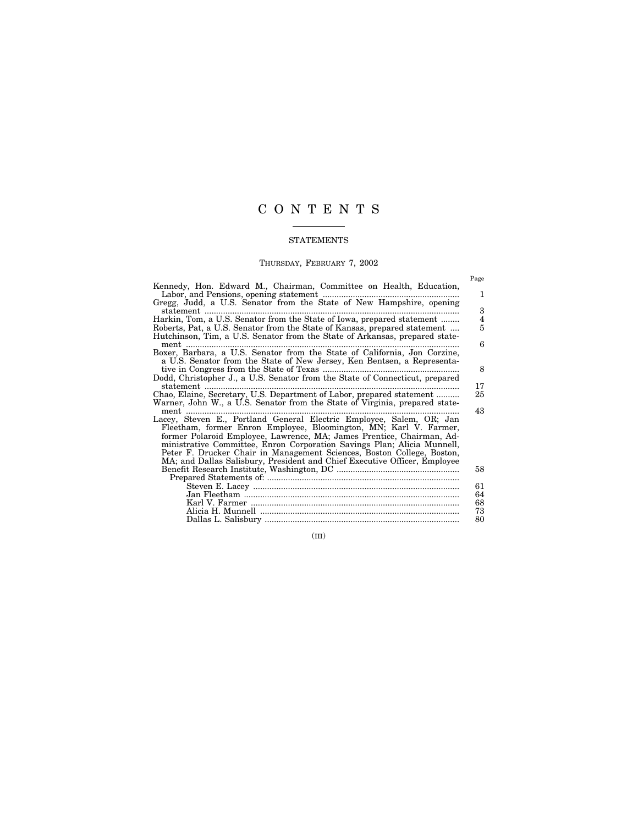# CONTENTS

#### **STATEMENTS**

#### THURSDAY, FEBRUARY 7, 2002

Page

Kennedy, Hon. Edward M., Chairman, Committee on Health, Education, Labor, and Pensions, opening statement ........................................................... 1 Gregg, Judd, a U.S. Senator from the State of New Hampshire, opening statement .............................................................................................................. 3 Harkin, Tom, a U.S. Senator from the State of Iowa, prepared statement ........ 4 Roberts, Pat, a U.S. Senator from the State of Kansas, prepared statement .... 5 Hutchinson, Tim, a U.S. Senator from the State of Arkansas, prepared statement ...................................................................................................................... 6 Boxer, Barbara, a U.S. Senator from the State of California, Jon Corzine, a U.S. Senator from the State of New Jersey, Ken Bentsen, a Representative in Congress from the State of Texas ........................................................... 8 Dodd, Christopher J., a U.S. Senator from the State of Connecticut, prepared statement .............................................................................................................. 17 Chao, Elaine, Secretary, U.S. Department of Labor, prepared statement .......... 25 Warner, John W., a U.S. Senator from the State of Virginia, prepared statement ...................................................................................................................... 43 Lacey, Steven E., Portland General Electric Employee, Salem, OR; Jan Fleetham, former Enron Employee, Bloomington, MN; Karl V. Farmer, former Polaroid Employee, Lawrence, MA; James Prentice, Chairman, Administrative Committee, Enron Corporation Savings Plan; Alicia Munnell, Peter F. Drucker Chair in Management Sciences, Boston College, Boston, MA; and Dallas Salisbury, President and Chief Executive Officer, Employee Benefit Research Institute, Washington, DC ..................................................... 58 Prepared Statements of: ................................................................................... Steven E. Lacey ......................................................................................... 61 Jan Fleetham ............................................................................................. 64 Karl V. Farmer .......................................................................................... 68 Alicia H. Munnell ...................................................................................... 73 Dallas L. Salisbury .................................................................................... 80

(III)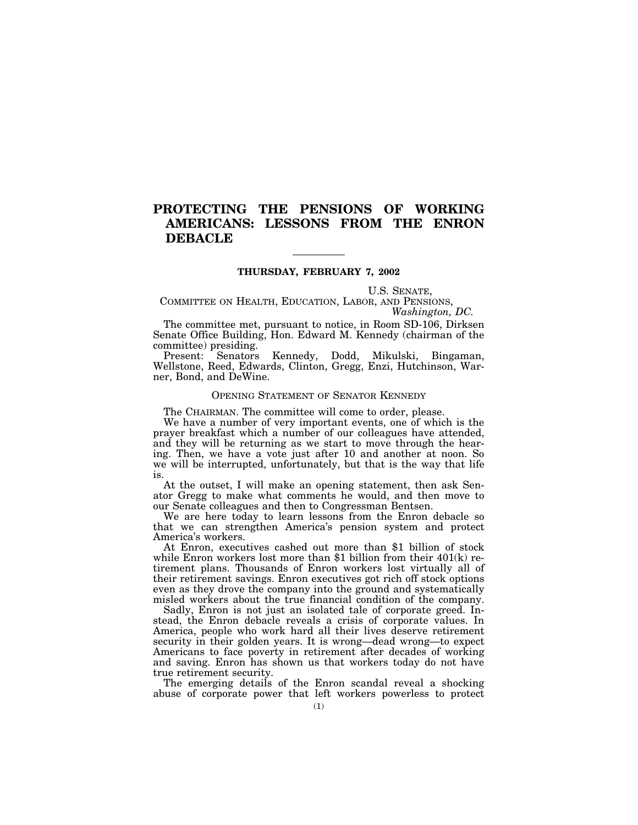# **PROTECTING THE PENSIONS OF WORKING AMERICANS: LESSONS FROM THE ENRON DEBACLE**

#### **THURSDAY, FEBRUARY 7, 2002**

U.S. SENATE,

COMMITTEE ON HEALTH, EDUCATION, LABOR, AND PENSIONS, *Washington, DC.*

The committee met, pursuant to notice, in Room SD-106, Dirksen Senate Office Building, Hon. Edward M. Kennedy (chairman of the committee) presiding.

Present: Senators Kennedy, Dodd, Mikulski, Bingaman, Wellstone, Reed, Edwards, Clinton, Gregg, Enzi, Hutchinson, Warner, Bond, and DeWine.

#### OPENING STATEMENT OF SENATOR KENNEDY

The CHAIRMAN. The committee will come to order, please.

We have a number of very important events, one of which is the prayer breakfast which a number of our colleagues have attended, and they will be returning as we start to move through the hearing. Then, we have a vote just after 10 and another at noon. So we will be interrupted, unfortunately, but that is the way that life is.

At the outset, I will make an opening statement, then ask Senator Gregg to make what comments he would, and then move to our Senate colleagues and then to Congressman Bentsen.

We are here today to learn lessons from the Enron debacle so that we can strengthen America's pension system and protect America's workers.

At Enron, executives cashed out more than \$1 billion of stock while Enron workers lost more than \$1 billion from their 401(k) retirement plans. Thousands of Enron workers lost virtually all of their retirement savings. Enron executives got rich off stock options even as they drove the company into the ground and systematically misled workers about the true financial condition of the company.

Sadly, Enron is not just an isolated tale of corporate greed. Instead, the Enron debacle reveals a crisis of corporate values. In America, people who work hard all their lives deserve retirement security in their golden years. It is wrong—dead wrong—to expect Americans to face poverty in retirement after decades of working and saving. Enron has shown us that workers today do not have true retirement security.

The emerging details of the Enron scandal reveal a shocking abuse of corporate power that left workers powerless to protect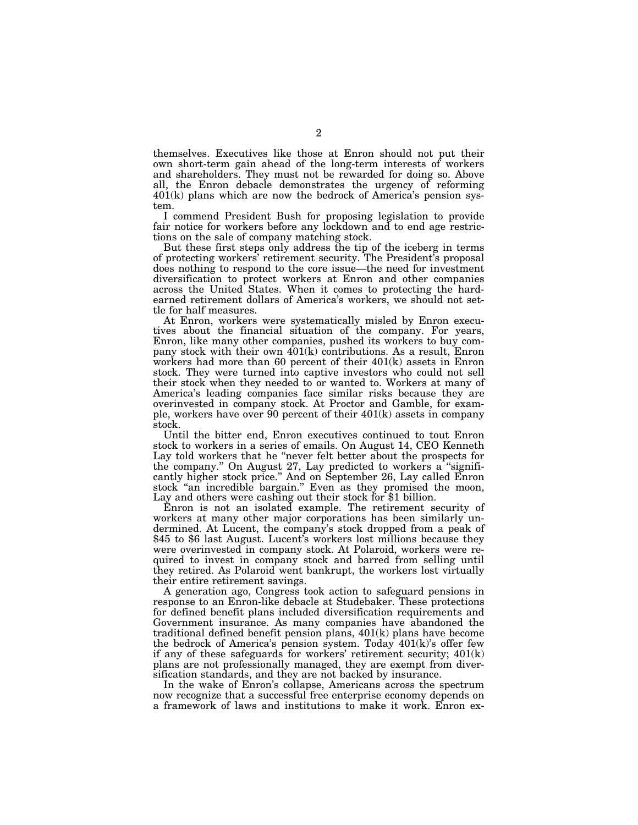themselves. Executives like those at Enron should not put their own short-term gain ahead of the long-term interests of workers and shareholders. They must not be rewarded for doing so. Above all, the Enron debacle demonstrates the urgency of reforming 401(k) plans which are now the bedrock of America's pension system.

I commend President Bush for proposing legislation to provide fair notice for workers before any lockdown and to end age restrictions on the sale of company matching stock.

But these first steps only address the tip of the iceberg in terms of protecting workers' retirement security. The President's proposal does nothing to respond to the core issue—the need for investment diversification to protect workers at Enron and other companies across the United States. When it comes to protecting the hardearned retirement dollars of America's workers, we should not settle for half measures.

At Enron, workers were systematically misled by Enron executives about the financial situation of the company. For years, Enron, like many other companies, pushed its workers to buy company stock with their own 401(k) contributions. As a result, Enron workers had more than 60 percent of their 401(k) assets in Enron stock. They were turned into captive investors who could not sell their stock when they needed to or wanted to. Workers at many of America's leading companies face similar risks because they are overinvested in company stock. At Proctor and Gamble, for example, workers have over 90 percent of their 401(k) assets in company stock.

Until the bitter end, Enron executives continued to tout Enron stock to workers in a series of emails. On August 14, CEO Kenneth Lay told workers that he "never felt better about the prospects for the company.'' On August 27, Lay predicted to workers a ''significantly higher stock price.'' And on September 26, Lay called Enron stock ''an incredible bargain.'' Even as they promised the moon, Lay and others were cashing out their stock for \$1 billion.

Enron is not an isolated example. The retirement security of workers at many other major corporations has been similarly undermined. At Lucent, the company's stock dropped from a peak of \$45 to \$6 last August. Lucent's workers lost millions because they were overinvested in company stock. At Polaroid, workers were required to invest in company stock and barred from selling until they retired. As Polaroid went bankrupt, the workers lost virtually their entire retirement savings.

A generation ago, Congress took action to safeguard pensions in response to an Enron-like debacle at Studebaker. These protections for defined benefit plans included diversification requirements and Government insurance. As many companies have abandoned the traditional defined benefit pension plans, 401(k) plans have become the bedrock of America's pension system. Today 401(k)'s offer few if any of these safeguards for workers' retirement security; 401(k) plans are not professionally managed, they are exempt from diversification standards, and they are not backed by insurance.

In the wake of Enron's collapse, Americans across the spectrum now recognize that a successful free enterprise economy depends on a framework of laws and institutions to make it work. Enron ex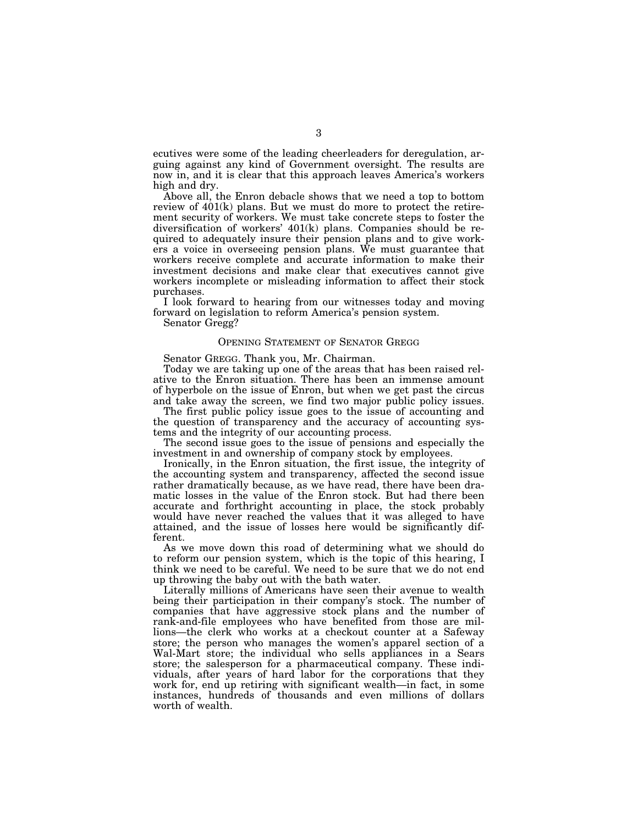ecutives were some of the leading cheerleaders for deregulation, arguing against any kind of Government oversight. The results are now in, and it is clear that this approach leaves America's workers high and dry.

Above all, the Enron debacle shows that we need a top to bottom review of 401(k) plans. But we must do more to protect the retirement security of workers. We must take concrete steps to foster the diversification of workers' 401(k) plans. Companies should be required to adequately insure their pension plans and to give workers a voice in overseeing pension plans. We must guarantee that workers receive complete and accurate information to make their investment decisions and make clear that executives cannot give workers incomplete or misleading information to affect their stock purchases.

I look forward to hearing from our witnesses today and moving forward on legislation to reform America's pension system.

Senator Gregg?

#### OPENING STATEMENT OF SENATOR GREGG

Senator GREGG. Thank you, Mr. Chairman.

Today we are taking up one of the areas that has been raised relative to the Enron situation. There has been an immense amount of hyperbole on the issue of Enron, but when we get past the circus and take away the screen, we find two major public policy issues.

The first public policy issue goes to the issue of accounting and the question of transparency and the accuracy of accounting systems and the integrity of our accounting process.

The second issue goes to the issue of pensions and especially the investment in and ownership of company stock by employees.

Ironically, in the Enron situation, the first issue, the integrity of the accounting system and transparency, affected the second issue rather dramatically because, as we have read, there have been dramatic losses in the value of the Enron stock. But had there been accurate and forthright accounting in place, the stock probably would have never reached the values that it was alleged to have attained, and the issue of losses here would be significantly different.

As we move down this road of determining what we should do to reform our pension system, which is the topic of this hearing, I think we need to be careful. We need to be sure that we do not end up throwing the baby out with the bath water.

Literally millions of Americans have seen their avenue to wealth being their participation in their company's stock. The number of companies that have aggressive stock plans and the number of rank-and-file employees who have benefited from those are millions—the clerk who works at a checkout counter at a Safeway store; the person who manages the women's apparel section of a Wal-Mart store; the individual who sells appliances in a Sears store; the salesperson for a pharmaceutical company. These individuals, after years of hard labor for the corporations that they work for, end up retiring with significant wealth—in fact, in some instances, hundreds of thousands and even millions of dollars worth of wealth.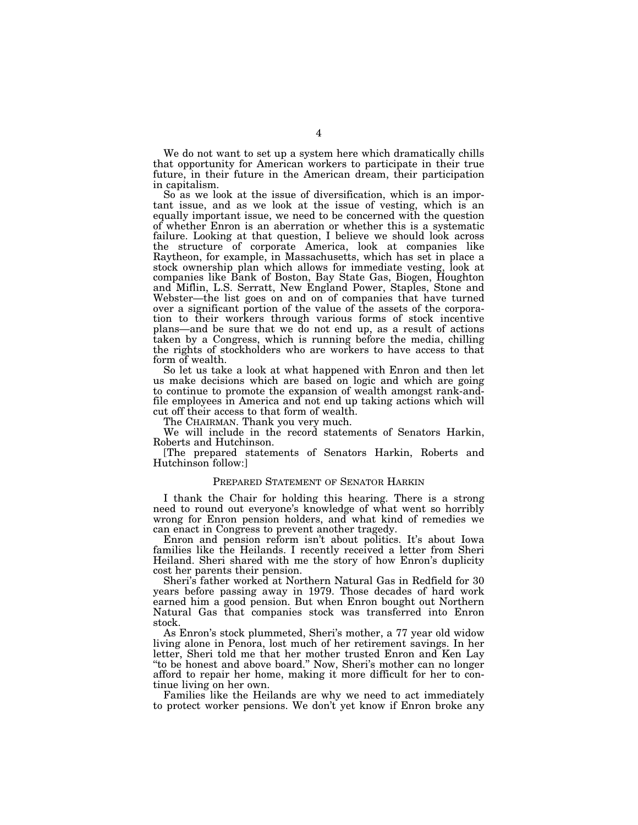We do not want to set up a system here which dramatically chills that opportunity for American workers to participate in their true future, in their future in the American dream, their participation in capitalism.

So as we look at the issue of diversification, which is an important issue, and as we look at the issue of vesting, which is an equally important issue, we need to be concerned with the question of whether Enron is an aberration or whether this is a systematic failure. Looking at that question, I believe we should look across the structure of corporate America, look at companies like Raytheon, for example, in Massachusetts, which has set in place a stock ownership plan which allows for immediate vesting, look at companies like Bank of Boston, Bay State Gas, Biogen, Houghton and Miflin, L.S. Serratt, New England Power, Staples, Stone and Webster—the list goes on and on of companies that have turned over a significant portion of the value of the assets of the corporation to their workers through various forms of stock incentive plans—and be sure that we do not end up, as a result of actions taken by a Congress, which is running before the media, chilling the rights of stockholders who are workers to have access to that form of wealth.

So let us take a look at what happened with Enron and then let us make decisions which are based on logic and which are going to continue to promote the expansion of wealth amongst rank-andfile employees in America and not end up taking actions which will cut off their access to that form of wealth.

The CHAIRMAN. Thank you very much.

We will include in the record statements of Senators Harkin, Roberts and Hutchinson.

[The prepared statements of Senators Harkin, Roberts and Hutchinson follow:]

#### PREPARED STATEMENT OF SENATOR HARKIN

I thank the Chair for holding this hearing. There is a strong need to round out everyone's knowledge of what went so horribly wrong for Enron pension holders, and what kind of remedies we can enact in Congress to prevent another tragedy.

Enron and pension reform isn't about politics. It's about Iowa families like the Heilands. I recently received a letter from Sheri Heiland. Sheri shared with me the story of how Enron's duplicity cost her parents their pension.

Sheri's father worked at Northern Natural Gas in Redfield for 30 years before passing away in 1979. Those decades of hard work earned him a good pension. But when Enron bought out Northern Natural Gas that companies stock was transferred into Enron stock.

As Enron's stock plummeted, Sheri's mother, a 77 year old widow living alone in Penora, lost much of her retirement savings. In her letter, Sheri told me that her mother trusted Enron and Ken Lay "to be honest and above board." Now, Sheri's mother can no longer afford to repair her home, making it more difficult for her to continue living on her own.

Families like the Heilands are why we need to act immediately to protect worker pensions. We don't yet know if Enron broke any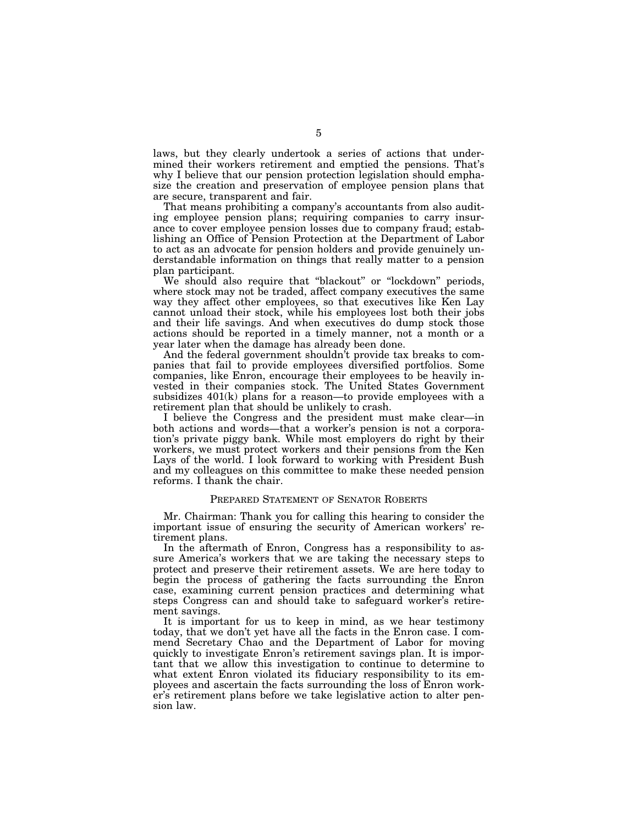laws, but they clearly undertook a series of actions that undermined their workers retirement and emptied the pensions. That's why I believe that our pension protection legislation should emphasize the creation and preservation of employee pension plans that are secure, transparent and fair.

That means prohibiting a company's accountants from also auditing employee pension plans; requiring companies to carry insurance to cover employee pension losses due to company fraud; establishing an Office of Pension Protection at the Department of Labor to act as an advocate for pension holders and provide genuinely understandable information on things that really matter to a pension plan participant.

We should also require that "blackout" or "lockdown" periods, where stock may not be traded, affect company executives the same way they affect other employees, so that executives like Ken Lay cannot unload their stock, while his employees lost both their jobs and their life savings. And when executives do dump stock those actions should be reported in a timely manner, not a month or a year later when the damage has already been done.

And the federal government shouldn't provide tax breaks to companies that fail to provide employees diversified portfolios. Some companies, like Enron, encourage their employees to be heavily invested in their companies stock. The United States Government subsidizes  $401(k)$  plans for a reason—to provide employees with a retirement plan that should be unlikely to crash.

I believe the Congress and the president must make clear—in both actions and words—that a worker's pension is not a corporation's private piggy bank. While most employers do right by their workers, we must protect workers and their pensions from the Ken Lays of the world. I look forward to working with President Bush and my colleagues on this committee to make these needed pension reforms. I thank the chair.

#### PREPARED STATEMENT OF SENATOR ROBERTS

Mr. Chairman: Thank you for calling this hearing to consider the important issue of ensuring the security of American workers' retirement plans.

In the aftermath of Enron, Congress has a responsibility to assure America's workers that we are taking the necessary steps to protect and preserve their retirement assets. We are here today to begin the process of gathering the facts surrounding the Enron case, examining current pension practices and determining what steps Congress can and should take to safeguard worker's retirement savings.

It is important for us to keep in mind, as we hear testimony today, that we don't yet have all the facts in the Enron case. I commend Secretary Chao and the Department of Labor for moving quickly to investigate Enron's retirement savings plan. It is important that we allow this investigation to continue to determine to what extent Enron violated its fiduciary responsibility to its employees and ascertain the facts surrounding the loss of Enron worker's retirement plans before we take legislative action to alter pension law.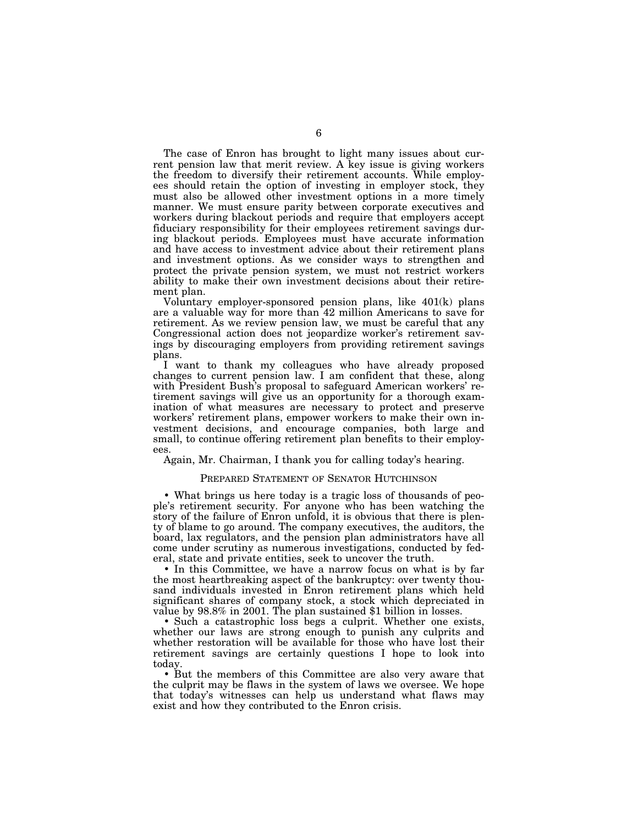The case of Enron has brought to light many issues about current pension law that merit review. A key issue is giving workers the freedom to diversify their retirement accounts. While employees should retain the option of investing in employer stock, they must also be allowed other investment options in a more timely manner. We must ensure parity between corporate executives and workers during blackout periods and require that employers accept fiduciary responsibility for their employees retirement savings during blackout periods. Employees must have accurate information and have access to investment advice about their retirement plans and investment options. As we consider ways to strengthen and protect the private pension system, we must not restrict workers ability to make their own investment decisions about their retirement plan.

Voluntary employer-sponsored pension plans, like 401(k) plans are a valuable way for more than 42 million Americans to save for retirement. As we review pension law, we must be careful that any Congressional action does not jeopardize worker's retirement savings by discouraging employers from providing retirement savings plans.

I want to thank my colleagues who have already proposed changes to current pension law. I am confident that these, along with President Bush's proposal to safeguard American workers' retirement savings will give us an opportunity for a thorough examination of what measures are necessary to protect and preserve workers' retirement plans, empower workers to make their own investment decisions, and encourage companies, both large and small, to continue offering retirement plan benefits to their employees.

Again, Mr. Chairman, I thank you for calling today's hearing.

#### PREPARED STATEMENT OF SENATOR HUTCHINSON

• What brings us here today is a tragic loss of thousands of people's retirement security. For anyone who has been watching the story of the failure of Enron unfold, it is obvious that there is plenty of blame to go around. The company executives, the auditors, the board, lax regulators, and the pension plan administrators have all come under scrutiny as numerous investigations, conducted by federal, state and private entities, seek to uncover the truth.

• In this Committee, we have a narrow focus on what is by far the most heartbreaking aspect of the bankruptcy: over twenty thousand individuals invested in Enron retirement plans which held significant shares of company stock, a stock which depreciated in value by 98.8% in 2001. The plan sustained \$1 billion in losses.

• Such a catastrophic loss begs a culprit. Whether one exists, whether our laws are strong enough to punish any culprits and whether restoration will be available for those who have lost their retirement savings are certainly questions I hope to look into today.

• But the members of this Committee are also very aware that the culprit may be flaws in the system of laws we oversee. We hope that today's witnesses can help us understand what flaws may exist and how they contributed to the Enron crisis.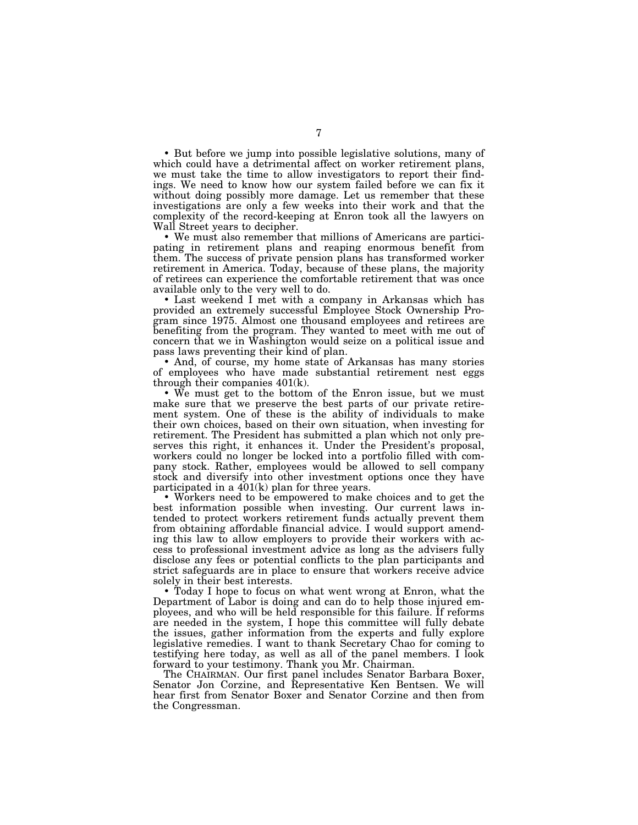• But before we jump into possible legislative solutions, many of which could have a detrimental affect on worker retirement plans, we must take the time to allow investigators to report their findings. We need to know how our system failed before we can fix it without doing possibly more damage. Let us remember that these investigations are only a few weeks into their work and that the complexity of the record-keeping at Enron took all the lawyers on Wall Street years to decipher.

• We must also remember that millions of Americans are participating in retirement plans and reaping enormous benefit from them. The success of private pension plans has transformed worker retirement in America. Today, because of these plans, the majority of retirees can experience the comfortable retirement that was once available only to the very well to do.

• Last weekend I met with a company in Arkansas which has provided an extremely successful Employee Stock Ownership Program since 1975. Almost one thousand employees and retirees are benefiting from the program. They wanted to meet with me out of concern that we in Washington would seize on a political issue and pass laws preventing their kind of plan.

• And, of course, my home state of Arkansas has many stories of employees who have made substantial retirement nest eggs through their companies 401(k).

• We must get to the bottom of the Enron issue, but we must make sure that we preserve the best parts of our private retirement system. One of these is the ability of individuals to make their own choices, based on their own situation, when investing for retirement. The President has submitted a plan which not only preserves this right, it enhances it. Under the President's proposal, workers could no longer be locked into a portfolio filled with company stock. Rather, employees would be allowed to sell company stock and diversify into other investment options once they have participated in a 401(k) plan for three years.

• Workers need to be empowered to make choices and to get the best information possible when investing. Our current laws intended to protect workers retirement funds actually prevent them from obtaining affordable financial advice. I would support amending this law to allow employers to provide their workers with access to professional investment advice as long as the advisers fully disclose any fees or potential conflicts to the plan participants and strict safeguards are in place to ensure that workers receive advice solely in their best interests.

• Today I hope to focus on what went wrong at Enron, what the Department of Labor is doing and can do to help those injured employees, and who will be held responsible for this failure. If reforms are needed in the system, I hope this committee will fully debate the issues, gather information from the experts and fully explore legislative remedies. I want to thank Secretary Chao for coming to testifying here today, as well as all of the panel members. I look forward to your testimony. Thank you Mr. Chairman.

The CHAIRMAN. Our first panel includes Senator Barbara Boxer, Senator Jon Corzine, and Representative Ken Bentsen. We will hear first from Senator Boxer and Senator Corzine and then from the Congressman.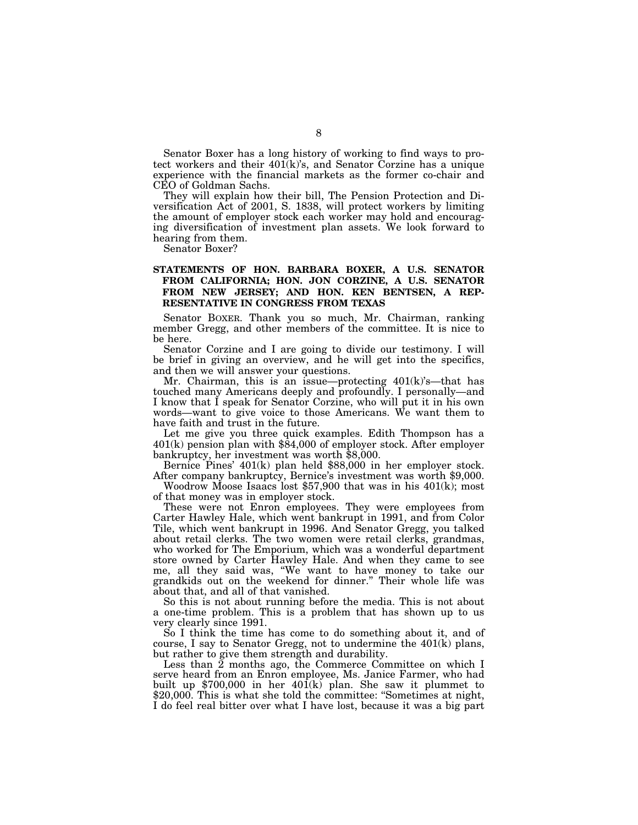Senator Boxer has a long history of working to find ways to protect workers and their  $401(k)$ 's, and Senator Corzine has a unique experience with the financial markets as the former co-chair and CEO of Goldman Sachs.

They will explain how their bill, The Pension Protection and Diversification Act of 2001, S. 1838, will protect workers by limiting the amount of employer stock each worker may hold and encouraging diversification of investment plan assets. We look forward to hearing from them.

Senator Boxer?

### **STATEMENTS OF HON. BARBARA BOXER, A U.S. SENATOR FROM CALIFORNIA; HON. JON CORZINE, A U.S. SENATOR FROM NEW JERSEY; AND HON. KEN BENTSEN, A REP-RESENTATIVE IN CONGRESS FROM TEXAS**

Senator BOXER. Thank you so much, Mr. Chairman, ranking member Gregg, and other members of the committee. It is nice to be here.

Senator Corzine and I are going to divide our testimony. I will be brief in giving an overview, and he will get into the specifics, and then we will answer your questions.

Mr. Chairman, this is an issue—protecting 401(k)'s—that has touched many Americans deeply and profoundly. I personally—and I know that I speak for Senator Corzine, who will put it in his own words—want to give voice to those Americans. We want them to have faith and trust in the future.

Let me give you three quick examples. Edith Thompson has a 401(k) pension plan with \$84,000 of employer stock. After employer bankruptcy, her investment was worth \$8,000.

Bernice Pines' 401(k) plan held \$88,000 in her employer stock. After company bankruptcy, Bernice's investment was worth \$9,000.

Woodrow Moose Isaacs lost \$57,900 that was in his 401(k); most of that money was in employer stock.

These were not Enron employees. They were employees from Carter Hawley Hale, which went bankrupt in 1991, and from Color Tile, which went bankrupt in 1996. And Senator Gregg, you talked about retail clerks. The two women were retail clerks, grandmas, who worked for The Emporium, which was a wonderful department store owned by Carter Hawley Hale. And when they came to see me, all they said was, ''We want to have money to take our grandkids out on the weekend for dinner.'' Their whole life was about that, and all of that vanished.

So this is not about running before the media. This is not about a one-time problem. This is a problem that has shown up to us very clearly since 1991.

So I think the time has come to do something about it, and of course, I say to Senator Gregg, not to undermine the 401(k) plans, but rather to give them strength and durability.

Less than 2 months ago, the Commerce Committee on which I serve heard from an Enron employee, Ms. Janice Farmer, who had built up  $$700,000$  in her  $40\overline{1}$ (k) plan. She saw it plummet to \$20,000. This is what she told the committee: "Sometimes at night, I do feel real bitter over what I have lost, because it was a big part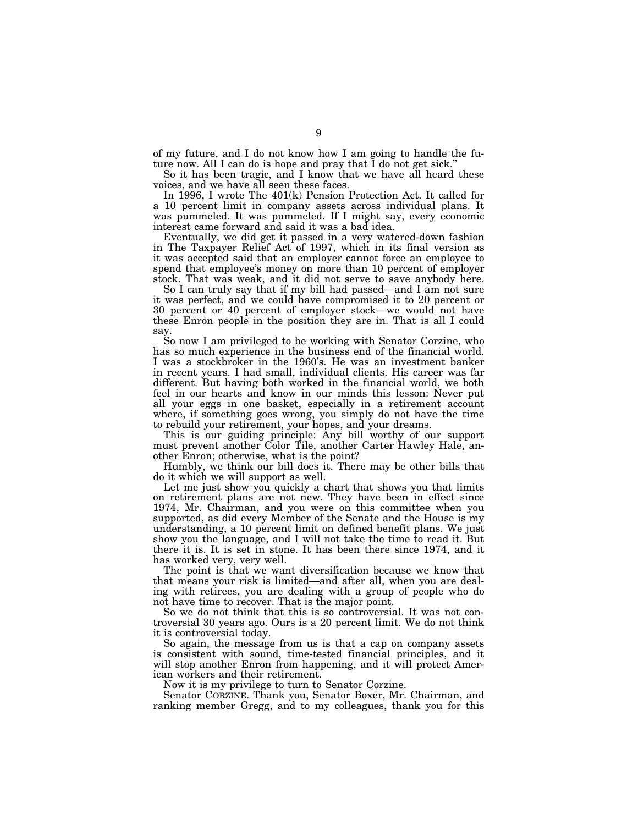of my future, and I do not know how I am going to handle the future now. All I can do is hope and pray that I do not get sick."

So it has been tragic, and I know that we have all heard these voices, and we have all seen these faces.

In 1996, I wrote The 401(k) Pension Protection Act. It called for a 10 percent limit in company assets across individual plans. It was pummeled. It was pummeled. If I might say, every economic interest came forward and said it was a bad idea.

Eventually, we did get it passed in a very watered-down fashion in The Taxpayer Relief Act of 1997, which in its final version as it was accepted said that an employer cannot force an employee to spend that employee's money on more than 10 percent of employer stock. That was weak, and it did not serve to save anybody here.

So I can truly say that if my bill had passed—and I am not sure it was perfect, and we could have compromised it to 20 percent or 30 percent or 40 percent of employer stock—we would not have these Enron people in the position they are in. That is all I could say.

So now I am privileged to be working with Senator Corzine, who has so much experience in the business end of the financial world. I was a stockbroker in the 1960's. He was an investment banker in recent years. I had small, individual clients. His career was far different. But having both worked in the financial world, we both feel in our hearts and know in our minds this lesson: Never put all your eggs in one basket, especially in a retirement account where, if something goes wrong, you simply do not have the time to rebuild your retirement, your hopes, and your dreams.

This is our guiding principle: Any bill worthy of our support must prevent another Color Tile, another Carter Hawley Hale, another Enron; otherwise, what is the point?

Humbly, we think our bill does it. There may be other bills that do it which we will support as well.

Let me just show you quickly a chart that shows you that limits on retirement plans are not new. They have been in effect since 1974, Mr. Chairman, and you were on this committee when you supported, as did every Member of the Senate and the House is my understanding, a 10 percent limit on defined benefit plans. We just show you the language, and I will not take the time to read it. But there it is. It is set in stone. It has been there since 1974, and it has worked very, very well.

The point is that we want diversification because we know that that means your risk is limited—and after all, when you are dealing with retirees, you are dealing with a group of people who do not have time to recover. That is the major point.

So we do not think that this is so controversial. It was not controversial 30 years ago. Ours is a 20 percent limit. We do not think it is controversial today.

So again, the message from us is that a cap on company assets is consistent with sound, time-tested financial principles, and it will stop another Enron from happening, and it will protect American workers and their retirement.

Now it is my privilege to turn to Senator Corzine.

Senator CORZINE. Thank you, Senator Boxer, Mr. Chairman, and ranking member Gregg, and to my colleagues, thank you for this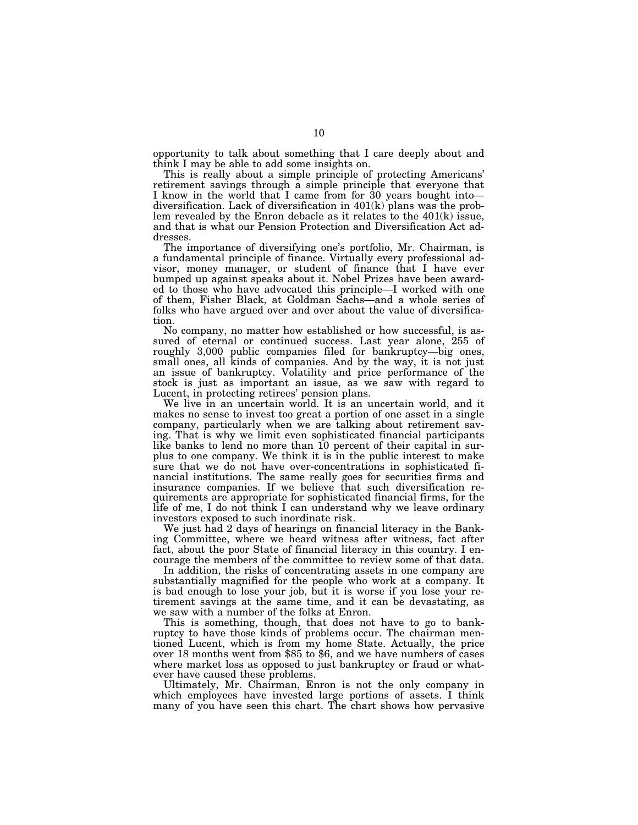opportunity to talk about something that I care deeply about and think I may be able to add some insights on.<br>This is really about a simple principle of protecting Americans'

retirement savings through a simple principle that everyone that I know in the world that I came from for 30 years bought into diversification. Lack of diversification in  $401(k)$  plans was the problem revealed by the Enron debacle as it relates to the 401(k) issue, and that is what our Pension Protection and Diversification Act addresses.

The importance of diversifying one's portfolio, Mr. Chairman, is a fundamental principle of finance. Virtually every professional advisor, money manager, or student of finance that I have ever bumped up against speaks about it. Nobel Prizes have been awarded to those who have advocated this principle—I worked with one of them, Fisher Black, at Goldman Sachs—and a whole series of folks who have argued over and over about the value of diversification.

No company, no matter how established or how successful, is assured of eternal or continued success. Last year alone, 255 of roughly 3,000 public companies filed for bankruptcy—big ones, small ones, all kinds of companies. And by the way, it is not just an issue of bankruptcy. Volatility and price performance of the stock is just as important an issue, as we saw with regard to Lucent, in protecting retirees' pension plans.

We live in an uncertain world. It is an uncertain world, and it makes no sense to invest too great a portion of one asset in a single company, particularly when we are talking about retirement saving. That is why we limit even sophisticated financial participants like banks to lend no more than 10 percent of their capital in surplus to one company. We think it is in the public interest to make sure that we do not have over-concentrations in sophisticated financial institutions. The same really goes for securities firms and insurance companies. If we believe that such diversification requirements are appropriate for sophisticated financial firms, for the life of me, I do not think I can understand why we leave ordinary investors exposed to such inordinate risk.

We just had 2 days of hearings on financial literacy in the Banking Committee, where we heard witness after witness, fact after fact, about the poor State of financial literacy in this country. I encourage the members of the committee to review some of that data.

In addition, the risks of concentrating assets in one company are substantially magnified for the people who work at a company. It is bad enough to lose your job, but it is worse if you lose your retirement savings at the same time, and it can be devastating, as we saw with a number of the folks at Enron.

This is something, though, that does not have to go to bankruptcy to have those kinds of problems occur. The chairman mentioned Lucent, which is from my home State. Actually, the price over 18 months went from \$85 to \$6, and we have numbers of cases where market loss as opposed to just bankruptcy or fraud or whatever have caused these problems.

Ultimately, Mr. Chairman, Enron is not the only company in which employees have invested large portions of assets. I think many of you have seen this chart. The chart shows how pervasive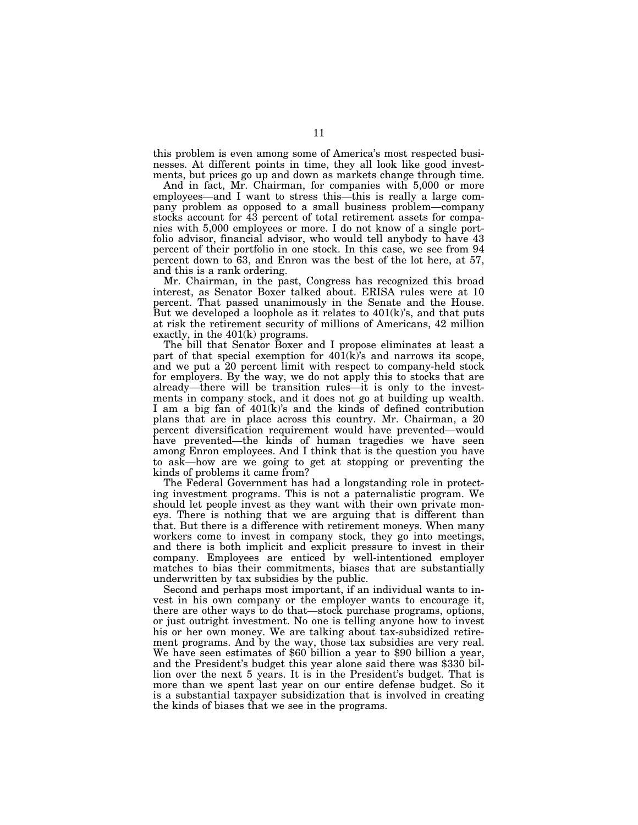this problem is even among some of America's most respected businesses. At different points in time, they all look like good investments, but prices go up and down as markets change through time.

And in fact, Mr. Chairman, for companies with 5,000 or more employees—and I want to stress this—this is really a large company problem as opposed to a small business problem—company stocks account for 43 percent of total retirement assets for companies with 5,000 employees or more. I do not know of a single portfolio advisor, financial advisor, who would tell anybody to have 43 percent of their portfolio in one stock. In this case, we see from 94 percent down to 63, and Enron was the best of the lot here, at 57, and this is a rank ordering.

Mr. Chairman, in the past, Congress has recognized this broad interest, as Senator Boxer talked about. ERISA rules were at 10 percent. That passed unanimously in the Senate and the House. But we developed a loophole as it relates to 401(k)'s, and that puts at risk the retirement security of millions of Americans, 42 million exactly, in the 401(k) programs.

The bill that Senator Boxer and I propose eliminates at least a part of that special exemption for 401(k)'s and narrows its scope, and we put a 20 percent limit with respect to company-held stock for employers. By the way, we do not apply this to stocks that are already—there will be transition rules—it is only to the investments in company stock, and it does not go at building up wealth. I am a big fan of 401(k)'s and the kinds of defined contribution plans that are in place across this country. Mr. Chairman, a 20 percent diversification requirement would have prevented—would have prevented—the kinds of human tragedies we have seen among Enron employees. And I think that is the question you have to ask—how are we going to get at stopping or preventing the kinds of problems it came from?

The Federal Government has had a longstanding role in protecting investment programs. This is not a paternalistic program. We should let people invest as they want with their own private moneys. There is nothing that we are arguing that is different than that. But there is a difference with retirement moneys. When many workers come to invest in company stock, they go into meetings, and there is both implicit and explicit pressure to invest in their company. Employees are enticed by well-intentioned employer matches to bias their commitments, biases that are substantially underwritten by tax subsidies by the public.

Second and perhaps most important, if an individual wants to invest in his own company or the employer wants to encourage it, there are other ways to do that—stock purchase programs, options, or just outright investment. No one is telling anyone how to invest his or her own money. We are talking about tax-subsidized retirement programs. And by the way, those tax subsidies are very real. We have seen estimates of \$60 billion a year to \$90 billion a year, and the President's budget this year alone said there was \$330 billion over the next 5 years. It is in the President's budget. That is more than we spent last year on our entire defense budget. So it is a substantial taxpayer subsidization that is involved in creating the kinds of biases that we see in the programs.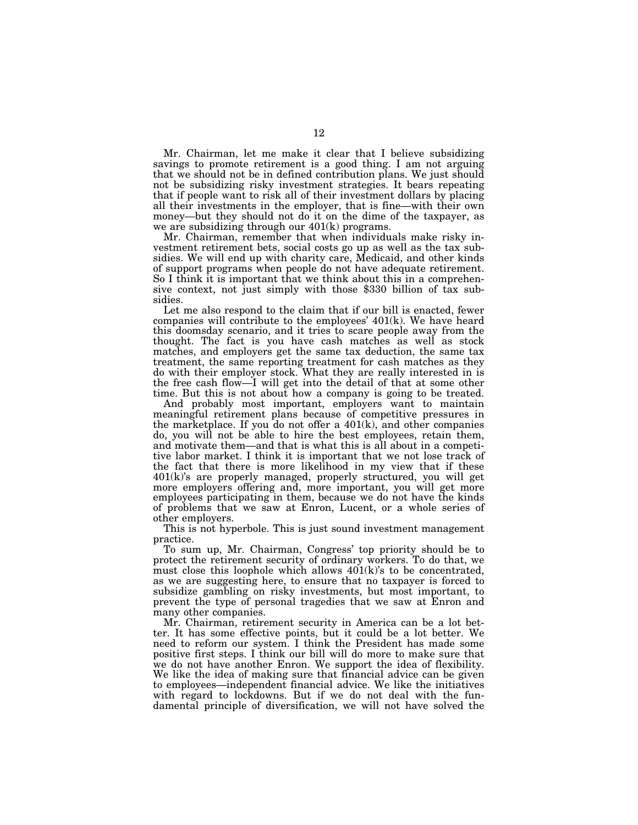Mr. Chairman, let me make it clear that I believe subsidizing savings to promote retirement is a good thing. I am not arguing that we should not be in defined contribution plans. We just should not be subsidizing risky investment strategies. It bears repeating that if people want to risk all of their investment dollars by placing all their investments in the employer, that is fine—with their own money—but they should not do it on the dime of the taxpayer, as we are subsidizing through our 401(k) programs.

Mr. Chairman, remember that when individuals make risky investment retirement bets, social costs go up as well as the tax subsidies. We will end up with charity care, Medicaid, and other kinds of support programs when people do not have adequate retirement. So I think it is important that we think about this in a comprehensive context, not just simply with those \$330 billion of tax subsidies.

Let me also respond to the claim that if our bill is enacted, fewer companies will contribute to the employees' 401(k). We have heard this doomsday scenario, and it tries to scare people away from the thought. The fact is you have cash matches as well as stock matches, and employers get the same tax deduction, the same tax treatment, the same reporting treatment for cash matches as they do with their employer stock. What they are really interested in is the free cash flow—I will get into the detail of that at some other time. But this is not about how a company is going to be treated.

And probably most important, employers want to maintain meaningful retirement plans because of competitive pressures in the marketplace. If you do not offer a  $401(k)$ , and other companies do, you will not be able to hire the best employees, retain them, and motivate them—and that is what this is all about in a competitive labor market. I think it is important that we not lose track of the fact that there is more likelihood in my view that if these 401(k)'s are properly managed, properly structured, you will get more employers offering and, more important, you will get more employees participating in them, because we do not have the kinds of problems that we saw at Enron, Lucent, or a whole series of other employers.

This is not hyperbole. This is just sound investment management practice.

To sum up, Mr. Chairman, Congress' top priority should be to protect the retirement security of ordinary workers. To do that, we must close this loophole which allows 401(k)'s to be concentrated, as we are suggesting here, to ensure that no taxpayer is forced to subsidize gambling on risky investments, but most important, to prevent the type of personal tragedies that we saw at Enron and many other companies.

Mr. Chairman, retirement security in America can be a lot better. It has some effective points, but it could be a lot better. We need to reform our system. I think the President has made some positive first steps. I think our bill will do more to make sure that we do not have another Enron. We support the idea of flexibility. We like the idea of making sure that financial advice can be given to employees—independent financial advice. We like the initiatives with regard to lockdowns. But if we do not deal with the fundamental principle of diversification, we will not have solved the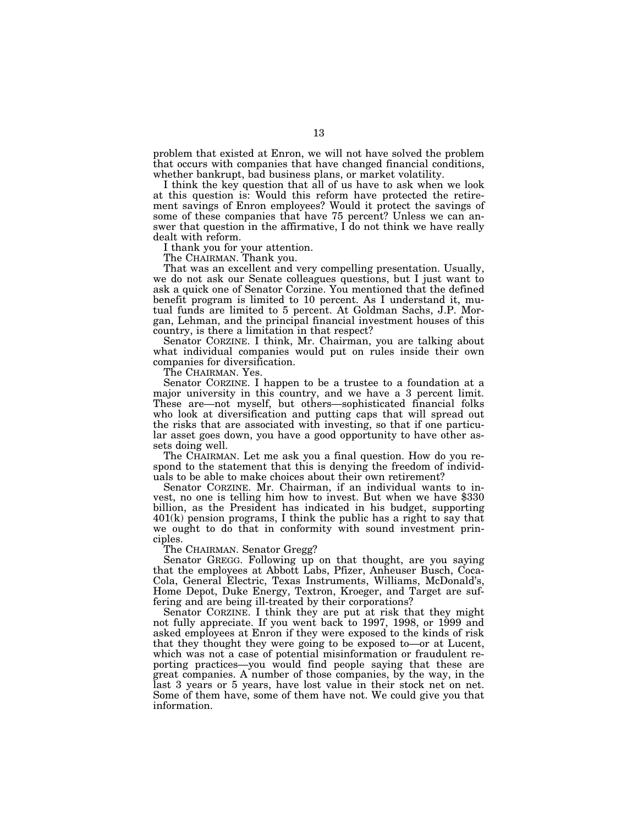problem that existed at Enron, we will not have solved the problem that occurs with companies that have changed financial conditions, whether bankrupt, bad business plans, or market volatility.

I think the key question that all of us have to ask when we look at this question is: Would this reform have protected the retirement savings of Enron employees? Would it protect the savings of some of these companies that have 75 percent? Unless we can answer that question in the affirmative, I do not think we have really dealt with reform.

I thank you for your attention.

The CHAIRMAN. Thank you.

That was an excellent and very compelling presentation. Usually, we do not ask our Senate colleagues questions, but I just want to ask a quick one of Senator Corzine. You mentioned that the defined benefit program is limited to 10 percent. As I understand it, mutual funds are limited to 5 percent. At Goldman Sachs, J.P. Morgan, Lehman, and the principal financial investment houses of this country, is there a limitation in that respect?

Senator CORZINE. I think, Mr. Chairman, you are talking about what individual companies would put on rules inside their own companies for diversification.

The CHAIRMAN. Yes.

Senator CORZINE. I happen to be a trustee to a foundation at a major university in this country, and we have a 3 percent limit. These are—not myself, but others—sophisticated financial folks who look at diversification and putting caps that will spread out the risks that are associated with investing, so that if one particular asset goes down, you have a good opportunity to have other assets doing well.

The CHAIRMAN. Let me ask you a final question. How do you respond to the statement that this is denying the freedom of individuals to be able to make choices about their own retirement?

Senator CORZINE. Mr. Chairman, if an individual wants to invest, no one is telling him how to invest. But when we have \$330 billion, as the President has indicated in his budget, supporting 401(k) pension programs, I think the public has a right to say that we ought to do that in conformity with sound investment principles.

The CHAIRMAN. Senator Gregg?

Senator GREGG. Following up on that thought, are you saying that the employees at Abbott Labs, Pfizer, Anheuser Busch, Coca-Cola, General Electric, Texas Instruments, Williams, McDonald's, Home Depot, Duke Energy, Textron, Kroeger, and Target are suffering and are being ill-treated by their corporations?

Senator CORZINE. I think they are put at risk that they might not fully appreciate. If you went back to 1997, 1998, or 1999 and asked employees at Enron if they were exposed to the kinds of risk that they thought they were going to be exposed to—or at Lucent, which was not a case of potential misinformation or fraudulent reporting practices—you would find people saying that these are great companies. A number of those companies, by the way, in the last 3 years or 5 years, have lost value in their stock net on net. Some of them have, some of them have not. We could give you that information.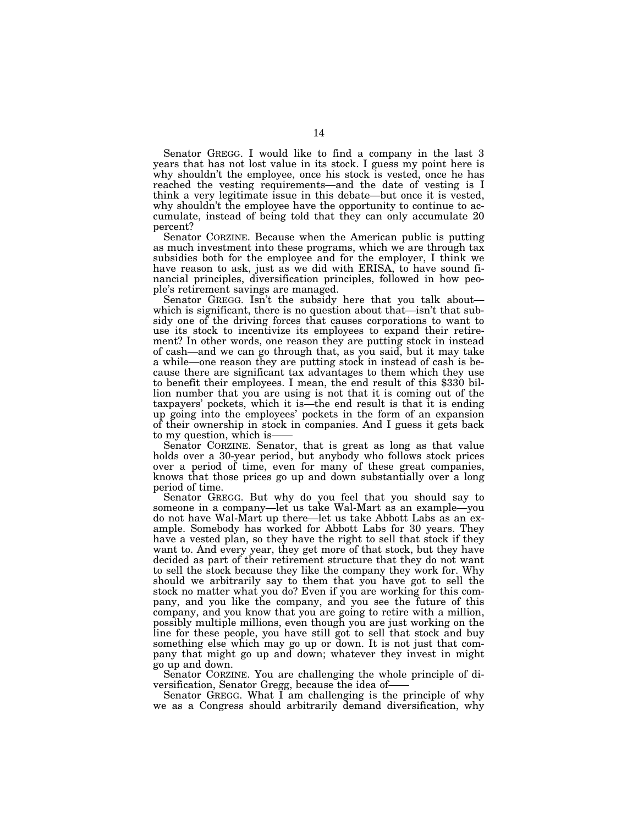Senator GREGG. I would like to find a company in the last 3 years that has not lost value in its stock. I guess my point here is why shouldn't the employee, once his stock is vested, once he has reached the vesting requirements—and the date of vesting is I think a very legitimate issue in this debate—but once it is vested, why shouldn't the employee have the opportunity to continue to accumulate, instead of being told that they can only accumulate 20 percent?

Senator CORZINE. Because when the American public is putting as much investment into these programs, which we are through tax subsidies both for the employee and for the employer, I think we have reason to ask, just as we did with ERISA, to have sound financial principles, diversification principles, followed in how people's retirement savings are managed.

Senator GREGG. Isn't the subsidy here that you talk about which is significant, there is no question about that—isn't that subsidy one of the driving forces that causes corporations to want to use its stock to incentivize its employees to expand their retirement? In other words, one reason they are putting stock in instead of cash—and we can go through that, as you said, but it may take a while—one reason they are putting stock in instead of cash is because there are significant tax advantages to them which they use to benefit their employees. I mean, the end result of this \$330 billion number that you are using is not that it is coming out of the taxpayers' pockets, which it is—the end result is that it is ending up going into the employees' pockets in the form of an expansion of their ownership in stock in companies. And I guess it gets back to my question, which is-

Senator CORZINE. Senator, that is great as long as that value holds over a 30-year period, but anybody who follows stock prices over a period of time, even for many of these great companies, knows that those prices go up and down substantially over a long period of time.

Senator GREGG. But why do you feel that you should say to someone in a company—let us take Wal-Mart as an example—you do not have Wal-Mart up there—let us take Abbott Labs as an example. Somebody has worked for Abbott Labs for 30 years. They have a vested plan, so they have the right to sell that stock if they want to. And every year, they get more of that stock, but they have decided as part of their retirement structure that they do not want to sell the stock because they like the company they work for. Why should we arbitrarily say to them that you have got to sell the stock no matter what you do? Even if you are working for this company, and you like the company, and you see the future of this company, and you know that you are going to retire with a million, possibly multiple millions, even though you are just working on the line for these people, you have still got to sell that stock and buy something else which may go up or down. It is not just that company that might go up and down; whatever they invest in might go up and down.

Senator CORZINE. You are challenging the whole principle of diversification, Senator Gregg, because the idea of—<br>Senator GREGG. What I am challenging is the principle of why

we as a Congress should arbitrarily demand diversification, why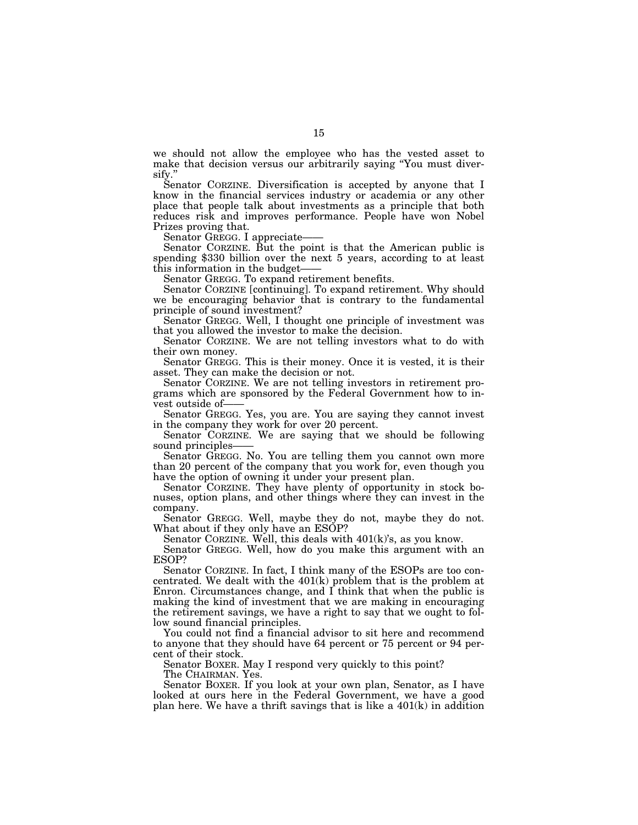we should not allow the employee who has the vested asset to make that decision versus our arbitrarily saying ''You must diversify.

Senator CORZINE. Diversification is accepted by anyone that I know in the financial services industry or academia or any other place that people talk about investments as a principle that both reduces risk and improves performance. People have won Nobel

Prizes proving that.<br>Senator GREGG. I appreciate—

Senator CORZINE. But the point is that the American public is spending  $$330$  billion over the next 5 years, according to at least this information in the budget—— Senator GREGG. To expand retirement benefits.

Senator CORZINE [continuing]. To expand retirement. Why should we be encouraging behavior that is contrary to the fundamental principle of sound investment?

Senator GREGG. Well, I thought one principle of investment was that you allowed the investor to make the decision.

Senator CORZINE. We are not telling investors what to do with their own money.

Senator GREGG. This is their money. Once it is vested, it is their asset. They can make the decision or not.

Senator CORZINE. We are not telling investors in retirement programs which are sponsored by the Federal Government how to invest outside of——<br>Senator GREGG. Yes, you are. You are saying they cannot invest

in the company they work for over 20 percent.

Senator CORZINE. We are saying that we should be following

sound principles——<br>Senator GREGG. No. You are telling them you cannot own more than 20 percent of the company that you work for, even though you have the option of owning it under your present plan.

Senator CORZINE. They have plenty of opportunity in stock bonuses, option plans, and other things where they can invest in the company.

Senator GREGG. Well, maybe they do not, maybe they do not. What about if they only have an ESOP?

Senator CORZINE. Well, this deals with 401(k)'s, as you know.

Senator GREGG. Well, how do you make this argument with an ESOP?

Senator CORZINE. In fact, I think many of the ESOPs are too concentrated. We dealt with the 401(k) problem that is the problem at Enron. Circumstances change, and  $\overline{I}$  think that when the public is making the kind of investment that we are making in encouraging the retirement savings, we have a right to say that we ought to follow sound financial principles.

You could not find a financial advisor to sit here and recommend to anyone that they should have 64 percent or 75 percent or 94 percent of their stock.

Senator BOXER. May I respond very quickly to this point?

The CHAIRMAN. Yes.

Senator BOXER. If you look at your own plan, Senator, as I have looked at ours here in the Federal Government, we have a good plan here. We have a thrift savings that is like a  $401(k)$  in addition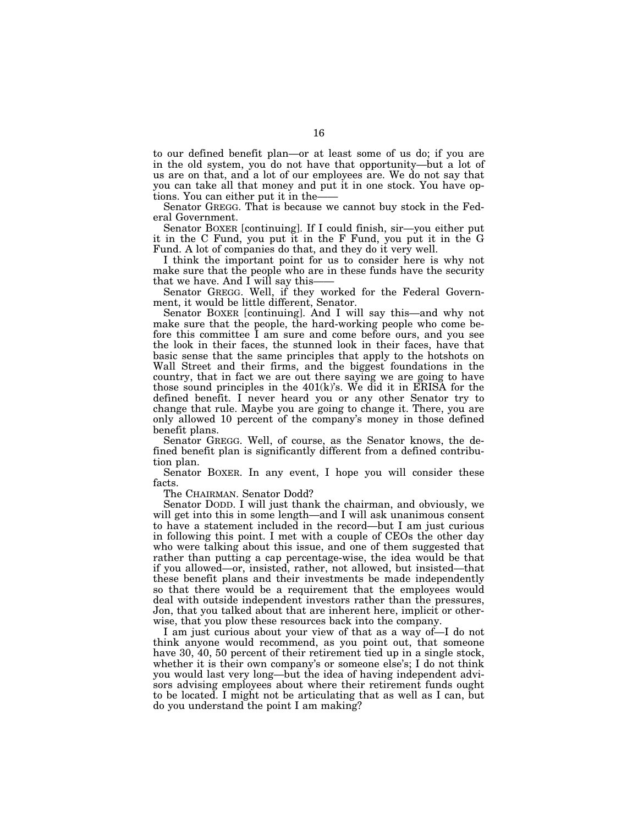to our defined benefit plan—or at least some of us do; if you are in the old system, you do not have that opportunity—but a lot of us are on that, and a lot of our employees are. We do not say that you can take all that money and put it in one stock. You have options. You can either put it in the——

Senator GREGG. That is because we cannot buy stock in the Federal Government.

Senator BOXER [continuing]. If I could finish, sir—you either put it in the C Fund, you put it in the F Fund, you put it in the G Fund. A lot of companies do that, and they do it very well.

I think the important point for us to consider here is why not make sure that the people who are in these funds have the security that we have. And I will say this-

Senator GREGG. Well, if they worked for the Federal Government, it would be little different, Senator.

Senator BOXER [continuing]. And I will say this—and why not make sure that the people, the hard-working people who come before this committee I am sure and come before ours, and you see the look in their faces, the stunned look in their faces, have that basic sense that the same principles that apply to the hotshots on Wall Street and their firms, and the biggest foundations in the country, that in fact we are out there saying we are going to have those sound principles in the 401(k)'s. We did it in ERISA for the defined benefit. I never heard you or any other Senator try to change that rule. Maybe you are going to change it. There, you are only allowed 10 percent of the company's money in those defined benefit plans.

Senator GREGG. Well, of course, as the Senator knows, the defined benefit plan is significantly different from a defined contribution plan.

Senator BOXER. In any event, I hope you will consider these facts.

The CHAIRMAN. Senator Dodd?

Senator DODD. I will just thank the chairman, and obviously, we will get into this in some length—and I will ask unanimous consent to have a statement included in the record—but I am just curious in following this point. I met with a couple of CEOs the other day who were talking about this issue, and one of them suggested that rather than putting a cap percentage-wise, the idea would be that if you allowed—or, insisted, rather, not allowed, but insisted—that these benefit plans and their investments be made independently so that there would be a requirement that the employees would deal with outside independent investors rather than the pressures, Jon, that you talked about that are inherent here, implicit or otherwise, that you plow these resources back into the company.

I am just curious about your view of that as a way of—I do not think anyone would recommend, as you point out, that someone have 30, 40, 50 percent of their retirement tied up in a single stock, whether it is their own company's or someone else's; I do not think you would last very long—but the idea of having independent advisors advising employees about where their retirement funds ought to be located. I might not be articulating that as well as I can, but do you understand the point I am making?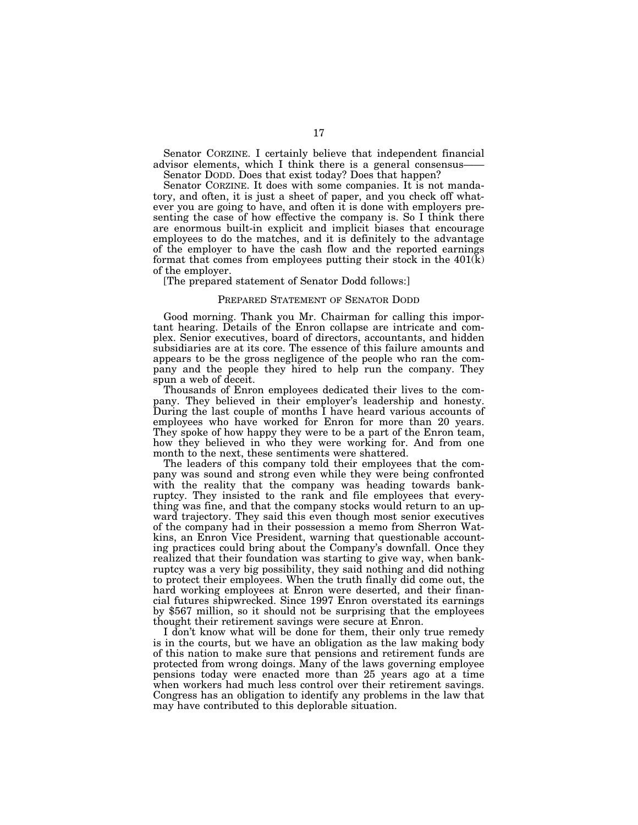Senator CORZINE. I certainly believe that independent financial advisor elements, which I think there is a general consensus-

Senator DODD. Does that exist today? Does that happen?

Senator CORZINE. It does with some companies. It is not mandatory, and often, it is just a sheet of paper, and you check off whatever you are going to have, and often it is done with employers presenting the case of how effective the company is. So I think there are enormous built-in explicit and implicit biases that encourage employees to do the matches, and it is definitely to the advantage of the employer to have the cash flow and the reported earnings format that comes from employees putting their stock in the 401(k) of the employer.

[The prepared statement of Senator Dodd follows:]

#### PREPARED STATEMENT OF SENATOR DODD

Good morning. Thank you Mr. Chairman for calling this important hearing. Details of the Enron collapse are intricate and complex. Senior executives, board of directors, accountants, and hidden subsidiaries are at its core. The essence of this failure amounts and appears to be the gross negligence of the people who ran the company and the people they hired to help run the company. They spun a web of deceit.

Thousands of Enron employees dedicated their lives to the company. They believed in their employer's leadership and honesty. During the last couple of months I have heard various accounts of employees who have worked for Enron for more than 20 years. They spoke of how happy they were to be a part of the Enron team, how they believed in who they were working for. And from one month to the next, these sentiments were shattered.

The leaders of this company told their employees that the company was sound and strong even while they were being confronted with the reality that the company was heading towards bankruptcy. They insisted to the rank and file employees that everything was fine, and that the company stocks would return to an upward trajectory. They said this even though most senior executives of the company had in their possession a memo from Sherron Watkins, an Enron Vice President, warning that questionable accounting practices could bring about the Company's downfall. Once they realized that their foundation was starting to give way, when bankruptcy was a very big possibility, they said nothing and did nothing to protect their employees. When the truth finally did come out, the hard working employees at Enron were deserted, and their financial futures shipwrecked. Since 1997 Enron overstated its earnings by \$567 million, so it should not be surprising that the employees thought their retirement savings were secure at Enron.

I don't know what will be done for them, their only true remedy is in the courts, but we have an obligation as the law making body of this nation to make sure that pensions and retirement funds are protected from wrong doings. Many of the laws governing employee pensions today were enacted more than 25 years ago at a time when workers had much less control over their retirement savings. Congress has an obligation to identify any problems in the law that may have contributed to this deplorable situation.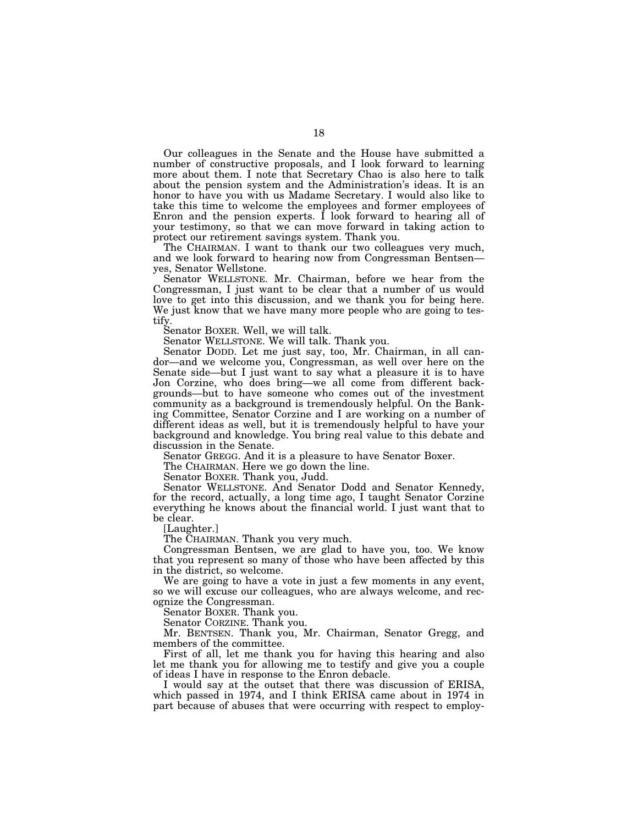Our colleagues in the Senate and the House have submitted a number of constructive proposals, and I look forward to learning more about them. I note that Secretary Chao is also here to talk about the pension system and the Administration's ideas. It is an honor to have you with us Madame Secretary. I would also like to take this time to welcome the employees and former employees of Enron and the pension experts. I look forward to hearing all of your testimony, so that we can move forward in taking action to protect our retirement savings system. Thank you.

The CHAIRMAN. I want to thank our two colleagues very much, and we look forward to hearing now from Congressman Bentsen— yes, Senator Wellstone.

Senator WELLSTONE. Mr. Chairman, before we hear from the Congressman, I just want to be clear that a number of us would love to get into this discussion, and we thank you for being here. We just know that we have many more people who are going to testify.

Senator BOXER. Well, we will talk.

Senator WELLSTONE. We will talk. Thank you.

Senator DODD. Let me just say, too, Mr. Chairman, in all candor—and we welcome you, Congressman, as well over here on the Senate side—but I just want to say what a pleasure it is to have Jon Corzine, who does bring—we all come from different backgrounds—but to have someone who comes out of the investment community as a background is tremendously helpful. On the Banking Committee, Senator Corzine and I are working on a number of different ideas as well, but it is tremendously helpful to have your background and knowledge. You bring real value to this debate and discussion in the Senate.

Senator GREGG. And it is a pleasure to have Senator Boxer.

The CHAIRMAN. Here we go down the line.

Senator BOXER. Thank you, Judd.

Senator WELLSTONE. And Senator Dodd and Senator Kennedy, for the record, actually, a long time ago, I taught Senator Corzine everything he knows about the financial world. I just want that to be clear.

[Laughter.]

The CHAIRMAN. Thank you very much.

Congressman Bentsen, we are glad to have you, too. We know that you represent so many of those who have been affected by this in the district, so welcome.

We are going to have a vote in just a few moments in any event, so we will excuse our colleagues, who are always welcome, and recognize the Congressman.

Senator BOXER. Thank you.

Senator CORZINE. Thank you.

Mr. BENTSEN. Thank you, Mr. Chairman, Senator Gregg, and members of the committee.

First of all, let me thank you for having this hearing and also let me thank you for allowing me to testify and give you a couple of ideas I have in response to the Enron debacle.

I would say at the outset that there was discussion of ERISA, which passed in 1974, and I think ERISA came about in 1974 in part because of abuses that were occurring with respect to employ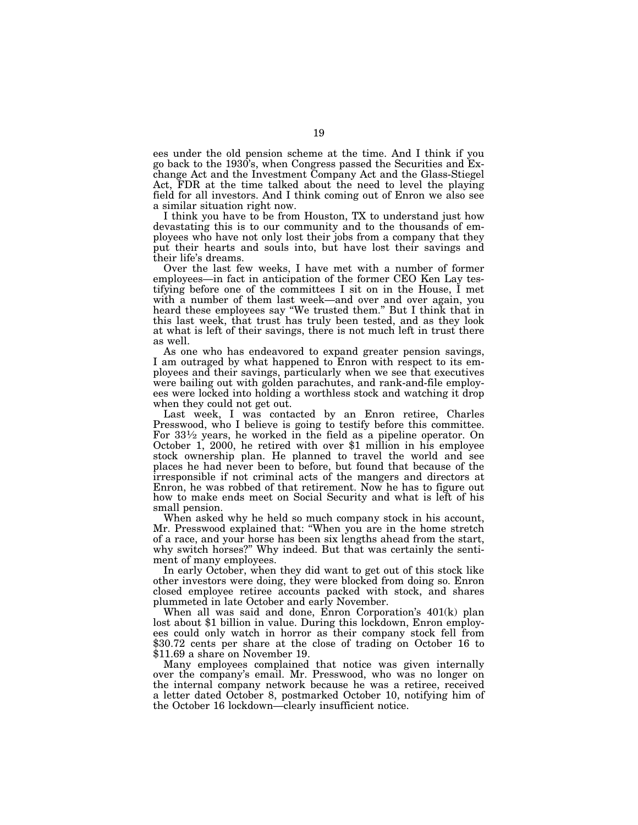ees under the old pension scheme at the time. And I think if you go back to the 1930's, when Congress passed the Securities and Exchange Act and the Investment Company Act and the Glass-Stiegel Act, FDR at the time talked about the need to level the playing field for all investors. And I think coming out of Enron we also see a similar situation right now.

I think you have to be from Houston, TX to understand just how devastating this is to our community and to the thousands of employees who have not only lost their jobs from a company that they put their hearts and souls into, but have lost their savings and their life's dreams.

Over the last few weeks, I have met with a number of former employees—in fact in anticipation of the former CEO Ken Lay testifying before one of the committees I sit on in the House, I met with a number of them last week—and over and over again, you heard these employees say ''We trusted them.'' But I think that in this last week, that trust has truly been tested, and as they look at what is left of their savings, there is not much left in trust there as well.

As one who has endeavored to expand greater pension savings, I am outraged by what happened to Enron with respect to its employees and their savings, particularly when we see that executives were bailing out with golden parachutes, and rank-and-file employees were locked into holding a worthless stock and watching it drop when they could not get out.

Last week, I was contacted by an Enron retiree, Charles Presswood, who I believe is going to testify before this committee. For 33½ years, he worked in the field as a pipeline operator. On October 1, 2000, he retired with over \$1 million in his employee stock ownership plan. He planned to travel the world and see places he had never been to before, but found that because of the irresponsible if not criminal acts of the mangers and directors at Enron, he was robbed of that retirement. Now he has to figure out how to make ends meet on Social Security and what is left of his small pension.

When asked why he held so much company stock in his account, Mr. Presswood explained that: ''When you are in the home stretch of a race, and your horse has been six lengths ahead from the start, why switch horses?" Why indeed. But that was certainly the sentiment of many employees.

In early October, when they did want to get out of this stock like other investors were doing, they were blocked from doing so. Enron closed employee retiree accounts packed with stock, and shares plummeted in late October and early November.

When all was said and done, Enron Corporation's 401(k) plan lost about \$1 billion in value. During this lockdown, Enron employees could only watch in horror as their company stock fell from \$30.72 cents per share at the close of trading on October 16 to \$11.69 a share on November 19.

Many employees complained that notice was given internally over the company's email. Mr. Presswood, who was no longer on the internal company network because he was a retiree, received a letter dated October 8, postmarked October 10, notifying him of the October 16 lockdown—clearly insufficient notice.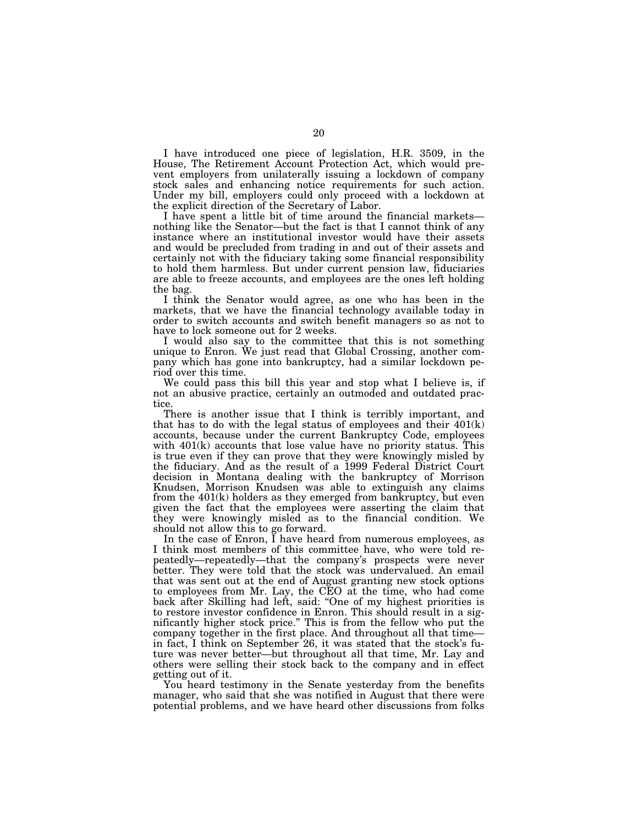I have introduced one piece of legislation, H.R. 3509, in the House, The Retirement Account Protection Act, which would prevent employers from unilaterally issuing a lockdown of company stock sales and enhancing notice requirements for such action. Under my bill, employers could only proceed with a lockdown at the explicit direction of the Secretary of Labor.<br>I have spent a little bit of time around the financial markets—

nothing like the Senator—but the fact is that I cannot think of any instance where an institutional investor would have their assets and would be precluded from trading in and out of their assets and certainly not with the fiduciary taking some financial responsibility to hold them harmless. But under current pension law, fiduciaries are able to freeze accounts, and employees are the ones left holding the bag.

I think the Senator would agree, as one who has been in the markets, that we have the financial technology available today in order to switch accounts and switch benefit managers so as not to have to lock someone out for 2 weeks.

I would also say to the committee that this is not something unique to Enron. We just read that Global Crossing, another company which has gone into bankruptcy, had a similar lockdown period over this time.

We could pass this bill this year and stop what I believe is, if not an abusive practice, certainly an outmoded and outdated practice.

There is another issue that I think is terribly important, and that has to do with the legal status of employees and their  $401(k)$ accounts, because under the current Bankruptcy Code, employees with 401(k) accounts that lose value have no priority status. This is true even if they can prove that they were knowingly misled by the fiduciary. And as the result of a 1999 Federal District Court decision in Montana dealing with the bankruptcy of Morrison Knudsen, Morrison Knudsen was able to extinguish any claims from the 401(k) holders as they emerged from bankruptcy, but even given the fact that the employees were asserting the claim that they were knowingly misled as to the financial condition. We should not allow this to go forward.

In the case of Enron,  $\overline{I}$  have heard from numerous employees, as I think most members of this committee have, who were told repeatedly—repeatedly—that the company's prospects were never better. They were told that the stock was undervalued. An email that was sent out at the end of August granting new stock options to employees from Mr. Lay, the CEO at the time, who had come back after Skilling had left, said: ''One of my highest priorities is to restore investor confidence in Enron. This should result in a significantly higher stock price.'' This is from the fellow who put the company together in the first place. And throughout all that time in fact, I think on September 26, it was stated that the stock's future was never better—but throughout all that time, Mr. Lay and others were selling their stock back to the company and in effect getting out of it.

You heard testimony in the Senate yesterday from the benefits manager, who said that she was notified in August that there were potential problems, and we have heard other discussions from folks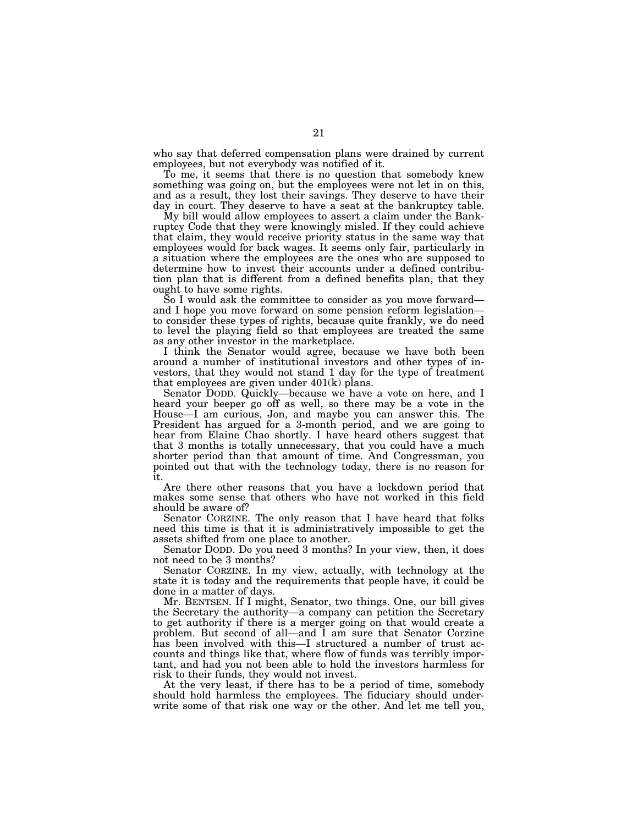who say that deferred compensation plans were drained by current employees, but not everybody was notified of it.

To me, it seems that there is no question that somebody knew something was going on, but the employees were not let in on this, and as a result, they lost their savings. They deserve to have their day in court. They deserve to have a seat at the bankruptcy table.

My bill would allow employees to assert a claim under the Bankruptcy Code that they were knowingly misled. If they could achieve that claim, they would receive priority status in the same way that employees would for back wages. It seems only fair, particularly in a situation where the employees are the ones who are supposed to determine how to invest their accounts under a defined contribution plan that is different from a defined benefits plan, that they ought to have some rights.<br>So I would ask the committee to consider as you move forward—

and I hope you move forward on some pension reform legislation—<br>to consider these types of rights, because quite frankly, we do need to level the playing field so that employees are treated the same as any other investor in the marketplace.

I think the Senator would agree, because we have both been around a number of institutional investors and other types of investors, that they would not stand 1 day for the type of treatment that employees are given under  $401(k)$  plans.

Senator DODD. Quickly—because we have a vote on here, and I heard your beeper go off as well, so there may be a vote in the House—I am curious, Jon, and maybe you can answer this. The President has argued for a 3-month period, and we are going to hear from Elaine Chao shortly. I have heard others suggest that that 3 months is totally unnecessary, that you could have a much shorter period than that amount of time. And Congressman, you pointed out that with the technology today, there is no reason for it.

Are there other reasons that you have a lockdown period that makes some sense that others who have not worked in this field should be aware of?

Senator CORZINE. The only reason that I have heard that folks need this time is that it is administratively impossible to get the assets shifted from one place to another.

Senator DODD. Do you need 3 months? In your view, then, it does not need to be 3 months?

Senator CORZINE. In my view, actually, with technology at the state it is today and the requirements that people have, it could be done in a matter of days.

Mr. BENTSEN. If I might, Senator, two things. One, our bill gives the Secretary the authority—a company can petition the Secretary to get authority if there is a merger going on that would create a problem. But second of all—and I am sure that Senator Corzine has been involved with this—I structured a number of trust accounts and things like that, where flow of funds was terribly important, and had you not been able to hold the investors harmless for risk to their funds, they would not invest.

At the very least, if there has to be a period of time, somebody should hold harmless the employees. The fiduciary should underwrite some of that risk one way or the other. And let me tell you,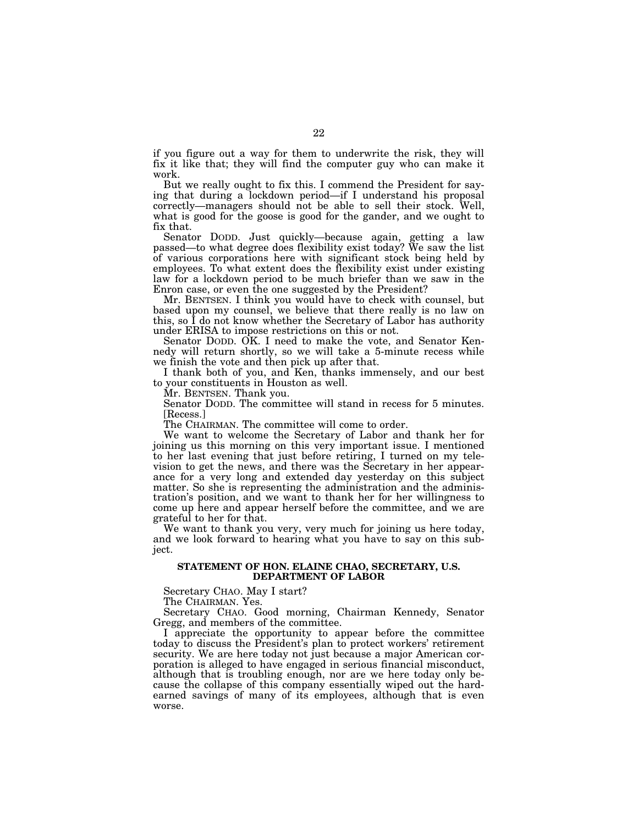if you figure out a way for them to underwrite the risk, they will fix it like that; they will find the computer guy who can make it work.

But we really ought to fix this. I commend the President for saying that during a lockdown period—if I understand his proposal correctly—managers should not be able to sell their stock. Well, what is good for the goose is good for the gander, and we ought to fix that.

Senator DODD. Just quickly—because again, getting a law passed—to what degree does flexibility exist today? We saw the list of various corporations here with significant stock being held by employees. To what extent does the flexibility exist under existing law for a lockdown period to be much briefer than we saw in the Enron case, or even the one suggested by the President?

Mr. BENTSEN. I think you would have to check with counsel, but based upon my counsel, we believe that there really is no law on this, so I do not know whether the Secretary of Labor has authority under ERISA to impose restrictions on this or not.

Senator DODD. OK. I need to make the vote, and Senator Kennedy will return shortly, so we will take a 5-minute recess while we finish the vote and then pick up after that.

I thank both of you, and Ken, thanks immensely, and our best to your constituents in Houston as well.

Mr. BENTSEN. Thank you.

Senator DODD. The committee will stand in recess for 5 minutes. [Recess.]

The CHAIRMAN. The committee will come to order.

We want to welcome the Secretary of Labor and thank her for joining us this morning on this very important issue. I mentioned to her last evening that just before retiring, I turned on my television to get the news, and there was the Secretary in her appearance for a very long and extended day yesterday on this subject matter. So she is representing the administration and the administration's position, and we want to thank her for her willingness to come up here and appear herself before the committee, and we are grateful to her for that.

We want to thank you very, very much for joining us here today, and we look forward to hearing what you have to say on this subject.

#### **STATEMENT OF HON. ELAINE CHAO, SECRETARY, U.S. DEPARTMENT OF LABOR**

Secretary CHAO. May I start?

The CHAIRMAN. Yes.

Secretary CHAO. Good morning, Chairman Kennedy, Senator Gregg, and members of the committee.

I appreciate the opportunity to appear before the committee today to discuss the President's plan to protect workers' retirement security. We are here today not just because a major American corporation is alleged to have engaged in serious financial misconduct, although that is troubling enough, nor are we here today only because the collapse of this company essentially wiped out the hardearned savings of many of its employees, although that is even worse.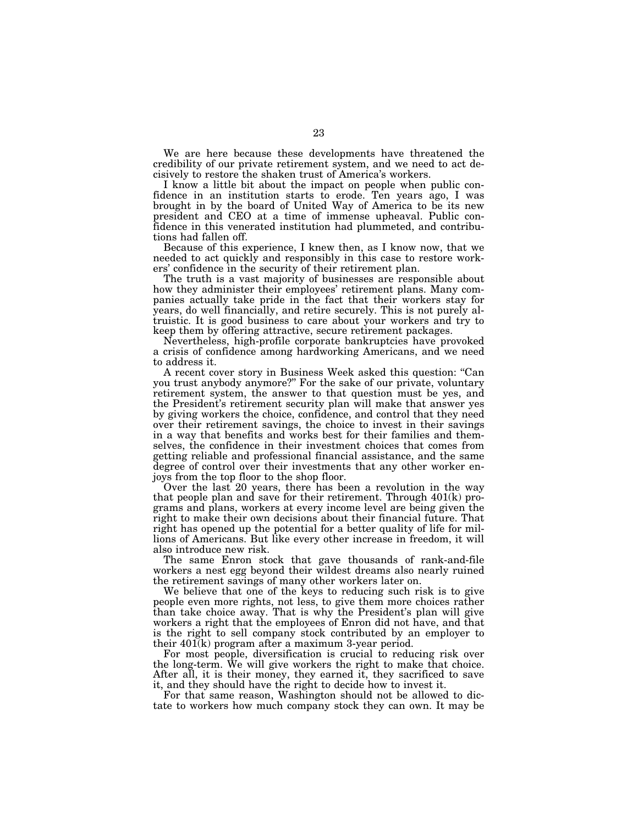We are here because these developments have threatened the credibility of our private retirement system, and we need to act decisively to restore the shaken trust of America's workers.

I know a little bit about the impact on people when public confidence in an institution starts to erode. Ten years ago, I was brought in by the board of United Way of America to be its new president and CEO at a time of immense upheaval. Public confidence in this venerated institution had plummeted, and contributions had fallen off.

Because of this experience, I knew then, as I know now, that we needed to act quickly and responsibly in this case to restore workers' confidence in the security of their retirement plan.

The truth is a vast majority of businesses are responsible about how they administer their employees' retirement plans. Many companies actually take pride in the fact that their workers stay for years, do well financially, and retire securely. This is not purely altruistic. It is good business to care about your workers and try to keep them by offering attractive, secure retirement packages.

Nevertheless, high-profile corporate bankruptcies have provoked a crisis of confidence among hardworking Americans, and we need to address it.

A recent cover story in Business Week asked this question: ''Can you trust anybody anymore?'' For the sake of our private, voluntary retirement system, the answer to that question must be yes, and the President's retirement security plan will make that answer yes by giving workers the choice, confidence, and control that they need over their retirement savings, the choice to invest in their savings in a way that benefits and works best for their families and themselves, the confidence in their investment choices that comes from getting reliable and professional financial assistance, and the same degree of control over their investments that any other worker enjoys from the top floor to the shop floor.

Over the last 20 years, there has been a revolution in the way that people plan and save for their retirement. Through 401(k) programs and plans, workers at every income level are being given the right to make their own decisions about their financial future. That right has opened up the potential for a better quality of life for millions of Americans. But like every other increase in freedom, it will also introduce new risk.

The same Enron stock that gave thousands of rank-and-file workers a nest egg beyond their wildest dreams also nearly ruined the retirement savings of many other workers later on.

We believe that one of the keys to reducing such risk is to give people even more rights, not less, to give them more choices rather than take choice away. That is why the President's plan will give workers a right that the employees of Enron did not have, and that is the right to sell company stock contributed by an employer to their 401(k) program after a maximum 3-year period.

For most people, diversification is crucial to reducing risk over the long-term. We will give workers the right to make that choice. After all, it is their money, they earned it, they sacrificed to save it, and they should have the right to decide how to invest it.

For that same reason, Washington should not be allowed to dictate to workers how much company stock they can own. It may be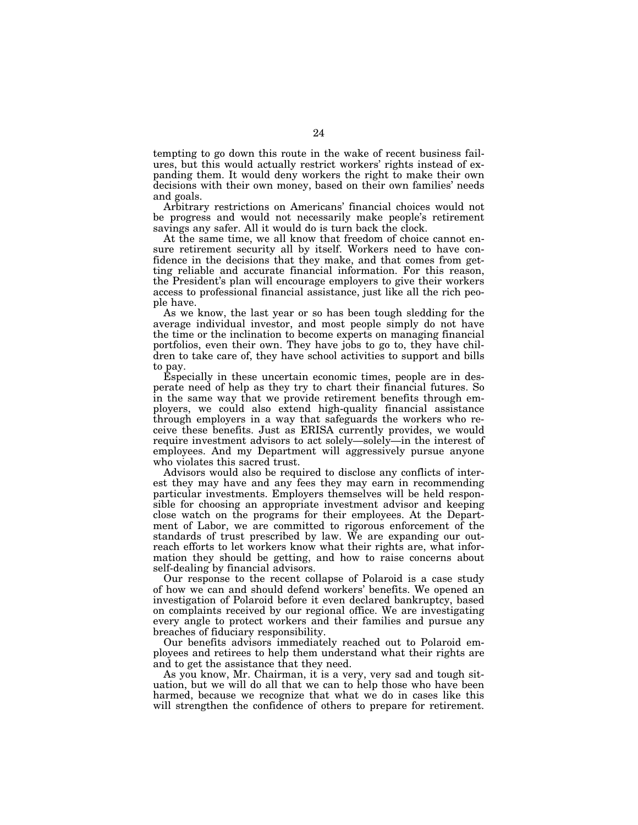tempting to go down this route in the wake of recent business failures, but this would actually restrict workers' rights instead of expanding them. It would deny workers the right to make their own decisions with their own money, based on their own families' needs and goals.

Arbitrary restrictions on Americans' financial choices would not be progress and would not necessarily make people's retirement savings any safer. All it would do is turn back the clock.

At the same time, we all know that freedom of choice cannot ensure retirement security all by itself. Workers need to have confidence in the decisions that they make, and that comes from getting reliable and accurate financial information. For this reason, the President's plan will encourage employers to give their workers access to professional financial assistance, just like all the rich people have.

As we know, the last year or so has been tough sledding for the average individual investor, and most people simply do not have the time or the inclination to become experts on managing financial portfolios, even their own. They have jobs to go to, they have children to take care of, they have school activities to support and bills to pay.

Especially in these uncertain economic times, people are in desperate need of help as they try to chart their financial futures. So in the same way that we provide retirement benefits through employers, we could also extend high-quality financial assistance through employers in a way that safeguards the workers who receive these benefits. Just as ERISA currently provides, we would require investment advisors to act solely—solely—in the interest of employees. And my Department will aggressively pursue anyone who violates this sacred trust.

Advisors would also be required to disclose any conflicts of interest they may have and any fees they may earn in recommending particular investments. Employers themselves will be held responsible for choosing an appropriate investment advisor and keeping close watch on the programs for their employees. At the Department of Labor, we are committed to rigorous enforcement of the standards of trust prescribed by law. We are expanding our outreach efforts to let workers know what their rights are, what information they should be getting, and how to raise concerns about self-dealing by financial advisors.

Our response to the recent collapse of Polaroid is a case study of how we can and should defend workers' benefits. We opened an investigation of Polaroid before it even declared bankruptcy, based on complaints received by our regional office. We are investigating every angle to protect workers and their families and pursue any breaches of fiduciary responsibility.

Our benefits advisors immediately reached out to Polaroid employees and retirees to help them understand what their rights are and to get the assistance that they need.

As you know, Mr. Chairman, it is a very, very sad and tough situation, but we will do all that we can to help those who have been harmed, because we recognize that what we do in cases like this will strengthen the confidence of others to prepare for retirement.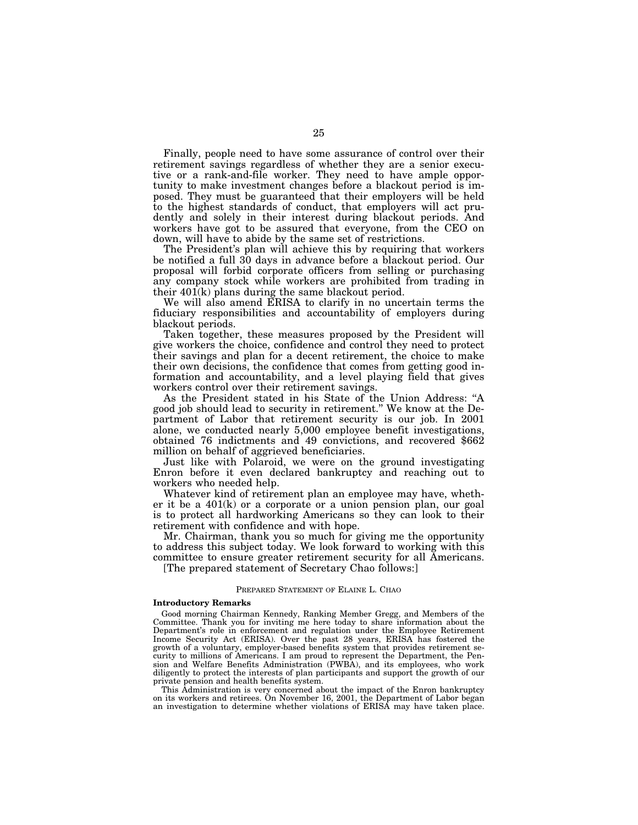Finally, people need to have some assurance of control over their retirement savings regardless of whether they are a senior executive or a rank-and-file worker. They need to have ample opportunity to make investment changes before a blackout period is imposed. They must be guaranteed that their employers will be held to the highest standards of conduct, that employers will act prudently and solely in their interest during blackout periods. And workers have got to be assured that everyone, from the CEO on down, will have to abide by the same set of restrictions.

The President's plan will achieve this by requiring that workers be notified a full 30 days in advance before a blackout period. Our proposal will forbid corporate officers from selling or purchasing any company stock while workers are prohibited from trading in their 401(k) plans during the same blackout period.

We will also amend ERISA to clarify in no uncertain terms the fiduciary responsibilities and accountability of employers during blackout periods.

Taken together, these measures proposed by the President will give workers the choice, confidence and control they need to protect their savings and plan for a decent retirement, the choice to make their own decisions, the confidence that comes from getting good information and accountability, and a level playing field that gives workers control over their retirement savings.

As the President stated in his State of the Union Address: ''A good job should lead to security in retirement.'' We know at the Department of Labor that retirement security is our job. In 2001 alone, we conducted nearly 5,000 employee benefit investigations, obtained 76 indictments and 49 convictions, and recovered \$662 million on behalf of aggrieved beneficiaries.

Just like with Polaroid, we were on the ground investigating Enron before it even declared bankruptcy and reaching out to workers who needed help.

Whatever kind of retirement plan an employee may have, whether it be a 401(k) or a corporate or a union pension plan, our goal is to protect all hardworking Americans so they can look to their retirement with confidence and with hope.

Mr. Chairman, thank you so much for giving me the opportunity to address this subject today. We look forward to working with this committee to ensure greater retirement security for all Americans. [The prepared statement of Secretary Chao follows:]

### PREPARED STATEMENT OF ELAINE L. CHAO

#### **Introductory Remarks**

Good morning Chairman Kennedy, Ranking Member Gregg, and Members of the Committee. Thank you for inviting me here today to share information about the Department's role in enforcement and regulation under the Employee Retirement Income Security Act (ERISA). Over the past 28 years, ERISA has fostered the growth of a voluntary, employer-based benefits system that provides retirement security to millions of Americans. I am proud to represent the Department, the Pension and Welfare Benefits Administration (PWBA), and its employees, who work diligently to protect the interests of plan participants and support the growth of our private pension and health benefits system.

This Administration is very concerned about the impact of the Enron bankruptcy on its workers and retirees. On November 16, 2001, the Department of Labor began an investigation to determine whether violations of ERISA may have taken place.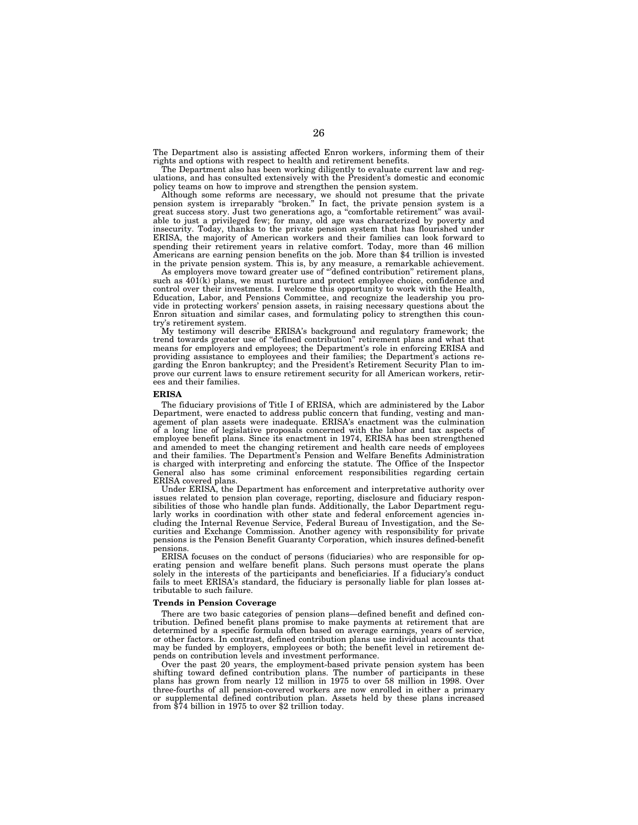The Department also is assisting affected Enron workers, informing them of their rights and options with respect to health and retirement benefits.

The Department also has been working diligently to evaluate current law and regulations, and has consulted extensively with the President's domestic and economic policy teams on how to improve and strengthen the pension system.

Although some reforms are necessary, we should not presume that the private pension system is irreparably ''broken.'' In fact, the private pension system is a great success story. Just two generations ago, a ''comfortable retirement'' was available to just a privileged few; for many, old age was characterized by poverty and insecurity. Today, thanks to the private pension system that has flourished under ERISA, the majority of American workers and their families can look forward to spending their retirement years in relative comfort. Today, more than 46 million Americans are earning pension benefits on the job. More than \$4 trillion is invested in the private pension system. This is, by any measure, a remarkable achievement.

As employers move toward greater use of '''defined contribution'' retirement plans, such as  $401(k)$  plans, we must nurture and protect employee choice, confidence and control over their investments. I welcome this opportunity to work with the Health, Education, Labor, and Pensions Committee, and recognize the leadership you provide in protecting workers' pension assets, in raising necessary questions about the Enron situation and similar cases, and formulating policy to strengthen this country's retirement system.

My testimony will describe ERISA's background and regulatory framework; the trend towards greater use of ''defined contribution'' retirement plans and what that means for employers and employees; the Department's role in enforcing ERISA and providing assistance to employees and their families; the Department's actions regarding the Enron bankruptcy; and the President's Retirement Security Plan to improve our current laws to ensure retirement security for all American workers, retirees and their families.

#### **ERISA**

The fiduciary provisions of Title I of ERISA, which are administered by the Labor Department, were enacted to address public concern that funding, vesting and management of plan assets were inadequate. ERISA's enactment was the culmination of a long line of legislative proposals concerned with the labor and tax aspects of employee benefit plans. Since its enactment in 1974, ERISA has been strengthened and amended to meet the changing retirement and health care needs of employees and their families. The Department's Pension and Welfare Benefits Administration is charged with interpreting and enforcing the statute. The Office of the Inspector General also has some criminal enforcement responsibilities regarding certain ERISA covered plans.

Under ERISA, the Department has enforcement and interpretative authority over issues related to pension plan coverage, reporting, disclosure and fiduciary responsibilities of those who handle plan funds. Additionally, the Labor Department regularly works in coordination with other state and federal enforcement agencies including the Internal Revenue Service, Federal Bureau of Investigation, and the Securities and Exchange Commission. Another agency with responsibility for private pensions is the Pension Benefit Guaranty Corporation, which insures defined-benefit pensions.

ERISA focuses on the conduct of persons (fiduciaries) who are responsible for operating pension and welfare benefit plans. Such persons must operate the plans solely in the interests of the participants and beneficiaries. If a fiduciary's conduct fails to meet ERISA's standard, the fiduciary is personally liable for plan losses attributable to such failure.

#### **Trends in Pension Coverage**

There are two basic categories of pension plans—defined benefit and defined contribution. Defined benefit plans promise to make payments at retirement that are determined by a specific formula often based on average earnings, years of service, or other factors. In contrast, defined contribution plans use individual accounts that may be funded by employers, employees or both; the benefit level in retirement depends on contribution levels and investment performance.

Over the past 20 years, the employment-based private pension system has been shifting toward defined contribution plans. The number of participants in these plans has grown from nearly 12 million in 1975 to over 58 million in 1998. Over three-fourths of all pension-covered workers are now enrolled in either a primary or supplemental defined contribution plan. Assets held by these plans increased from \$74 billion in 1975 to over \$2 trillion today.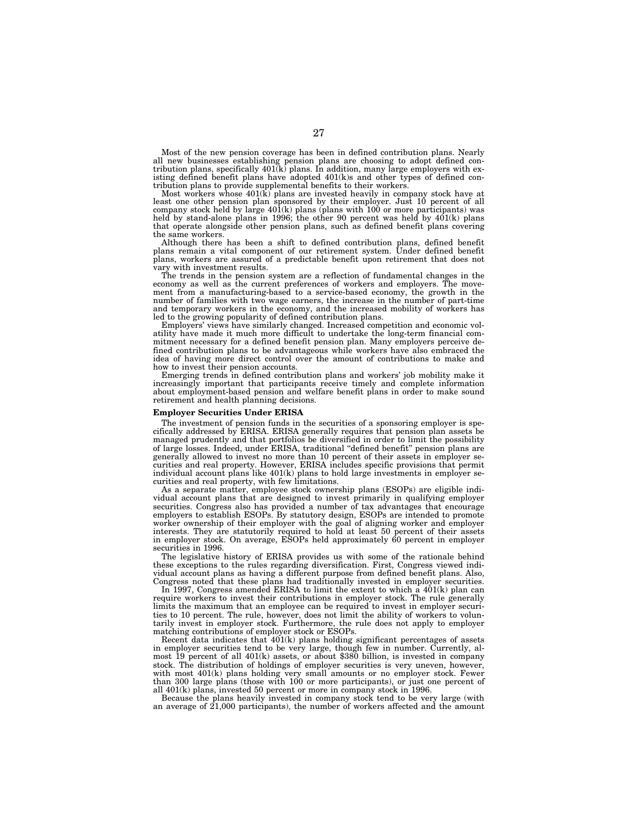Most of the new pension coverage has been in defined contribution plans. Nearly all new businesses establishing pension plans are choosing to adopt defined con-tribution plans, specifically 401(k) plans. In addition, many large employers with existing defined benefit plans have adopted  $401(k)s$  and other types of defined contribution plans to provide supplemental benefits to their workers.

Most workers whose  $401(\vec{k})$  plans are invested heavily in company stock have at least one other pension plan sponsored by their employer. Just 10 percent of all<br>company stock held by large 401(k) plans (plans with 100 or more participants) was<br>held by stand-alone plans in 1996; the other 90 percent wa that operate alongside other pension plans, such as defined benefit plans covering the same workers.

Although there has been a shift to defined contribution plans, defined benefit plans remain a vital component of our retirement system. Under defined benefit plans, workers are assured of a predictable benefit upon retirement that does not vary with investment results.

The trends in the pension system are a reflection of fundamental changes in the economy as well as the current preferences of workers and employers. The movement from a manufacturing-based to a service-based economy, the growth in the number of families with two wage earners, the increase in the number of part-time and temporary workers in the economy, and the increased mobility of workers has led to the growing popularity of defined contribution plans.

Employers' views have similarly changed. Increased competition and economic volatility have made it much more difficult to undertake the long-term financial commitment necessary for a defined benefit pension plan. Many employers perceive defined contribution plans to be advantageous while workers have also embraced the idea of having more direct control over the amount of contributions to make and how to invest their pension accounts.

Emerging trends in defined contribution plans and workers' job mobility make it increasingly important that participants receive timely and complete information about employment-based pension and welfare benefit plans in order to make sound retirement and health planning decisions.

#### **Employer Securities Under ERISA**

The investment of pension funds in the securities of a sponsoring employer is specifically addressed by ERISA. ERISA generally requires that pension plan assets be managed prudently and that portfolios be diversified in order to limit the possibility of large losses. Indeed, under ERISA, traditional ''defined benefit'' pension plans are generally allowed to invest no more than 10 percent of their assets in employer securities and real property. However, ERISA includes specific provisions that permit individual account plans like 401(k) plans to hold large investments in employer securities and real property, with few limitations.

As a separate matter, employee stock ownership plans (ESOPs) are eligible individual account plans that are designed to invest primarily in qualifying employer securities. Congress also has provided a number of tax advantages that encourage employers to establish ESOPs. By statutory design, ESOPs are intended to promote worker ownership of their employer with the goal of aligning worker and employer interests. They are statutorily required to hold at least 50 percent of their assets in employer stock. On average, ESOPs held approximately 60 percent in employer securities in 1996.

The legislative history of ERISA provides us with some of the rationale behind these exceptions to the rules regarding diversification. First, Congress viewed individual account plans as having a different purpose from defined benefit plans. Also, Congress noted that these plans had traditionally invested in employer securities.

In 1997, Congress amended ERISA to limit the extent to which a 401(k) plan can require workers to invest their contributions in employer stock. The rule generally limits the maximum that an employee can be required to invest in employer securities to 10 percent. The rule, however, does not limit the ability of workers to voluntarily invest in employer stock. Furthermore, the rule does not apply to employer matching contributions of employer stock or ESOPs.

Recent data indicates that  $401(k)$  plans holding significant percentages of assets in employer securities tend to be very large, though few in number. Currently, almost 19 percent of all 401(k) assets, or about \$380 billion, is invested in company stock. The distribution of holdings of employer securities is very uneven, however, with most  $401(k)$  plans holding very small amounts or no employer stock. Fewer than 300 large plans (those with 100 or more participants), or just one percent of all 401(k) plans, invested 50 percent or more in company stock in 1996.

Because the plans heavily invested in company stock tend to be very large (with an average of 21,000 participants), the number of workers affected and the amount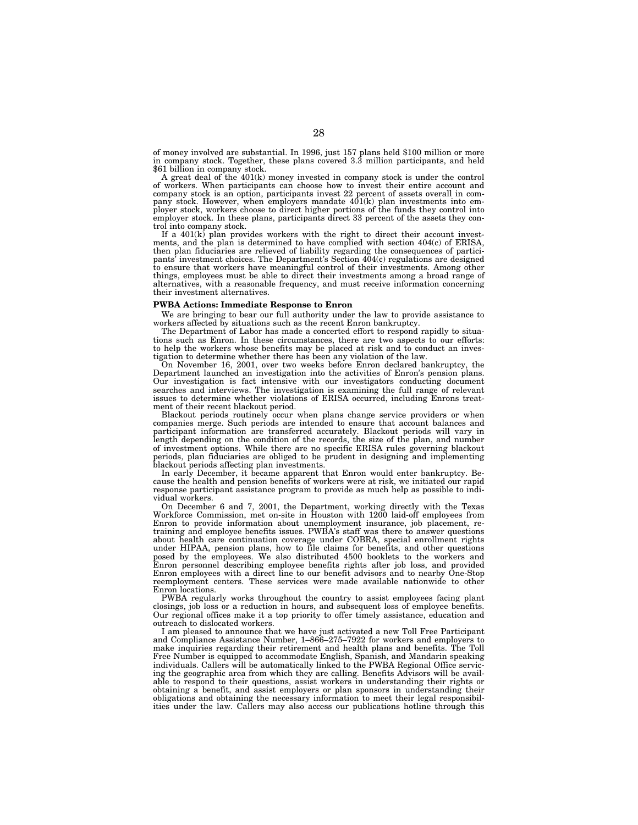of money involved are substantial. In 1996, just 157 plans held \$100 million or more in company stock. Together, these plans covered 3.3 million participants, and held \$61 billion in company stock.

A great deal of the 401(k) money invested in company stock is under the control of workers. When participants can choose how to invest their entire account and company stock is an option, participants invest 22 percent of assets overall in company stock. However, when employers mandate 401(k) plan investments into employer stock, workers choose to direct higher portions of the fu employer stock. In these plans, participants direct 33 percent of the assets they control into company stock.

If a 401(k) plan provides workers with the right to direct their account investments, and the plan is determined to have complied with section 404(c) of ERISA, then plan fiduciaries are relieved of liability regarding the consequences of participants' investment choices. The Department's Section 404(c) regulations are designed to ensure that workers have meaningful control of their investments. Among other things, employees must be able to direct their investments among a broad range of alternatives, with a reasonable frequency, and must receive information concerning their investment alternatives.

#### **PWBA Actions: Immediate Response to Enron**

We are bringing to bear our full authority under the law to provide assistance to workers affected by situations such as the recent Enron bankruptcy.

The Department of Labor has made a concerted effort to respond rapidly to situations such as Enron. In these circumstances, there are two aspects to our efforts: to help the workers whose benefits may be placed at risk and to conduct an investigation to determine whether there has been any violation of the law.

On November 16, 2001, over two weeks before Enron declared bankruptcy, the Department launched an investigation into the activities of Enron's pension plans. Our investigation is fact intensive with our investigators conducting document searches and interviews. The investigation is examining the full range of relevant issues to determine whether violations of ERISA occurred, including Enrons treatment of their recent blackout period.

Blackout periods routinely occur when plans change service providers or when companies merge. Such periods are intended to ensure that account balances and participant information are transferred accurately. Blackout periods will vary in length depending on the condition of the records, the size of the plan, and number of investment options. While there are no specific ERISA rules governing blackout periods, plan fiduciaries are obliged to be prudent in designing and implementing blackout periods affecting plan investments.

In early December, it became apparent that Enron would enter bankruptcy. Because the health and pension benefits of workers were at risk, we initiated our rapid response participant assistance program to provide as much help as possible to individual workers.

On December 6 and 7, 2001, the Department, working directly with the Texas Workforce Commission, met on-site in Houston with 1200 laid-off employees from Enron to provide information about unemployment insurance, job placement, retraining and employee benefits issues. PWBA's staff was there to answer questions about health care continuation coverage under COBRA, special enrollment rights under HIPAA, pension plans, how to file claims for benefits, and other questions posed by the employees. We also distributed 4500 booklets to the workers and Enron personnel describing employee benefits rights after job loss, and provided Enron employees with a direct line to our benefit advisors and to nearby One-Stop reemployment centers. These services were made available nationwide to other Enron locations.

PWBA regularly works throughout the country to assist employees facing plant closings, job loss or a reduction in hours, and subsequent loss of employee benefits. Our regional offices make it a top priority to offer timely assistance, education and outreach to dislocated workers.

I am pleased to announce that we have just activated a new Toll Free Participant and Compliance Assistance Number, 1–866–275–7922 for workers and employers to make inquiries regarding their retirement and health plans and benefits. The Toll Free Number is equipped to accommodate English, Spanish, and Mandarin speaking individuals. Callers will be automatically linked to the PWBA Regional Office servicing the geographic area from which they are calling. Benefits Advisors will be available to respond to their questions, assist workers in understanding their rights or obtaining a benefit, and assist employers or plan sponsors in understanding their obligations and obtaining the necessary information to meet their legal responsibilities under the law. Callers may also access our publications hotline through this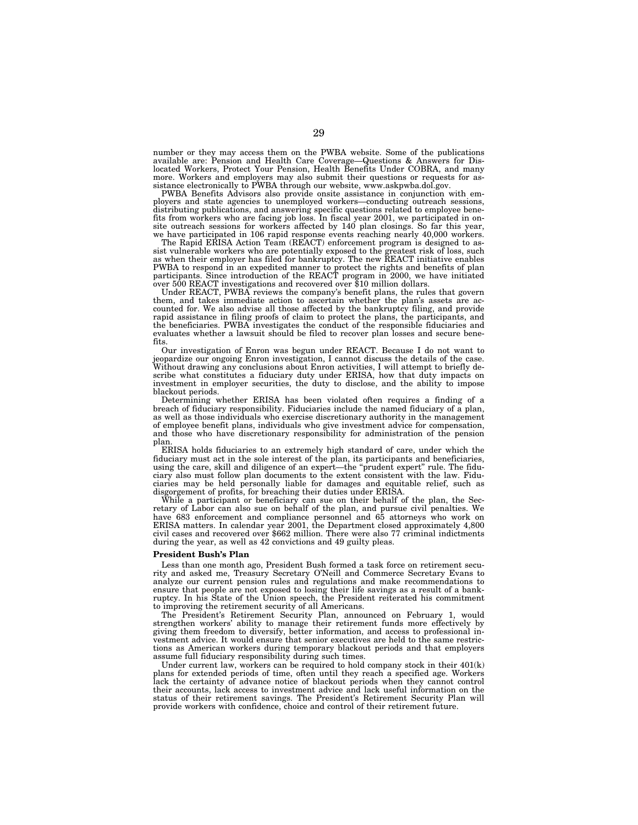number or they may access them on the PWBA website. Some of the publications available are: Pension and Health Care Coverage—Questions & Answers for Dislocated Workers, Protect Your Pension, Health Benefits Under COBRA, and many more. Workers and employers may also submit their questions or requests for assistance electronically to PWBA through our website, www.askpwba.dol.gov.

PWBA Benefits Advisors also provide onsite assistance in conjunction with employers and state agencies to unemployed workers—conducting outreach sessions, distributing publications, and answering specific questions related to employee benefits from workers who are facing job loss. In fiscal year 2001, we participated in on-site outreach sessions for workers affected by 140 plan closings. So far this year, we have participated in 106 rapid response events reaching nearly 40,000 workers.

The Rapid ERISA Action Team (REACT) enforcement program is designed to assist vulnerable workers who are potentially exposed to the greatest risk of loss, such as when their employer has filed for bankruptcy. The new REACT initiative enables<br>PWBA to respond in an expedited manner to protect the rights and benefits of plan<br>participants. Since introduction of the REACT program in 2

Under REACT, PWBA reviews the company's benefit plans, the rules that govern them, and takes immediate action to ascertain whether the plan's assets are accounted for. We also advise all those affected by the bankruptcy filing, and provide rapid assistance in filing proofs of claim to protect the plans, the participants, and the beneficiaries. PWBA investigates the conduct of the responsible fiduciaries and evaluates whether a lawsuit should be filed to recover plan losses and secure benefits.

Our investigation of Enron was begun under REACT. Because I do not want to jeopardize our ongoing Enron investigation, I cannot discuss the details of the case. Without drawing any conclusions about Enron activities, I will attempt to briefly describe what constitutes a fiduciary duty under ERISA, how that duty impacts on investment in employer securities, the duty to disclose, and the ability to impose blackout periods.

Determining whether ERISA has been violated often requires a finding of a breach of fiduciary responsibility. Fiduciaries include the named fiduciary of a plan, as well as those individuals who exercise discretionary authority in the management of employee benefit plans, individuals who give investment advice for compensation, and those who have discretionary responsibility for administration of the pension plan.

ERISA holds fiduciaries to an extremely high standard of care, under which the fiduciary must act in the sole interest of the plan, its participants and beneficiaries, using the care, skill and diligence of an expert—the "prudent expert" rule. The fiduciary also must follow plan documents to the extent consistent with the law. Fiduciaries may be held personally liable for damages and equitable relief, such as disgorgement of profits, for breaching their duties under ERISA.

While a participant or beneficiary can sue on their behalf of the plan, the Secretary of Labor can also sue on behalf of the plan, and pursue civil penalties. We have 683 enforcement and compliance personnel and 65 attorneys who work on ERISA matters. In calendar year 2001, the Department closed approximately 4,800 civil cases and recovered over \$662 million. There were also 77 criminal indictments during the year, as well as 42 convictions and 49 guilty pleas.

#### **President Bush's Plan**

Less than one month ago, President Bush formed a task force on retirement security and asked me, Treasury Secretary O'Neill and Commerce Secretary Evans to analyze our current pension rules and regulations and make recommendations to ensure that people are not exposed to losing their life savings as a result of a bankruptcy. In his State of the Union speech, the President reiterated his commitment to improving the retirement security of all Americans.

The President's Retirement Security Plan, announced on February 1, would strengthen workers' ability to manage their retirement funds more effectively by giving them freedom to diversify, better information, and access to professional investment advice. It would ensure that senior executives are held to the same restrictions as American workers during temporary blackout periods and that employers assume full fiduciary responsibility during such times.

Under current law, workers can be required to hold company stock in their 401(k) plans for extended periods of time, often until they reach a specified age. Workers lack the certainty of advance notice of blackout periods when they cannot control their accounts, lack access to investment advice and lack useful information on the status of their retirement savings. The President's Retirement Security Plan will provide workers with confidence, choice and control of their retirement future.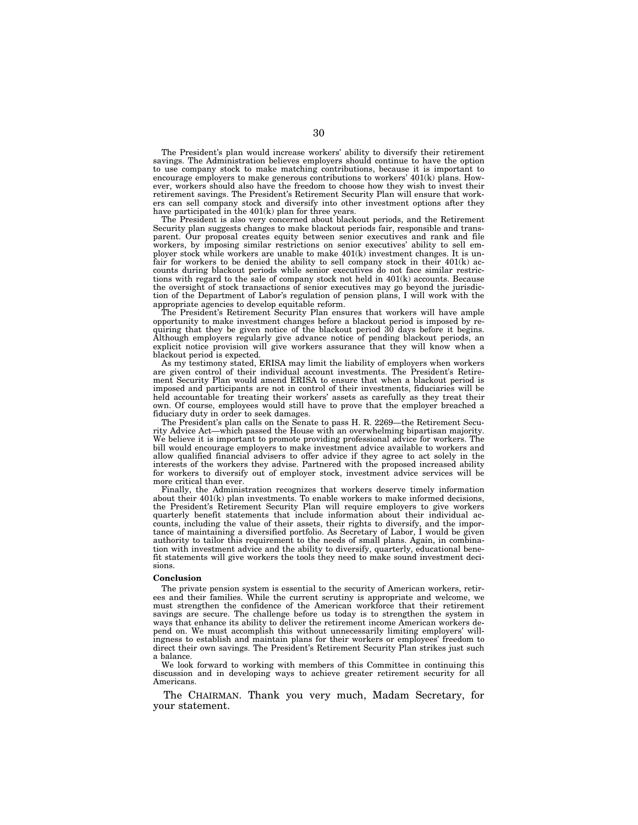The President's plan would increase workers' ability to diversify their retirement savings. The Administration believes employers should continue to have the option to use company stock to make matching contributions, because it is important to encourage employers to make generous contributions to workers' 401(k) plans. However, workers should also have the freedom to choose how they wish to invest their retirement savings. The President's Retirement Security Plan will ensure that workers can sell company stock and diversify into other investment options after they have participated in the  $401(k)$  plan for three years.

The President is also very concerned about blackout periods, and the Retirement Security plan suggests changes to make blackout periods fair, responsible and transparent. Our proposal creates equity between senior executives and rank and file workers, by imposing similar restrictions on senior executives' ability to sell employer stock while workers are unable to make 401(k) investment changes. It is unfair for workers to be denied the ability to sell company stock in their 401(k) accounts during blackout periods while senior executives do not face similar restrictions with regard to the sale of company stock not held in 401(k) accounts. Because the oversight of stock transactions of senior executives may go beyond the jurisdiction of the Department of Labor's regulation of pension plans, I will work with the appropriate agencies to develop equitable reform.

The President's Retirement Security Plan ensures that workers will have ample opportunity to make investment changes before a blackout period is imposed by requiring that they be given notice of the blackout period 30 days before it begins. Although employers regularly give advance notice of pending blackout periods, an explicit notice provision will give workers assurance that they will know when a blackout period is expected.

As my testimony stated, ERISA may limit the liability of employers when workers are given control of their individual account investments. The President's Retirement Security Plan would amend ERISA to ensure that when a blackout period is imposed and participants are not in control of their investments, fiduciaries will be held accountable for treating their workers' assets as carefully as they treat their own. Of course, employees would still have to prove that the employer breached a fiduciary duty in order to seek damages.

The President's plan calls on the Senate to pass H. R. 2269—the Retirement Security Advice Act—which passed the House with an overwhelming bipartisan majority. We believe it is important to promote providing professional advice for workers. The bill would encourage employers to make investment advice available to workers and allow qualified financial advisers to offer advice if they agree to act solely in the interests of the workers they advise. Partnered with the proposed increased ability for workers to diversify out of employer stock, investment advice services will be more critical than ever.

Finally, the Administration recognizes that workers deserve timely information about their 401(k) plan investments. To enable workers to make informed decisions, the President's Retirement Security Plan will require employers to give workers quarterly benefit statements that include information about their individual accounts, including the value of their assets, their rights to diversify, and the importance of maintaining a diversified portfolio. As Secretary of Labor, I would be given authority to tailor this requirement to the needs of small plans. Again, in combination with investment advice and the ability to diversify, quarterly, educational benefit statements will give workers the tools they need to make sound investment decisions.

#### **Conclusion**

The private pension system is essential to the security of American workers, retirees and their families. While the current scrutiny is appropriate and welcome, we must strengthen the confidence of the American workforce that their retirement savings are secure. The challenge before us today is to strengthen the system in ways that enhance its ability to deliver the retirement income American workers depend on. We must accomplish this without unnecessarily limiting employers' willingness to establish and maintain plans for their workers or employees' freedom to direct their own savings. The President's Retirement Security Plan strikes just such a balance.

We look forward to working with members of this Committee in continuing this discussion and in developing ways to achieve greater retirement security for all **Americans** 

The CHAIRMAN. Thank you very much, Madam Secretary, for your statement.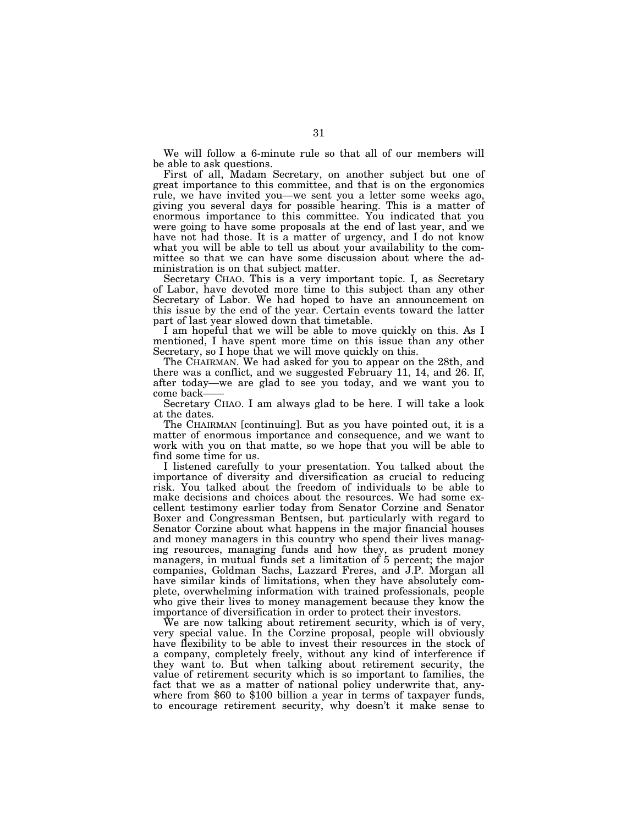We will follow a 6-minute rule so that all of our members will be able to ask questions.

First of all, Madam Secretary, on another subject but one of great importance to this committee, and that is on the ergonomics rule, we have invited you—we sent you a letter some weeks ago, giving you several days for possible hearing. This is a matter of enormous importance to this committee. You indicated that you were going to have some proposals at the end of last year, and we have not had those. It is a matter of urgency, and I do not know what you will be able to tell us about your availability to the committee so that we can have some discussion about where the administration is on that subject matter.

Secretary CHAO. This is a very important topic. I, as Secretary of Labor, have devoted more time to this subject than any other Secretary of Labor. We had hoped to have an announcement on this issue by the end of the year. Certain events toward the latter part of last year slowed down that timetable.

I am hopeful that we will be able to move quickly on this. As I mentioned, I have spent more time on this issue than any other Secretary, so I hope that we will move quickly on this.

The CHAIRMAN. We had asked for you to appear on the 28th, and there was a conflict, and we suggested February 11, 14, and 26. If, after today—we are glad to see you today, and we want you to

Secretary CHAO. I am always glad to be here. I will take a look at the dates.

The CHAIRMAN [continuing]. But as you have pointed out, it is a matter of enormous importance and consequence, and we want to work with you on that matte, so we hope that you will be able to find some time for us.

I listened carefully to your presentation. You talked about the importance of diversity and diversification as crucial to reducing risk. You talked about the freedom of individuals to be able to make decisions and choices about the resources. We had some excellent testimony earlier today from Senator Corzine and Senator Boxer and Congressman Bentsen, but particularly with regard to Senator Corzine about what happens in the major financial houses and money managers in this country who spend their lives managing resources, managing funds and how they, as prudent money managers, in mutual funds set a limitation of 5 percent; the major companies, Goldman Sachs, Lazzard Freres, and J.P. Morgan all have similar kinds of limitations, when they have absolutely complete, overwhelming information with trained professionals, people who give their lives to money management because they know the importance of diversification in order to protect their investors.

We are now talking about retirement security, which is of very, very special value. In the Corzine proposal, people will obviously have flexibility to be able to invest their resources in the stock of a company, completely freely, without any kind of interference if they want to. But when talking about retirement security, the value of retirement security which is so important to families, the fact that we as a matter of national policy underwrite that, anywhere from \$60 to \$100 billion a year in terms of taxpayer funds, to encourage retirement security, why doesn't it make sense to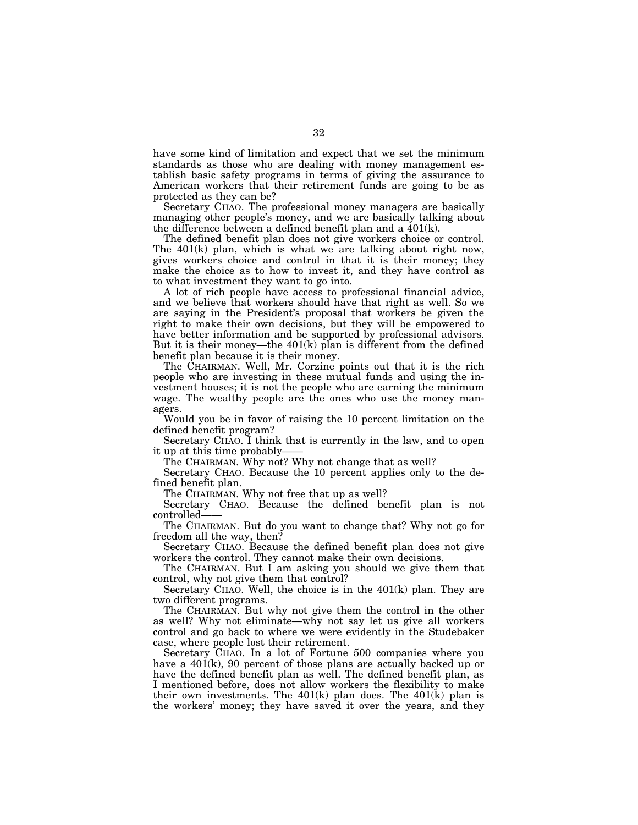have some kind of limitation and expect that we set the minimum standards as those who are dealing with money management establish basic safety programs in terms of giving the assurance to American workers that their retirement funds are going to be as protected as they can be?

Secretary CHAO. The professional money managers are basically managing other people's money, and we are basically talking about the difference between a defined benefit plan and a 401(k).

The defined benefit plan does not give workers choice or control. The 401(k) plan, which is what we are talking about right now, gives workers choice and control in that it is their money; they make the choice as to how to invest it, and they have control as to what investment they want to go into.

A lot of rich people have access to professional financial advice, and we believe that workers should have that right as well. So we are saying in the President's proposal that workers be given the right to make their own decisions, but they will be empowered to have better information and be supported by professional advisors. But it is their money—the 401(k) plan is different from the defined benefit plan because it is their money.

The CHAIRMAN. Well, Mr. Corzine points out that it is the rich people who are investing in these mutual funds and using the investment houses; it is not the people who are earning the minimum wage. The wealthy people are the ones who use the money managers.

Would you be in favor of raising the 10 percent limitation on the defined benefit program?

Secretary CHAO. I think that is currently in the law, and to open it up at this time probably-

The CHAIRMAN. Why not? Why not change that as well?

Secretary CHAO. Because the 10 percent applies only to the defined benefit plan.

The CHAIRMAN. Why not free that up as well?

Secretary CHAO. Because the defined benefit plan is not controlled——

The CHAIRMAN. But do you want to change that? Why not go for freedom all the way, then?

Secretary CHAO. Because the defined benefit plan does not give workers the control. They cannot make their own decisions.

The CHAIRMAN. But I am asking you should we give them that control, why not give them that control?

Secretary CHAO. Well, the choice is in the 401(k) plan. They are two different programs.

The CHAIRMAN. But why not give them the control in the other as well? Why not eliminate—why not say let us give all workers control and go back to where we were evidently in the Studebaker case, where people lost their retirement.

Secretary CHAO. In a lot of Fortune 500 companies where you have a  $40\tilde{1}(k)$ , 90 percent of those plans are actually backed up or have the defined benefit plan as well. The defined benefit plan, as I mentioned before, does not allow workers the flexibility to make their own investments. The  $401(k)$  plan does. The  $401(k)$  plan is the workers' money; they have saved it over the years, and they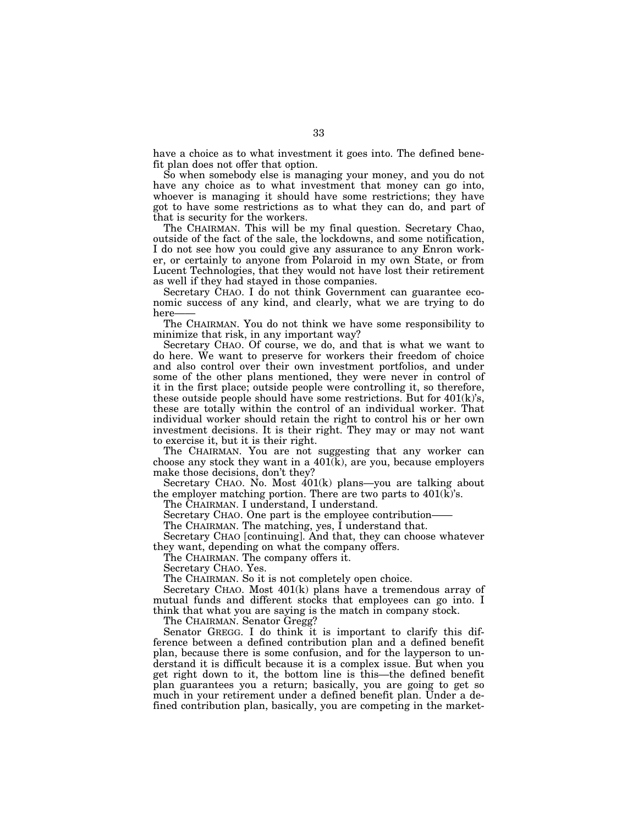have a choice as to what investment it goes into. The defined benefit plan does not offer that option.

So when somebody else is managing your money, and you do not have any choice as to what investment that money can go into, whoever is managing it should have some restrictions; they have got to have some restrictions as to what they can do, and part of that is security for the workers.

The CHAIRMAN. This will be my final question. Secretary Chao, outside of the fact of the sale, the lockdowns, and some notification, I do not see how you could give any assurance to any Enron worker, or certainly to anyone from Polaroid in my own State, or from Lucent Technologies, that they would not have lost their retirement as well if they had stayed in those companies.

Secretary CHAO. I do not think Government can guarantee economic success of any kind, and clearly, what we are trying to do here-

The CHAIRMAN. You do not think we have some responsibility to minimize that risk, in any important way?

Secretary CHAO. Of course, we do, and that is what we want to do here. We want to preserve for workers their freedom of choice and also control over their own investment portfolios, and under some of the other plans mentioned, they were never in control of it in the first place; outside people were controlling it, so therefore, these outside people should have some restrictions. But for  $401(k)$ 's, these are totally within the control of an individual worker. That individual worker should retain the right to control his or her own investment decisions. It is their right. They may or may not want to exercise it, but it is their right.

The CHAIRMAN. You are not suggesting that any worker can choose any stock they want in a 401(k), are you, because employers make those decisions, don't they?

Secretary CHAO. No. Most 401(k) plans—you are talking about the employer matching portion. There are two parts to  $401(\vec{k})$ 's.

The CHAIRMAN. I understand, I understand.

Secretary CHAO. One part is the employee contribution-

The CHAIRMAN. The matching, yes, I understand that.

Secretary CHAO [continuing]. And that, they can choose whatever they want, depending on what the company offers.

The CHAIRMAN. The company offers it.

Secretary CHAO. Yes.

The CHAIRMAN. So it is not completely open choice.

Secretary CHAO. Most 401(k) plans have a tremendous array of mutual funds and different stocks that employees can go into. I think that what you are saying is the match in company stock.

The CHAIRMAN. Senator Gregg?

Senator GREGG. I do think it is important to clarify this difference between a defined contribution plan and a defined benefit plan, because there is some confusion, and for the layperson to understand it is difficult because it is a complex issue. But when you get right down to it, the bottom line is this—the defined benefit plan guarantees you a return; basically, you are going to get so much in your retirement under a defined benefit plan. Under a defined contribution plan, basically, you are competing in the market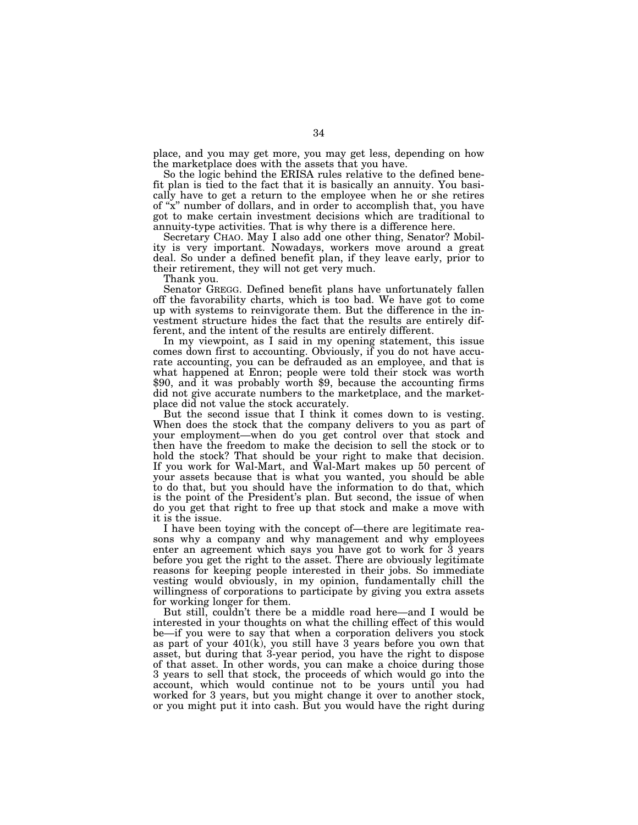place, and you may get more, you may get less, depending on how the marketplace does with the assets that you have.

So the logic behind the ERISA rules relative to the defined benefit plan is tied to the fact that it is basically an annuity. You basically have to get a return to the employee when he or she retires of ''x'' number of dollars, and in order to accomplish that, you have got to make certain investment decisions which are traditional to annuity-type activities. That is why there is a difference here.

Secretary CHAO. May I also add one other thing, Senator? Mobility is very important. Nowadays, workers move around a great deal. So under a defined benefit plan, if they leave early, prior to their retirement, they will not get very much.

Thank you.

Senator GREGG. Defined benefit plans have unfortunately fallen off the favorability charts, which is too bad. We have got to come up with systems to reinvigorate them. But the difference in the investment structure hides the fact that the results are entirely different, and the intent of the results are entirely different.

In my viewpoint, as I said in my opening statement, this issue comes down first to accounting. Obviously, if you do not have accurate accounting, you can be defrauded as an employee, and that is what happened at Enron; people were told their stock was worth \$90, and it was probably worth \$9, because the accounting firms did not give accurate numbers to the marketplace, and the marketplace did not value the stock accurately.

But the second issue that I think it comes down to is vesting. When does the stock that the company delivers to you as part of your employment—when do you get control over that stock and then have the freedom to make the decision to sell the stock or to hold the stock? That should be your right to make that decision. If you work for Wal-Mart, and Wal-Mart makes up 50 percent of your assets because that is what you wanted, you should be able to do that, but you should have the information to do that, which is the point of the President's plan. But second, the issue of when do you get that right to free up that stock and make a move with it is the issue.

I have been toying with the concept of—there are legitimate reasons why a company and why management and why employees enter an agreement which says you have got to work for 3 years before you get the right to the asset. There are obviously legitimate reasons for keeping people interested in their jobs. So immediate vesting would obviously, in my opinion, fundamentally chill the willingness of corporations to participate by giving you extra assets for working longer for them.

But still, couldn't there be a middle road here—and I would be interested in your thoughts on what the chilling effect of this would be—if you were to say that when a corporation delivers you stock as part of your 401(k), you still have 3 years before you own that asset, but during that 3-year period, you have the right to dispose of that asset. In other words, you can make a choice during those 3 years to sell that stock, the proceeds of which would go into the account, which would continue not to be yours until you had worked for 3 years, but you might change it over to another stock, or you might put it into cash. But you would have the right during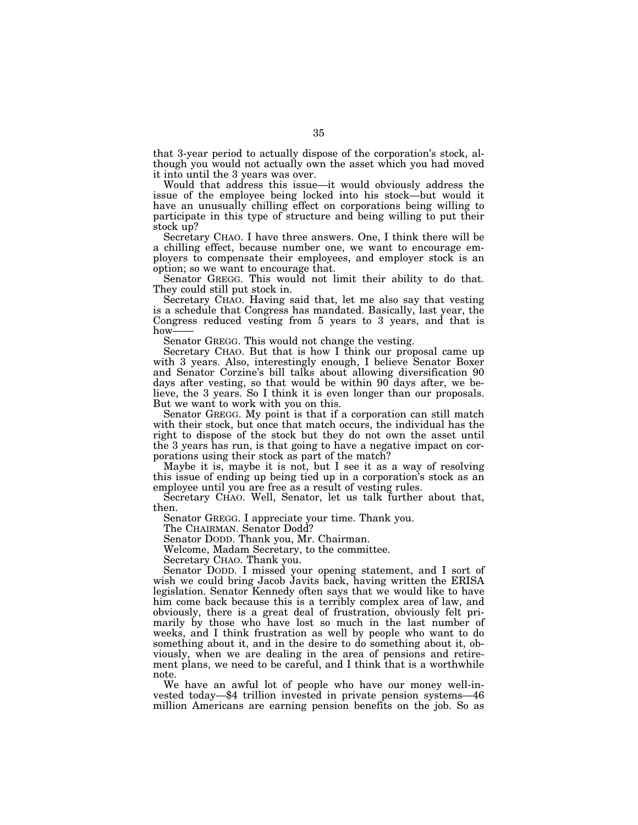that 3-year period to actually dispose of the corporation's stock, although you would not actually own the asset which you had moved it into until the 3 years was over.

Would that address this issue—it would obviously address the issue of the employee being locked into his stock—but would it have an unusually chilling effect on corporations being willing to participate in this type of structure and being willing to put their stock up?

Secretary CHAO. I have three answers. One, I think there will be a chilling effect, because number one, we want to encourage employers to compensate their employees, and employer stock is an option; so we want to encourage that.

Senator GREGG. This would not limit their ability to do that. They could still put stock in.

Secretary CHAO. Having said that, let me also say that vesting is a schedule that Congress has mandated. Basically, last year, the Congress reduced vesting from 5 years to 3 years, and that is how-

Senator GREGG. This would not change the vesting.

Secretary CHAO. But that is how I think our proposal came up with 3 years. Also, interestingly enough, I believe Senator Boxer and Senator Corzine's bill talks about allowing diversification 90 days after vesting, so that would be within 90 days after, we believe, the 3 years. So I think it is even longer than our proposals. But we want to work with you on this.

Senator GREGG. My point is that if a corporation can still match with their stock, but once that match occurs, the individual has the right to dispose of the stock but they do not own the asset until the 3 years has run, is that going to have a negative impact on corporations using their stock as part of the match?

Maybe it is, maybe it is not, but I see it as a way of resolving this issue of ending up being tied up in a corporation's stock as an employee until you are free as a result of vesting rules.

Secretary CHAO. Well, Senator, let us talk further about that, then.

Senator GREGG. I appreciate your time. Thank you.

The CHAIRMAN. Senator Dodd?

Senator DODD. Thank you, Mr. Chairman.

Welcome, Madam Secretary, to the committee.

Secretary CHAO. Thank you.

Senator DODD. I missed your opening statement, and I sort of wish we could bring Jacob Javits back, having written the ERISA legislation. Senator Kennedy often says that we would like to have him come back because this is a terribly complex area of law, and obviously, there is a great deal of frustration, obviously felt primarily by those who have lost so much in the last number of weeks, and I think frustration as well by people who want to do something about it, and in the desire to do something about it, obviously, when we are dealing in the area of pensions and retirement plans, we need to be careful, and I think that is a worthwhile note.

We have an awful lot of people who have our money well-invested today—\$4 trillion invested in private pension systems—46 million Americans are earning pension benefits on the job. So as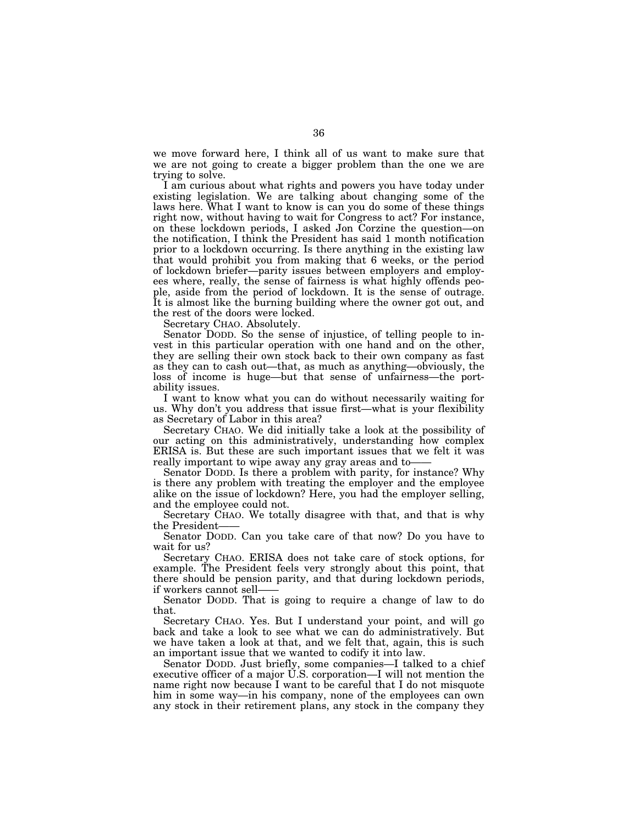we move forward here, I think all of us want to make sure that we are not going to create a bigger problem than the one we are trying to solve.

I am curious about what rights and powers you have today under existing legislation. We are talking about changing some of the laws here. What I want to know is can you do some of these things right now, without having to wait for Congress to act? For instance, on these lockdown periods, I asked Jon Corzine the question—on the notification, I think the President has said 1 month notification prior to a lockdown occurring. Is there anything in the existing law that would prohibit you from making that 6 weeks, or the period of lockdown briefer—parity issues between employers and employees where, really, the sense of fairness is what highly offends people, aside from the period of lockdown. It is the sense of outrage. It is almost like the burning building where the owner got out, and the rest of the doors were locked.

Secretary CHAO. Absolutely.

Senator DODD. So the sense of injustice, of telling people to invest in this particular operation with one hand and on the other, they are selling their own stock back to their own company as fast as they can to cash out—that, as much as anything—obviously, the loss of income is huge—but that sense of unfairness—the portability issues.

I want to know what you can do without necessarily waiting for us. Why don't you address that issue first—what is your flexibility as Secretary of Labor in this area?

Secretary CHAO. We did initially take a look at the possibility of our acting on this administratively, understanding how complex ERISA is. But these are such important issues that we felt it was really important to wipe away any gray areas and to——

Senator DODD. Is there a problem with parity, for instance? Why is there any problem with treating the employer and the employee alike on the issue of lockdown? Here, you had the employer selling, and the employee could not.

Secretary CHAO. We totally disagree with that, and that is why the President-

Senator DODD. Can you take care of that now? Do you have to wait for us?

Secretary CHAO. ERISA does not take care of stock options, for example. The President feels very strongly about this point, that there should be pension parity, and that during lockdown periods, if workers cannot sell——

Senator DODD. That is going to require a change of law to do that.

Secretary CHAO. Yes. But I understand your point, and will go back and take a look to see what we can do administratively. But we have taken a look at that, and we felt that, again, this is such an important issue that we wanted to codify it into law.

Senator DODD. Just briefly, some companies—I talked to a chief executive officer of a major U.S. corporation—I will not mention the name right now because I want to be careful that I do not misquote him in some way—in his company, none of the employees can own any stock in their retirement plans, any stock in the company they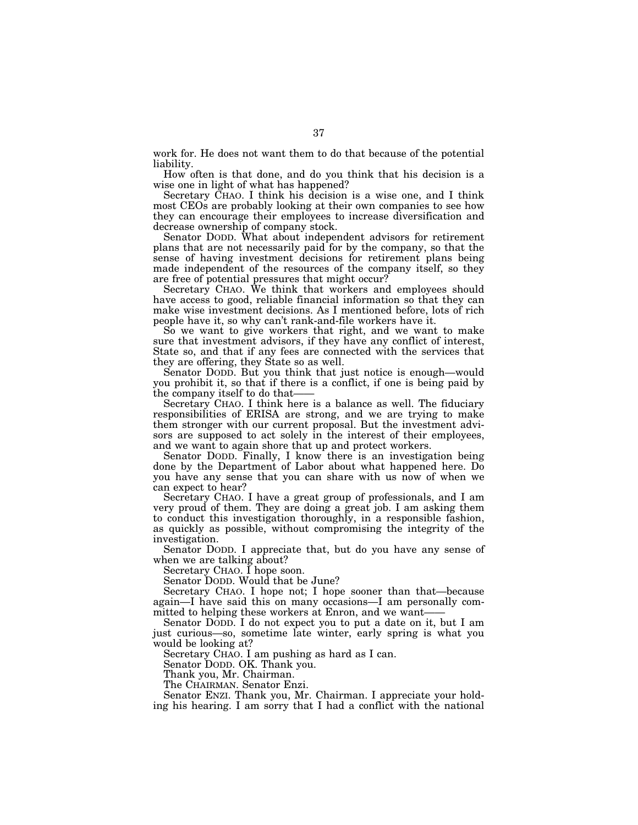work for. He does not want them to do that because of the potential liability.

How often is that done, and do you think that his decision is a wise one in light of what has happened?

Secretary CHAO. I think his decision is a wise one, and I think most CEOs are probably looking at their own companies to see how they can encourage their employees to increase diversification and decrease ownership of company stock.

Senator DODD. What about independent advisors for retirement plans that are not necessarily paid for by the company, so that the sense of having investment decisions for retirement plans being made independent of the resources of the company itself, so they are free of potential pressures that might occur?

Secretary CHAO. We think that workers and employees should have access to good, reliable financial information so that they can make wise investment decisions. As I mentioned before, lots of rich people have it, so why can't rank-and-file workers have it.

So we want to give workers that right, and we want to make sure that investment advisors, if they have any conflict of interest, State so, and that if any fees are connected with the services that they are offering, they State so as well.

Senator DODD. But you think that just notice is enough—would you prohibit it, so that if there is a conflict, if one is being paid by the company itself to do that—

Secretary CHAO. I think here is a balance as well. The fiduciary responsibilities of ERISA are strong, and we are trying to make them stronger with our current proposal. But the investment advisors are supposed to act solely in the interest of their employees, and we want to again shore that up and protect workers.

Senator DODD. Finally, I know there is an investigation being done by the Department of Labor about what happened here. Do you have any sense that you can share with us now of when we can expect to hear?

Secretary CHAO. I have a great group of professionals, and I am very proud of them. They are doing a great job. I am asking them to conduct this investigation thoroughly, in a responsible fashion, as quickly as possible, without compromising the integrity of the investigation.

Senator DODD. I appreciate that, but do you have any sense of when we are talking about?

Secretary CHAO. I hope soon.

Senator DODD. Would that be June?

Secretary CHAO. I hope not; I hope sooner than that—because again—I have said this on many occasions—I am personally committed to helping these workers at Enron, and we want-

Senator DODD. I do not expect you to put a date on it, but I am just curious—so, sometime late winter, early spring is what you would be looking at?

Secretary CHAO. I am pushing as hard as I can.

Senator DODD. OK. Thank you.

Thank you, Mr. Chairman.

The CHAIRMAN. Senator Enzi.

Senator ENZI. Thank you, Mr. Chairman. I appreciate your holding his hearing. I am sorry that I had a conflict with the national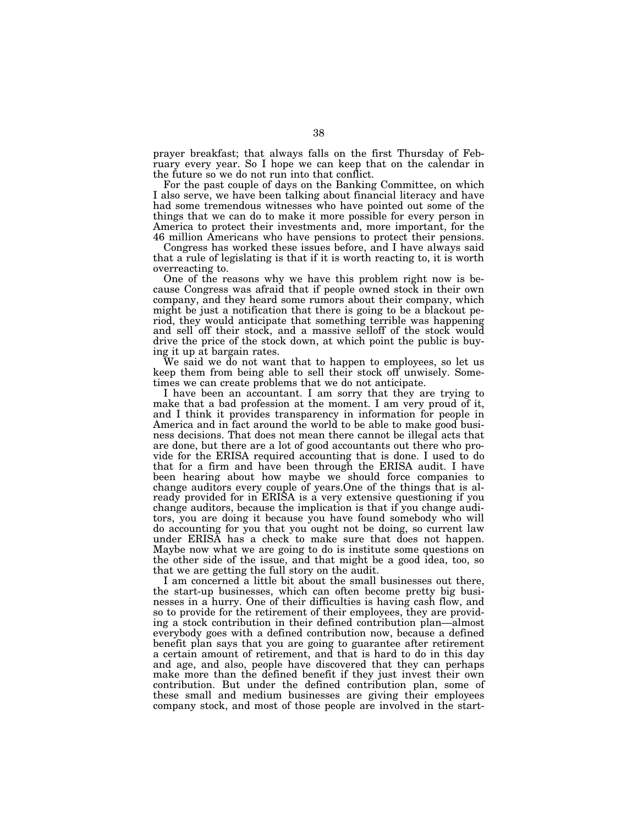prayer breakfast; that always falls on the first Thursday of February every year. So I hope we can keep that on the calendar in the future so we do not run into that conflict.

For the past couple of days on the Banking Committee, on which I also serve, we have been talking about financial literacy and have had some tremendous witnesses who have pointed out some of the things that we can do to make it more possible for every person in America to protect their investments and, more important, for the 46 million Americans who have pensions to protect their pensions.

Congress has worked these issues before, and I have always said that a rule of legislating is that if it is worth reacting to, it is worth overreacting to.

One of the reasons why we have this problem right now is because Congress was afraid that if people owned stock in their own company, and they heard some rumors about their company, which might be just a notification that there is going to be a blackout period, they would anticipate that something terrible was happening and sell off their stock, and a massive selloff of the stock would drive the price of the stock down, at which point the public is buying it up at bargain rates.

We said we do not want that to happen to employees, so let us keep them from being able to sell their stock off unwisely. Sometimes we can create problems that we do not anticipate.

I have been an accountant. I am sorry that they are trying to make that a bad profession at the moment. I am very proud of it, and I think it provides transparency in information for people in America and in fact around the world to be able to make good business decisions. That does not mean there cannot be illegal acts that are done, but there are a lot of good accountants out there who provide for the ERISA required accounting that is done. I used to do that for a firm and have been through the ERISA audit. I have been hearing about how maybe we should force companies to change auditors every couple of years.One of the things that is already provided for in ERISA is a very extensive questioning if you change auditors, because the implication is that if you change auditors, you are doing it because you have found somebody who will do accounting for you that you ought not be doing, so current law under ERISA has a check to make sure that does not happen. Maybe now what we are going to do is institute some questions on the other side of the issue, and that might be a good idea, too, so that we are getting the full story on the audit.

I am concerned a little bit about the small businesses out there, the start-up businesses, which can often become pretty big businesses in a hurry. One of their difficulties is having cash flow, and so to provide for the retirement of their employees, they are providing a stock contribution in their defined contribution plan—almost everybody goes with a defined contribution now, because a defined benefit plan says that you are going to guarantee after retirement a certain amount of retirement, and that is hard to do in this day and age, and also, people have discovered that they can perhaps make more than the defined benefit if they just invest their own contribution. But under the defined contribution plan, some of these small and medium businesses are giving their employees company stock, and most of those people are involved in the start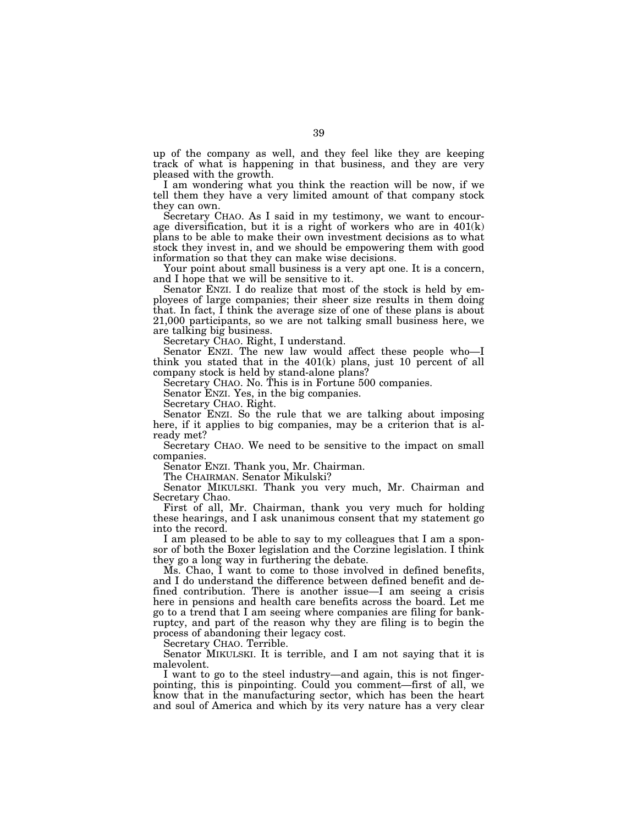up of the company as well, and they feel like they are keeping track of what is happening in that business, and they are very pleased with the growth.

I am wondering what you think the reaction will be now, if we tell them they have a very limited amount of that company stock they can own.

Secretary CHAO. As I said in my testimony, we want to encourage diversification, but it is a right of workers who are in 401(k) plans to be able to make their own investment decisions as to what stock they invest in, and we should be empowering them with good information so that they can make wise decisions.

Your point about small business is a very apt one. It is a concern, and I hope that we will be sensitive to it.

Senator ENZI. I do realize that most of the stock is held by employees of large companies; their sheer size results in them doing that. In fact, I think the average size of one of these plans is about 21,000 participants, so we are not talking small business here, we are talking big business.

Secretary CHAO. Right, I understand.

Senator ENZI. The new law would affect these people who—I think you stated that in the 401(k) plans, just 10 percent of all company stock is held by stand-alone plans?

Secretary CHAO. No. This is in Fortune 500 companies.

Senator ENZI. Yes, in the big companies.

Secretary CHAO. Right.

Senator ENZI. So the rule that we are talking about imposing here, if it applies to big companies, may be a criterion that is already met?

Secretary CHAO. We need to be sensitive to the impact on small companies.

Senator ENZI. Thank you, Mr. Chairman.

The CHAIRMAN. Senator Mikulski?

Senator MIKULSKI. Thank you very much, Mr. Chairman and Secretary Chao.

First of all, Mr. Chairman, thank you very much for holding these hearings, and I ask unanimous consent that my statement go into the record.

I am pleased to be able to say to my colleagues that I am a sponsor of both the Boxer legislation and the Corzine legislation. I think they go a long way in furthering the debate.

Ms. Chao, I want to come to those involved in defined benefits, and I do understand the difference between defined benefit and defined contribution. There is another issue—I am seeing a crisis here in pensions and health care benefits across the board. Let me go to a trend that I am seeing where companies are filing for bankruptcy, and part of the reason why they are filing is to begin the process of abandoning their legacy cost.

Secretary CHAO. Terrible.

Senator MIKULSKI. It is terrible, and I am not saying that it is malevolent.

I want to go to the steel industry—and again, this is not fingerpointing, this is pinpointing. Could you comment—first of all, we know that in the manufacturing sector, which has been the heart and soul of America and which by its very nature has a very clear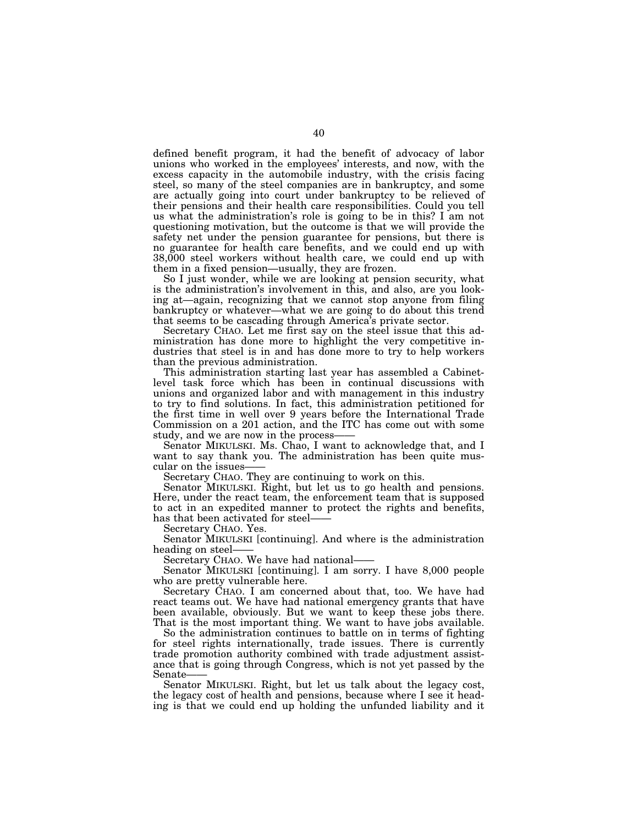defined benefit program, it had the benefit of advocacy of labor unions who worked in the employees' interests, and now, with the excess capacity in the automobile industry, with the crisis facing steel, so many of the steel companies are in bankruptcy, and some are actually going into court under bankruptcy to be relieved of their pensions and their health care responsibilities. Could you tell us what the administration's role is going to be in this? I am not questioning motivation, but the outcome is that we will provide the safety net under the pension guarantee for pensions, but there is no guarantee for health care benefits, and we could end up with 38,000 steel workers without health care, we could end up with them in a fixed pension—usually, they are frozen.

So I just wonder, while we are looking at pension security, what is the administration's involvement in this, and also, are you looking at—again, recognizing that we cannot stop anyone from filing bankruptcy or whatever—what we are going to do about this trend that seems to be cascading through America's private sector.

Secretary CHAO. Let me first say on the steel issue that this administration has done more to highlight the very competitive industries that steel is in and has done more to try to help workers than the previous administration.

This administration starting last year has assembled a Cabinetlevel task force which has been in continual discussions with unions and organized labor and with management in this industry to try to find solutions. In fact, this administration petitioned for the first time in well over 9 years before the International Trade Commission on a 201 action, and the ITC has come out with some

study, and we are now in the process—— Senator MIKULSKI. Ms. Chao, I want to acknowledge that, and I want to say thank you. The administration has been quite muscular on the issues——

Secretary CHAO. They are continuing to work on this.

Senator MIKULSKI. Right, but let us to go health and pensions. Here, under the react team, the enforcement team that is supposed to act in an expedited manner to protect the rights and benefits, has that been activated for steel–<br>Secretary CHAO. Yes.

Senator MIKULSKI [continuing]. And where is the administration heading on steel—

Secretary CHAO. We have had national-

Senator MIKULSKI [continuing]. I am sorry. I have 8,000 people who are pretty vulnerable here.

Secretary CHAO. I am concerned about that, too. We have had react teams out. We have had national emergency grants that have been available, obviously. But we want to keep these jobs there. That is the most important thing. We want to have jobs available.

So the administration continues to battle on in terms of fighting for steel rights internationally, trade issues. There is currently trade promotion authority combined with trade adjustment assistance that is going through Congress, which is not yet passed by the

Senator MIKULSKI. Right, but let us talk about the legacy cost, the legacy cost of health and pensions, because where I see it heading is that we could end up holding the unfunded liability and it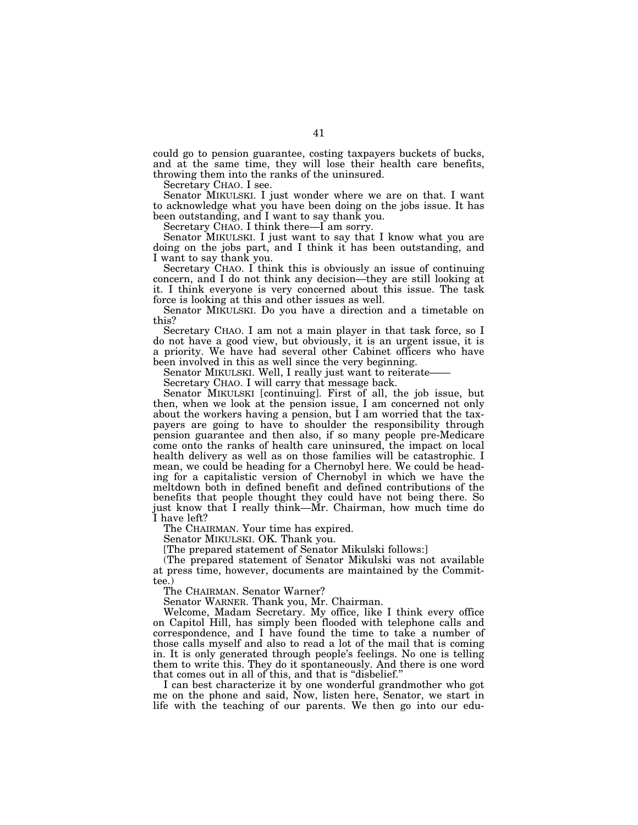could go to pension guarantee, costing taxpayers buckets of bucks, and at the same time, they will lose their health care benefits, throwing them into the ranks of the uninsured.

Secretary CHAO. I see.

Senator MIKULSKI. I just wonder where we are on that. I want to acknowledge what you have been doing on the jobs issue. It has been outstanding, and I want to say thank you.

Secretary CHAO. I think there—I am sorry.

Senator MIKULSKI. I just want to say that I know what you are doing on the jobs part, and I think it has been outstanding, and I want to say thank you.

Secretary CHAO. I think this is obviously an issue of continuing concern, and I do not think any decision—they are still looking at it. I think everyone is very concerned about this issue. The task force is looking at this and other issues as well.

Senator MIKULSKI. Do you have a direction and a timetable on this?

Secretary CHAO. I am not a main player in that task force, so I do not have a good view, but obviously, it is an urgent issue, it is a priority. We have had several other Cabinet officers who have

been involved in this as well since the very beginning.<br>Senator MIKULSKI. Well, I really just want to reiterate-

Secretary CHAO. I will carry that message back.

Senator MIKULSKI [continuing]. First of all, the job issue, but then, when we look at the pension issue, I am concerned not only about the workers having a pension, but I am worried that the taxpayers are going to have to shoulder the responsibility through pension guarantee and then also, if so many people pre-Medicare come onto the ranks of health care uninsured, the impact on local health delivery as well as on those families will be catastrophic. I mean, we could be heading for a Chernobyl here. We could be heading for a capitalistic version of Chernobyl in which we have the meltdown both in defined benefit and defined contributions of the benefits that people thought they could have not being there. So just know that I really think—Mr. Chairman, how much time do I have left?

The CHAIRMAN. Your time has expired.

Senator MIKULSKI. OK. Thank you.

[The prepared statement of Senator Mikulski follows:]

(The prepared statement of Senator Mikulski was not available at press time, however, documents are maintained by the Committee.)

The CHAIRMAN. Senator Warner?

Senator WARNER. Thank you, Mr. Chairman.

Welcome, Madam Secretary. My office, like I think every office on Capitol Hill, has simply been flooded with telephone calls and correspondence, and I have found the time to take a number of those calls myself and also to read a lot of the mail that is coming in. It is only generated through people's feelings. No one is telling them to write this. They do it spontaneously. And there is one word that comes out in all of this, and that is "disbelief."

I can best characterize it by one wonderful grandmother who got me on the phone and said, Now, listen here, Senator, we start in life with the teaching of our parents. We then go into our edu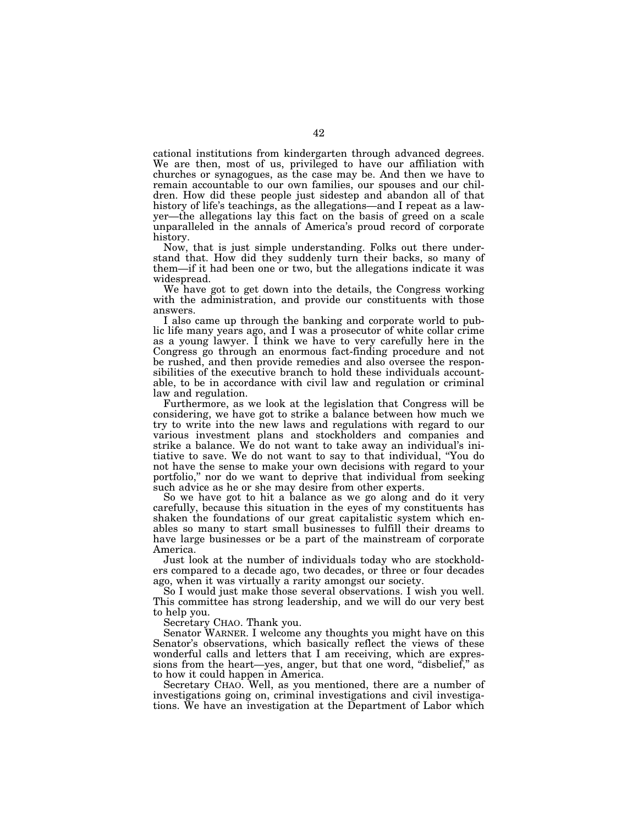cational institutions from kindergarten through advanced degrees. We are then, most of us, privileged to have our affiliation with churches or synagogues, as the case may be. And then we have to remain accountable to our own families, our spouses and our children. How did these people just sidestep and abandon all of that history of life's teachings, as the allegations—and I repeat as a lawyer—the allegations lay this fact on the basis of greed on a scale unparalleled in the annals of America's proud record of corporate history.

Now, that is just simple understanding. Folks out there understand that. How did they suddenly turn their backs, so many of them—if it had been one or two, but the allegations indicate it was widespread.

We have got to get down into the details, the Congress working with the administration, and provide our constituents with those answers.

I also came up through the banking and corporate world to public life many years ago, and I was a prosecutor of white collar crime as a young lawyer. I think we have to very carefully here in the Congress go through an enormous fact-finding procedure and not be rushed, and then provide remedies and also oversee the responsibilities of the executive branch to hold these individuals accountable, to be in accordance with civil law and regulation or criminal law and regulation.

Furthermore, as we look at the legislation that Congress will be considering, we have got to strike a balance between how much we try to write into the new laws and regulations with regard to our various investment plans and stockholders and companies and strike a balance. We do not want to take away an individual's initiative to save. We do not want to say to that individual, ''You do not have the sense to make your own decisions with regard to your portfolio,'' nor do we want to deprive that individual from seeking such advice as he or she may desire from other experts.

So we have got to hit a balance as we go along and do it very carefully, because this situation in the eyes of my constituents has shaken the foundations of our great capitalistic system which enables so many to start small businesses to fulfill their dreams to have large businesses or be a part of the mainstream of corporate America.

Just look at the number of individuals today who are stockholders compared to a decade ago, two decades, or three or four decades ago, when it was virtually a rarity amongst our society.

So I would just make those several observations. I wish you well. This committee has strong leadership, and we will do our very best to help you.

Secretary CHAO. Thank you.

Senator WARNER. I welcome any thoughts you might have on this Senator's observations, which basically reflect the views of these wonderful calls and letters that I am receiving, which are expressions from the heart—yes, anger, but that one word, "disbelief," as to how it could happen in America.

Secretary CHAO. Well, as you mentioned, there are a number of investigations going on, criminal investigations and civil investigations. We have an investigation at the Department of Labor which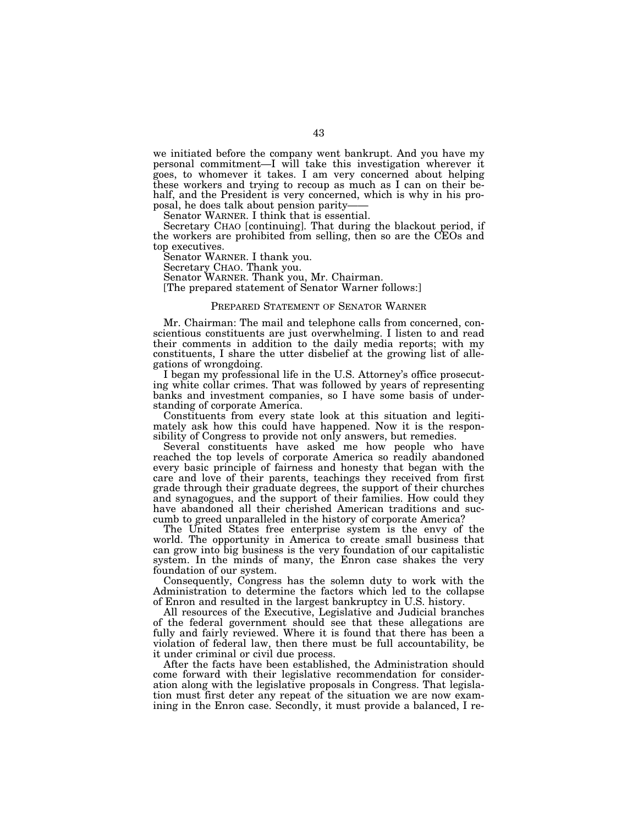we initiated before the company went bankrupt. And you have my personal commitment—I will take this investigation wherever it goes, to whomever it takes. I am very concerned about helping these workers and trying to recoup as much as I can on their behalf, and the President is very concerned, which is why in his proposal, he does talk about pension parity—

Senator WARNER. I think that is essential.

Secretary CHAO [continuing]. That during the blackout period, if the workers are prohibited from selling, then so are the CEOs and top executives.

Senator WARNER. I thank you.

Secretary CHAO. Thank you.

Senator WARNER. Thank you, Mr. Chairman.

[The prepared statement of Senator Warner follows:]

## PREPARED STATEMENT OF SENATOR WARNER

Mr. Chairman: The mail and telephone calls from concerned, conscientious constituents are just overwhelming. I listen to and read their comments in addition to the daily media reports; with my constituents, I share the utter disbelief at the growing list of allegations of wrongdoing.

I began my professional life in the U.S. Attorney's office prosecuting white collar crimes. That was followed by years of representing banks and investment companies, so I have some basis of understanding of corporate America.

Constituents from every state look at this situation and legitimately ask how this could have happened. Now it is the responsibility of Congress to provide not only answers, but remedies.

Several constituents have asked me how people who have reached the top levels of corporate America so readily abandoned every basic principle of fairness and honesty that began with the care and love of their parents, teachings they received from first grade through their graduate degrees, the support of their churches and synagogues, and the support of their families. How could they have abandoned all their cherished American traditions and succumb to greed unparalleled in the history of corporate America?

The United States free enterprise system is the envy of the world. The opportunity in America to create small business that can grow into big business is the very foundation of our capitalistic system. In the minds of many, the Enron case shakes the very foundation of our system.

Consequently, Congress has the solemn duty to work with the Administration to determine the factors which led to the collapse of Enron and resulted in the largest bankruptcy in U.S. history.

All resources of the Executive, Legislative and Judicial branches of the federal government should see that these allegations are fully and fairly reviewed. Where it is found that there has been a violation of federal law, then there must be full accountability, be it under criminal or civil due process.

After the facts have been established, the Administration should come forward with their legislative recommendation for consideration along with the legislative proposals in Congress. That legislation must first deter any repeat of the situation we are now examining in the Enron case. Secondly, it must provide a balanced, I re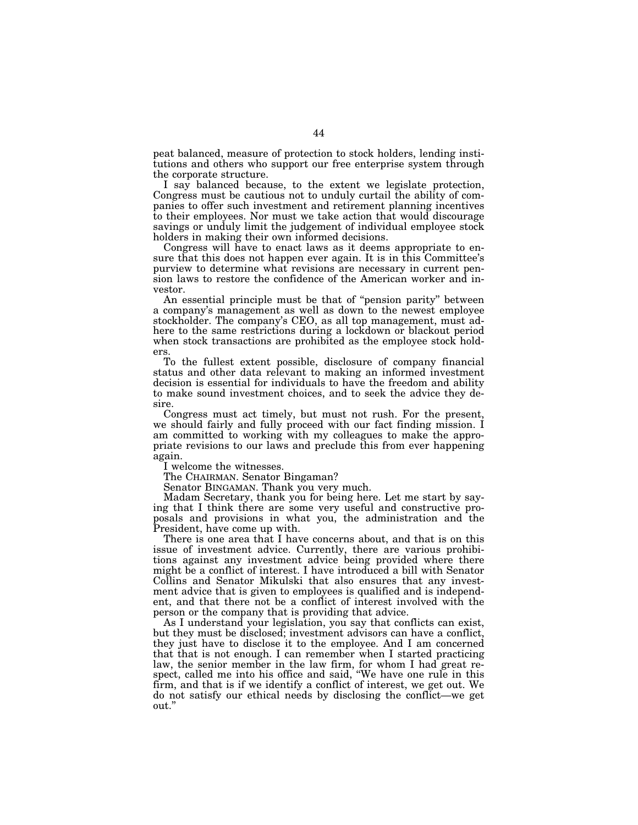peat balanced, measure of protection to stock holders, lending institutions and others who support our free enterprise system through the corporate structure.

I say balanced because, to the extent we legislate protection, Congress must be cautious not to unduly curtail the ability of companies to offer such investment and retirement planning incentives to their employees. Nor must we take action that would discourage savings or unduly limit the judgement of individual employee stock holders in making their own informed decisions.

Congress will have to enact laws as it deems appropriate to ensure that this does not happen ever again. It is in this Committee's purview to determine what revisions are necessary in current pension laws to restore the confidence of the American worker and investor.

An essential principle must be that of ''pension parity'' between a company's management as well as down to the newest employee stockholder. The company's CEO, as all top management, must adhere to the same restrictions during a lockdown or blackout period when stock transactions are prohibited as the employee stock holders.

To the fullest extent possible, disclosure of company financial status and other data relevant to making an informed investment decision is essential for individuals to have the freedom and ability to make sound investment choices, and to seek the advice they desire.

Congress must act timely, but must not rush. For the present, we should fairly and fully proceed with our fact finding mission. I am committed to working with my colleagues to make the appropriate revisions to our laws and preclude this from ever happening again.

I welcome the witnesses.

The CHAIRMAN. Senator Bingaman?

Senator BINGAMAN. Thank you very much.

Madam Secretary, thank you for being here. Let me start by saying that I think there are some very useful and constructive proposals and provisions in what you, the administration and the President, have come up with.

There is one area that I have concerns about, and that is on this issue of investment advice. Currently, there are various prohibitions against any investment advice being provided where there might be a conflict of interest. I have introduced a bill with Senator Collins and Senator Mikulski that also ensures that any investment advice that is given to employees is qualified and is independent, and that there not be a conflict of interest involved with the person or the company that is providing that advice.

As I understand your legislation, you say that conflicts can exist, but they must be disclosed; investment advisors can have a conflict, they just have to disclose it to the employee. And I am concerned that that is not enough. I can remember when I started practicing law, the senior member in the law firm, for whom I had great respect, called me into his office and said, ''We have one rule in this firm, and that is if we identify a conflict of interest, we get out. We do not satisfy our ethical needs by disclosing the conflict—we get out.''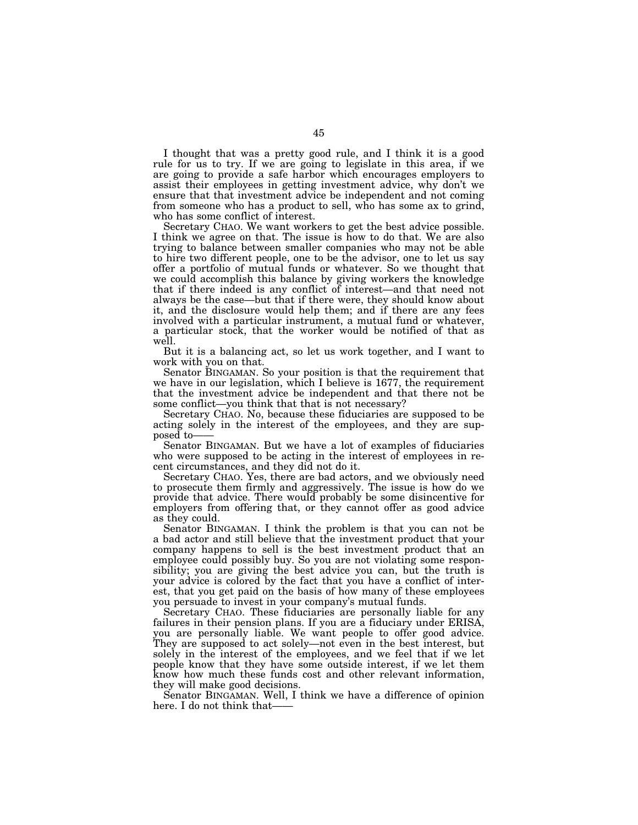I thought that was a pretty good rule, and I think it is a good rule for us to try. If we are going to legislate in this area, if we are going to provide a safe harbor which encourages employers to assist their employees in getting investment advice, why don't we ensure that that investment advice be independent and not coming from someone who has a product to sell, who has some ax to grind, who has some conflict of interest.

Secretary CHAO. We want workers to get the best advice possible. I think we agree on that. The issue is how to do that. We are also trying to balance between smaller companies who may not be able to hire two different people, one to be the advisor, one to let us say offer a portfolio of mutual funds or whatever. So we thought that we could accomplish this balance by giving workers the knowledge that if there indeed is any conflict of interest—and that need not always be the case—but that if there were, they should know about it, and the disclosure would help them; and if there are any fees involved with a particular instrument, a mutual fund or whatever, a particular stock, that the worker would be notified of that as well.

But it is a balancing act, so let us work together, and I want to work with you on that.

Senator BINGAMAN. So your position is that the requirement that we have in our legislation, which I believe is 1677, the requirement that the investment advice be independent and that there not be some conflict—you think that that is not necessary?

Secretary CHAO. No, because these fiduciaries are supposed to be acting solely in the interest of the employees, and they are sup-

Senator BINGAMAN. But we have a lot of examples of fiduciaries who were supposed to be acting in the interest of employees in recent circumstances, and they did not do it.

Secretary CHAO. Yes, there are bad actors, and we obviously need to prosecute them firmly and aggressively. The issue is how do we provide that advice. There would probably be some disincentive for employers from offering that, or they cannot offer as good advice as they could.

Senator BINGAMAN. I think the problem is that you can not be a bad actor and still believe that the investment product that your company happens to sell is the best investment product that an employee could possibly buy. So you are not violating some responsibility; you are giving the best advice you can, but the truth is your advice is colored by the fact that you have a conflict of interest, that you get paid on the basis of how many of these employees you persuade to invest in your company's mutual funds.

Secretary CHAO. These fiduciaries are personally liable for any failures in their pension plans. If you are a fiduciary under ERISA, you are personally liable. We want people to offer good advice. They are supposed to act solely—not even in the best interest, but solely in the interest of the employees, and we feel that if we let people know that they have some outside interest, if we let them know how much these funds cost and other relevant information, they will make good decisions.

Senator BINGAMAN. Well, I think we have a difference of opinion here. I do not think that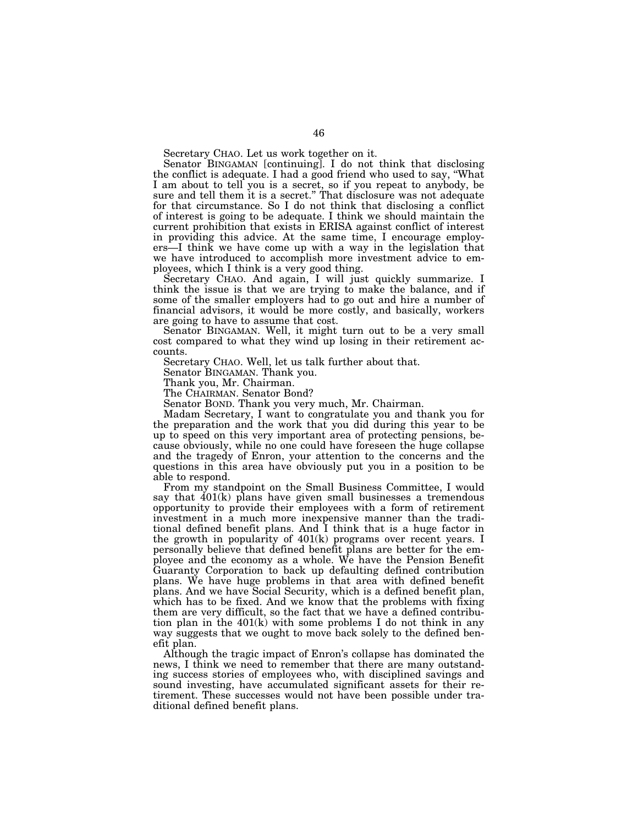Secretary CHAO. Let us work together on it.

Senator BINGAMAN [continuing]. I do not think that disclosing the conflict is adequate. I had a good friend who used to say, ''What I am about to tell you is a secret, so if you repeat to anybody, be sure and tell them it is a secret.'' That disclosure was not adequate for that circumstance. So I do not think that disclosing a conflict of interest is going to be adequate. I think we should maintain the current prohibition that exists in ERISA against conflict of interest in providing this advice. At the same time, I encourage employers—I think we have come up with a way in the legislation that we have introduced to accomplish more investment advice to employees, which I think is a very good thing.

Secretary CHAO. And again, I will just quickly summarize. I think the issue is that we are trying to make the balance, and if some of the smaller employers had to go out and hire a number of financial advisors, it would be more costly, and basically, workers are going to have to assume that cost.

Senator BINGAMAN. Well, it might turn out to be a very small cost compared to what they wind up losing in their retirement accounts.

Secretary CHAO. Well, let us talk further about that.

Senator BINGAMAN. Thank you.

Thank you, Mr. Chairman.

The CHAIRMAN. Senator Bond?

Senator BOND. Thank you very much, Mr. Chairman.

Madam Secretary, I want to congratulate you and thank you for the preparation and the work that you did during this year to be up to speed on this very important area of protecting pensions, because obviously, while no one could have foreseen the huge collapse and the tragedy of Enron, your attention to the concerns and the questions in this area have obviously put you in a position to be able to respond.

From my standpoint on the Small Business Committee, I would say that  $401(k)$  plans have given small businesses a tremendous opportunity to provide their employees with a form of retirement investment in a much more inexpensive manner than the traditional defined benefit plans. And I think that is a huge factor in the growth in popularity of 401(k) programs over recent years. I personally believe that defined benefit plans are better for the employee and the economy as a whole. We have the Pension Benefit Guaranty Corporation to back up defaulting defined contribution plans. We have huge problems in that area with defined benefit plans. And we have Social Security, which is a defined benefit plan, which has to be fixed. And we know that the problems with fixing them are very difficult, so the fact that we have a defined contribution plan in the 401(k) with some problems I do not think in any way suggests that we ought to move back solely to the defined benefit plan.

Although the tragic impact of Enron's collapse has dominated the news, I think we need to remember that there are many outstanding success stories of employees who, with disciplined savings and sound investing, have accumulated significant assets for their retirement. These successes would not have been possible under traditional defined benefit plans.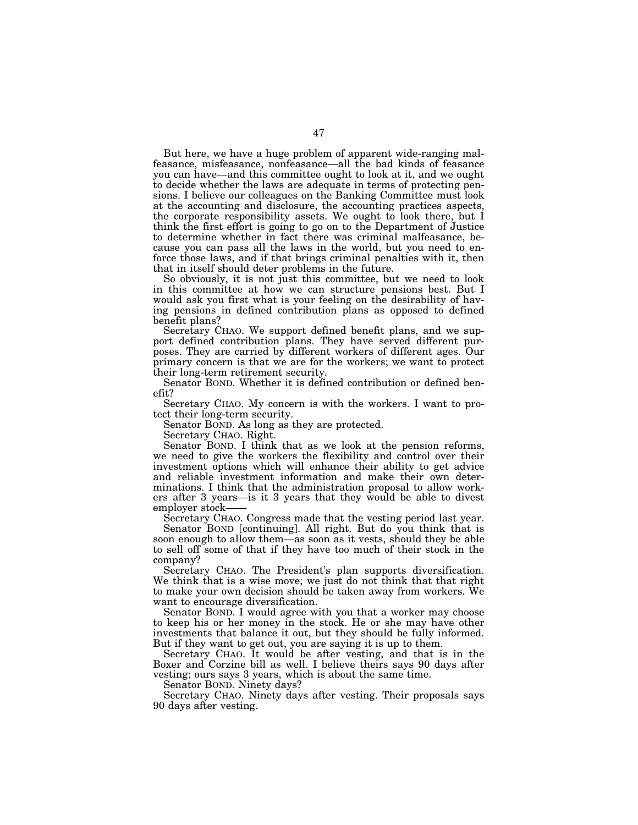But here, we have a huge problem of apparent wide-ranging malfeasance, misfeasance, nonfeasance—all the bad kinds of feasance you can have—and this committee ought to look at it, and we ought to decide whether the laws are adequate in terms of protecting pensions. I believe our colleagues on the Banking Committee must look at the accounting and disclosure, the accounting practices aspects, the corporate responsibility assets. We ought to look there, but I think the first effort is going to go on to the Department of Justice to determine whether in fact there was criminal malfeasance, because you can pass all the laws in the world, but you need to enforce those laws, and if that brings criminal penalties with it, then that in itself should deter problems in the future.

So obviously, it is not just this committee, but we need to look in this committee at how we can structure pensions best. But I would ask you first what is your feeling on the desirability of having pensions in defined contribution plans as opposed to defined benefit plans?

Secretary CHAO. We support defined benefit plans, and we support defined contribution plans. They have served different purposes. They are carried by different workers of different ages. Our primary concern is that we are for the workers; we want to protect their long-term retirement security.

Senator BOND. Whether it is defined contribution or defined benefit?

Secretary CHAO. My concern is with the workers. I want to protect their long-term security.

Senator BOND. As long as they are protected.

Secretary CHAO. Right.

Senator BOND. I think that as we look at the pension reforms, we need to give the workers the flexibility and control over their investment options which will enhance their ability to get advice and reliable investment information and make their own determinations. I think that the administration proposal to allow workers after 3 years—is it 3 years that they would be able to divest

Secretary CHAO. Congress made that the vesting period last year.

Senator BOND [continuing]. All right. But do you think that is soon enough to allow them—as soon as it vests, should they be able to sell off some of that if they have too much of their stock in the company?

Secretary CHAO. The President's plan supports diversification. We think that is a wise move; we just do not think that that right to make your own decision should be taken away from workers. We want to encourage diversification.

Senator BOND. I would agree with you that a worker may choose to keep his or her money in the stock. He or she may have other investments that balance it out, but they should be fully informed. But if they want to get out, you are saying it is up to them.

Secretary CHAO. It would be after vesting, and that is in the Boxer and Corzine bill as well. I believe theirs says 90 days after vesting; ours says 3 years, which is about the same time.

Senator BOND. Ninety days?

Secretary CHAO. Ninety days after vesting. Their proposals says 90 days after vesting.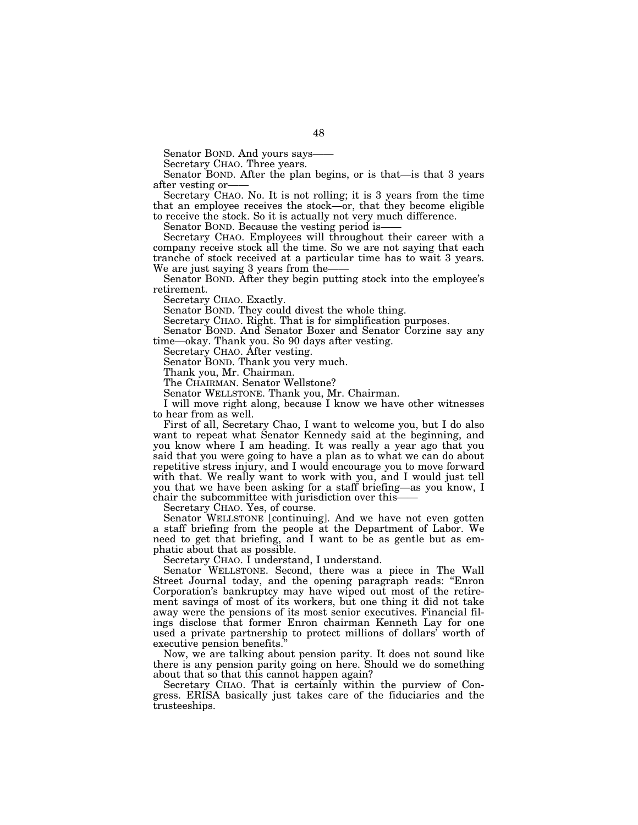Senator BOND. And yours says-<br>Secretary CHAO. Three years.

Senator BOND. After the plan begins, or is that—is that 3 years

after vesting or——<br>Secretary CHAO. No. It is not rolling; it is 3 years from the time that an employee receives the stock—or, that they become eligible to receive the stock. So it is actually not very much difference.

Senator BOND. Because the vesting period is——<br>Secretary CHAO. Employees will throughout their career with a company receive stock all the time. So we are not saying that each tranche of stock received at a particular time has to wait 3 years.

We are just saying 3 years from the——<br>Senator BOND. After they begin putting stock into the employee's retirement.

Secretary CHAO. Exactly.

Senator BOND. They could divest the whole thing.

Secretary CHAO. Right. That is for simplification purposes.

Senator BOND. And Senator Boxer and Senator Corzine say any time—okay. Thank you. So 90 days after vesting.

Secretary CHAO. After vesting.

Senator BOND. Thank you very much.

Thank you, Mr. Chairman.

The CHAIRMAN. Senator Wellstone?

Senator WELLSTONE. Thank you, Mr. Chairman.

I will move right along, because I know we have other witnesses to hear from as well.

First of all, Secretary Chao, I want to welcome you, but I do also want to repeat what Senator Kennedy said at the beginning, and you know where I am heading. It was really a year ago that you said that you were going to have a plan as to what we can do about repetitive stress injury, and I would encourage you to move forward with that. We really want to work with you, and I would just tell you that we have been asking for a staff briefing—as you know, I chair the subcommittee with jurisdiction over this——

Secretary CHAO. Yes, of course.

Senator WELLSTONE [continuing]. And we have not even gotten a staff briefing from the people at the Department of Labor. We need to get that briefing, and I want to be as gentle but as emphatic about that as possible.

Secretary CHAO. I understand, I understand.

Senator WELLSTONE. Second, there was a piece in The Wall Street Journal today, and the opening paragraph reads: "Enron Corporation's bankruptcy may have wiped out most of the retirement savings of most of its workers, but one thing it did not take away were the pensions of its most senior executives. Financial filings disclose that former Enron chairman Kenneth Lay for one used a private partnership to protect millions of dollars' worth of executive pension benefits.''

Now, we are talking about pension parity. It does not sound like there is any pension parity going on here. Should we do something about that so that this cannot happen again?

Secretary CHAO. That is certainly within the purview of Congress. ERISA basically just takes care of the fiduciaries and the trusteeships.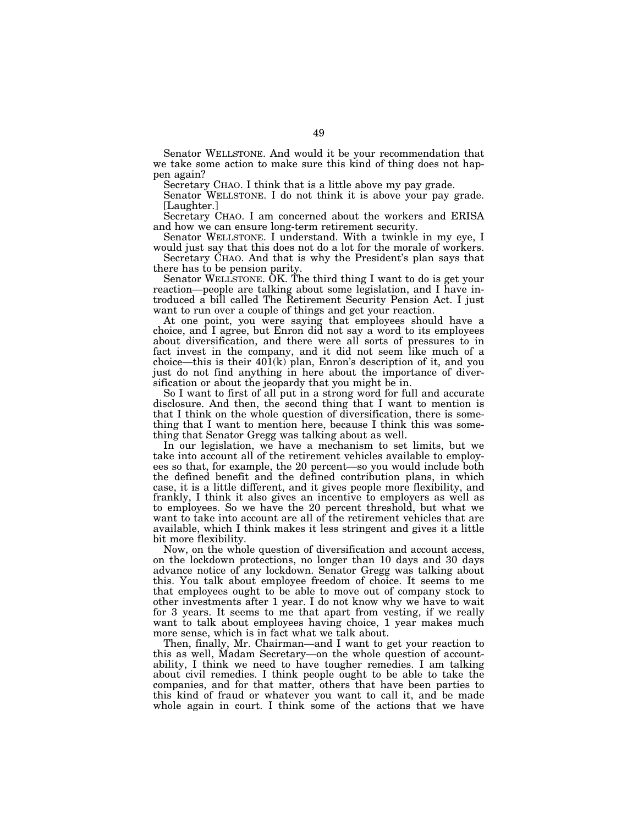Senator WELLSTONE. And would it be your recommendation that we take some action to make sure this kind of thing does not happen again?

Secretary CHAO. I think that is a little above my pay grade.

Senator WELLSTONE. I do not think it is above your pay grade. [Laughter.]

Secretary CHAO. I am concerned about the workers and ERISA and how we can ensure long-term retirement security.

Senator WELLSTONE. I understand. With a twinkle in my eye, I would just say that this does not do a lot for the morale of workers.

Secretary CHAO. And that is why the President's plan says that there has to be pension parity.

Senator WELLSTONE. OK. The third thing I want to do is get your reaction—people are talking about some legislation, and I have introduced a bill called The Retirement Security Pension Act. I just want to run over a couple of things and get your reaction.

At one point, you were saying that employees should have a choice, and I agree, but Enron did not say a word to its employees about diversification, and there were all sorts of pressures to in fact invest in the company, and it did not seem like much of a choice—this is their 401(k) plan, Enron's description of it, and you just do not find anything in here about the importance of diversification or about the jeopardy that you might be in.

So I want to first of all put in a strong word for full and accurate disclosure. And then, the second thing that I want to mention is that I think on the whole question of diversification, there is something that I want to mention here, because I think this was something that Senator Gregg was talking about as well.

In our legislation, we have a mechanism to set limits, but we take into account all of the retirement vehicles available to employees so that, for example, the 20 percent—so you would include both the defined benefit and the defined contribution plans, in which case, it is a little different, and it gives people more flexibility, and frankly, I think it also gives an incentive to employers as well as to employees. So we have the 20 percent threshold, but what we want to take into account are all of the retirement vehicles that are available, which I think makes it less stringent and gives it a little bit more flexibility.

Now, on the whole question of diversification and account access, on the lockdown protections, no longer than 10 days and 30 days advance notice of any lockdown. Senator Gregg was talking about this. You talk about employee freedom of choice. It seems to me that employees ought to be able to move out of company stock to other investments after 1 year. I do not know why we have to wait for 3 years. It seems to me that apart from vesting, if we really want to talk about employees having choice, 1 year makes much more sense, which is in fact what we talk about.

Then, finally, Mr. Chairman—and I want to get your reaction to this as well, Madam Secretary—on the whole question of accountability, I think we need to have tougher remedies. I am talking about civil remedies. I think people ought to be able to take the companies, and for that matter, others that have been parties to this kind of fraud or whatever you want to call it, and be made whole again in court. I think some of the actions that we have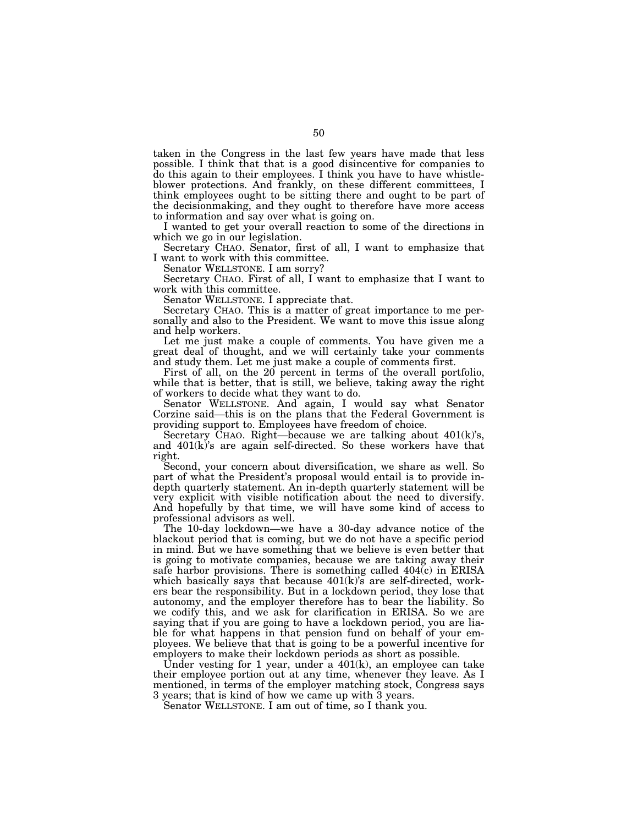taken in the Congress in the last few years have made that less possible. I think that that is a good disincentive for companies to do this again to their employees. I think you have to have whistleblower protections. And frankly, on these different committees, I think employees ought to be sitting there and ought to be part of the decisionmaking, and they ought to therefore have more access to information and say over what is going on.

I wanted to get your overall reaction to some of the directions in which we go in our legislation.

Secretary CHAO. Senator, first of all, I want to emphasize that I want to work with this committee.

Senator WELLSTONE. I am sorry?

Secretary CHAO. First of all, I want to emphasize that I want to work with this committee.

Senator WELLSTONE. I appreciate that.

Secretary CHAO. This is a matter of great importance to me personally and also to the President. We want to move this issue along and help workers.

Let me just make a couple of comments. You have given me a great deal of thought, and we will certainly take your comments and study them. Let me just make a couple of comments first.

First of all, on the 20 percent in terms of the overall portfolio, while that is better, that is still, we believe, taking away the right of workers to decide what they want to do.

Senator WELLSTONE. And again, I would say what Senator Corzine said—this is on the plans that the Federal Government is providing support to. Employees have freedom of choice.

Secretary CHAO. Right—because we are talking about 401(k)'s, and 401(k)'s are again self-directed. So these workers have that right.

Second, your concern about diversification, we share as well. So part of what the President's proposal would entail is to provide indepth quarterly statement. An in-depth quarterly statement will be very explicit with visible notification about the need to diversify. And hopefully by that time, we will have some kind of access to professional advisors as well.

The 10-day lockdown—we have a 30-day advance notice of the blackout period that is coming, but we do not have a specific period in mind. But we have something that we believe is even better that is going to motivate companies, because we are taking away their safe harbor provisions. There is something called 404(c) in ERISA which basically says that because  $401(k)$ 's are self-directed, workers bear the responsibility. But in a lockdown period, they lose that autonomy, and the employer therefore has to bear the liability. So we codify this, and we ask for clarification in ERISA. So we are saying that if you are going to have a lockdown period, you are liable for what happens in that pension fund on behalf of your employees. We believe that that is going to be a powerful incentive for employers to make their lockdown periods as short as possible.

Under vesting for 1 year, under a 401(k), an employee can take their employee portion out at any time, whenever they leave. As I mentioned, in terms of the employer matching stock, Congress says 3 years; that is kind of how we came up with 3 years.

Senator WELLSTONE. I am out of time, so I thank you.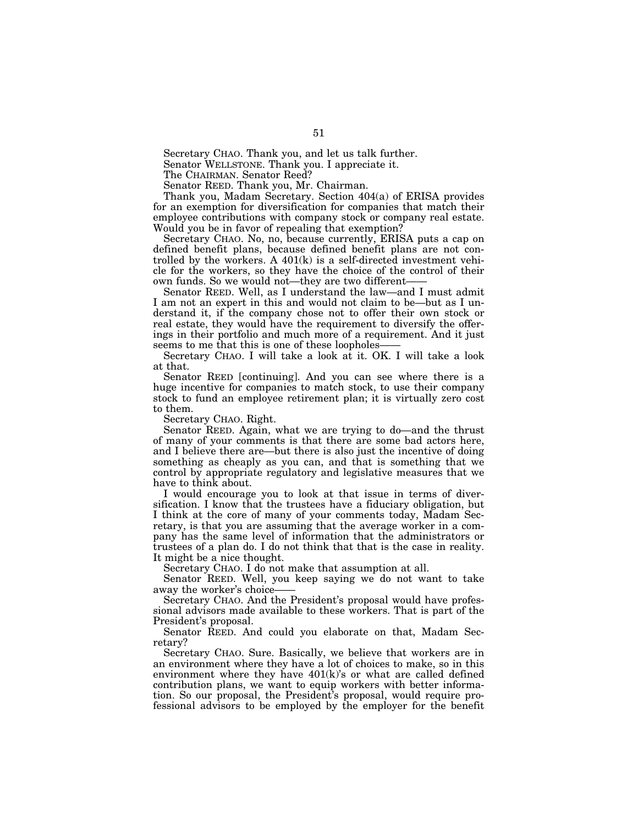Secretary CHAO. Thank you, and let us talk further.

Senator WELLSTONE. Thank you. I appreciate it.

The CHAIRMAN. Senator Reed?

Senator REED. Thank you, Mr. Chairman.

Thank you, Madam Secretary. Section 404(a) of ERISA provides for an exemption for diversification for companies that match their employee contributions with company stock or company real estate. Would you be in favor of repealing that exemption?

Secretary CHAO. No, no, because currently, ERISA puts a cap on defined benefit plans, because defined benefit plans are not controlled by the workers. A 401(k) is a self-directed investment vehicle for the workers, so they have the choice of the control of their own funds. So we would not—they are two different-

Senator REED. Well, as I understand the law—and I must admit I am not an expert in this and would not claim to be—but as I understand it, if the company chose not to offer their own stock or real estate, they would have the requirement to diversify the offerings in their portfolio and much more of a requirement. And it just seems to me that this is one of these loopholes-

Secretary CHAO. I will take a look at it. OK. I will take a look at that.

Senator REED [continuing]. And you can see where there is a huge incentive for companies to match stock, to use their company stock to fund an employee retirement plan; it is virtually zero cost to them.

Secretary CHAO. Right.

Senator REED. Again, what we are trying to do—and the thrust of many of your comments is that there are some bad actors here, and I believe there are—but there is also just the incentive of doing something as cheaply as you can, and that is something that we control by appropriate regulatory and legislative measures that we have to think about.

I would encourage you to look at that issue in terms of diversification. I know that the trustees have a fiduciary obligation, but I think at the core of many of your comments today, Madam Secretary, is that you are assuming that the average worker in a company has the same level of information that the administrators or trustees of a plan do. I do not think that that is the case in reality. It might be a nice thought.

Secretary CHAO. I do not make that assumption at all.

Senator REED. Well, you keep saying we do not want to take away the worker's choice-

Secretary CHAO. And the President's proposal would have professional advisors made available to these workers. That is part of the President's proposal.

Senator REED. And could you elaborate on that, Madam Secretary?

Secretary CHAO. Sure. Basically, we believe that workers are in an environment where they have a lot of choices to make, so in this environment where they have  $401(k)$ 's or what are called defined contribution plans, we want to equip workers with better information. So our proposal, the President's proposal, would require professional advisors to be employed by the employer for the benefit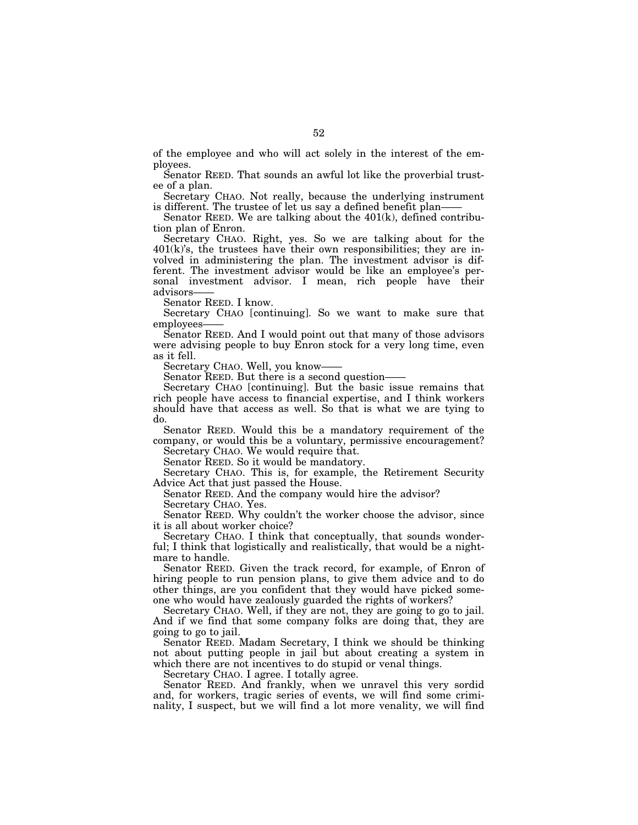of the employee and who will act solely in the interest of the employees.

Senator REED. That sounds an awful lot like the proverbial trustee of a plan.

Secretary CHAO. Not really, because the underlying instrument is different. The trustee of let us say a defined benefit plan-

Senator REED. We are talking about the  $401(k)$ , defined contribution plan of Enron.

Secretary CHAO. Right, yes. So we are talking about for the  $401(k)$ 's, the trustees have their own responsibilities; they are involved in administering the plan. The investment advisor is different. The investment advisor would be like an employee's personal investment advisor. I mean, rich people have their advisors——

Senator REED. I know.

Secretary CHAO [continuing]. So we want to make sure that employees-

Senator REED. And I would point out that many of those advisors were advising people to buy Enron stock for a very long time, even as it fell.

Secretary CHAO. Well, you know——

Senator REED. But there is a second question-

Secretary CHAO [continuing]. But the basic issue remains that rich people have access to financial expertise, and I think workers should have that access as well. So that is what we are tying to do.

Senator REED. Would this be a mandatory requirement of the company, or would this be a voluntary, permissive encouragement? Secretary CHAO. We would require that.

Senator REED. So it would be mandatory.

Secretary CHAO. This is, for example, the Retirement Security Advice Act that just passed the House.

Senator REED. And the company would hire the advisor? Secretary CHAO. Yes.

Senator REED. Why couldn't the worker choose the advisor, since it is all about worker choice?

Secretary CHAO. I think that conceptually, that sounds wonderful; I think that logistically and realistically, that would be a nightmare to handle.

Senator REED. Given the track record, for example, of Enron of hiring people to run pension plans, to give them advice and to do other things, are you confident that they would have picked someone who would have zealously guarded the rights of workers?

Secretary CHAO. Well, if they are not, they are going to go to jail. And if we find that some company folks are doing that, they are going to go to jail.

Senator REED. Madam Secretary, I think we should be thinking not about putting people in jail but about creating a system in which there are not incentives to do stupid or venal things.

Secretary CHAO. I agree. I totally agree.

Senator REED. And frankly, when we unravel this very sordid and, for workers, tragic series of events, we will find some criminality, I suspect, but we will find a lot more venality, we will find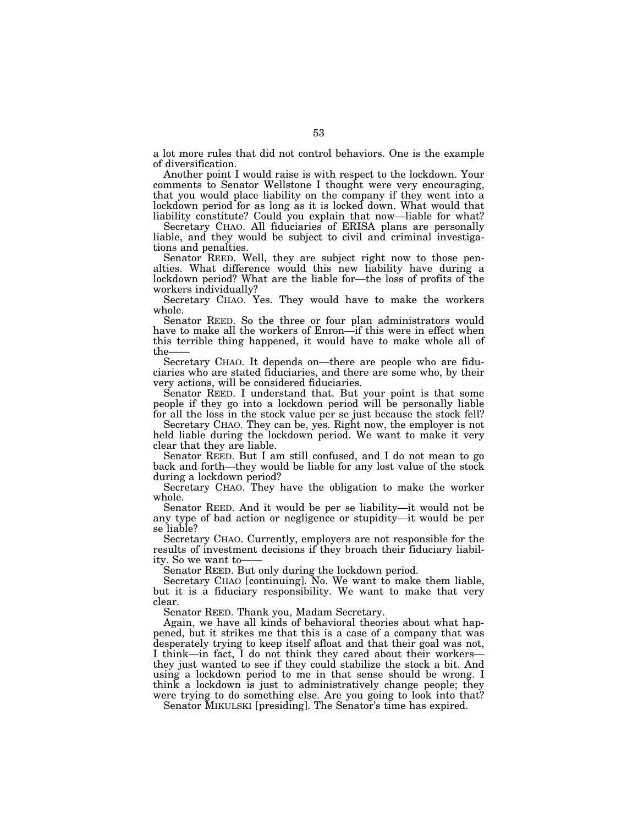a lot more rules that did not control behaviors. One is the example of diversification.

Another point I would raise is with respect to the lockdown. Your comments to Senator Wellstone I thought were very encouraging, that you would place liability on the company if they went into a lockdown period for as long as it is locked down. What would that liability constitute? Could you explain that now—liable for what?

Secretary CHAO. All fiduciaries of ERISA plans are personally liable, and they would be subject to civil and criminal investigations and penalties.

Senator REED. Well, they are subject right now to those penalties. What difference would this new liability have during a lockdown period? What are the liable for—the loss of profits of the workers individually?

Secretary CHAO. Yes. They would have to make the workers whole.

Senator REED. So the three or four plan administrators would have to make all the workers of Enron—if this were in effect when this terrible thing happened, it would have to make whole all of the-

Secretary CHAO. It depends on—there are people who are fiduciaries who are stated fiduciaries, and there are some who, by their very actions, will be considered fiduciaries.

Senator REED. I understand that. But your point is that some people if they go into a lockdown period will be personally liable for all the loss in the stock value per se just because the stock fell?

Secretary CHAO. They can be, yes. Right now, the employer is not held liable during the lockdown period. We want to make it very clear that they are liable.

Senator REED. But I am still confused, and I do not mean to go back and forth—they would be liable for any lost value of the stock during a lockdown period?

Secretary CHAO. They have the obligation to make the worker whole.

Senator REED. And it would be per se liability—it would not be any type of bad action or negligence or stupidity—it would be per se liable?

Secretary CHAO. Currently, employers are not responsible for the results of investment decisions if they broach their fiduciary liability. So we want to—— Senator REED. But only during the lockdown period.

Secretary CHAO [continuing]. No. We want to make them liable, but it is a fiduciary responsibility. We want to make that very clear.

Senator REED. Thank you, Madam Secretary.

Again, we have all kinds of behavioral theories about what happened, but it strikes me that this is a case of a company that was desperately trying to keep itself afloat and that their goal was not, I think—in fact, I do not think they cared about their workers— they just wanted to see if they could stabilize the stock a bit. And using a lockdown period to me in that sense should be wrong. I think a lockdown is just to administratively change people; they were trying to do something else. Are you going to look into that?

Senator MIKULSKI [presiding]. The Senator's time has expired.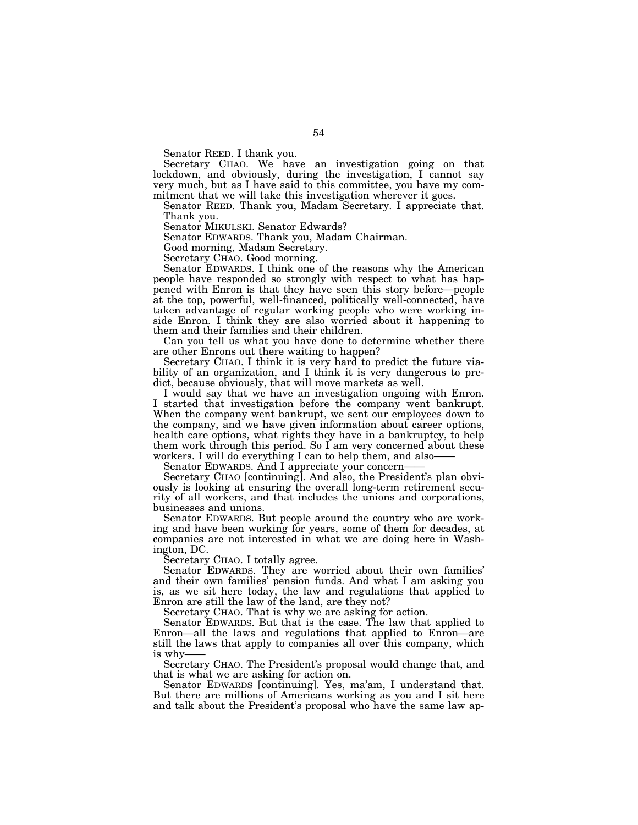Senator REED. I thank you.

Secretary CHAO. We have an investigation going on that lockdown, and obviously, during the investigation, I cannot say very much, but as I have said to this committee, you have my commitment that we will take this investigation wherever it goes.

Senator REED. Thank you, Madam Secretary. I appreciate that. Thank you.

Senator MIKULSKI. Senator Edwards?

Senator EDWARDS. Thank you, Madam Chairman.

Good morning, Madam Secretary.

Secretary CHAO. Good morning.

Senator EDWARDS. I think one of the reasons why the American people have responded so strongly with respect to what has happened with Enron is that they have seen this story before—people at the top, powerful, well-financed, politically well-connected, have taken advantage of regular working people who were working inside Enron. I think they are also worried about it happening to them and their families and their children.

Can you tell us what you have done to determine whether there are other Enrons out there waiting to happen?

Secretary CHAO. I think it is very hard to predict the future viability of an organization, and I think it is very dangerous to predict, because obviously, that will move markets as well.

I would say that we have an investigation ongoing with Enron. I started that investigation before the company went bankrupt. When the company went bankrupt, we sent our employees down to the company, and we have given information about career options, health care options, what rights they have in a bankruptcy, to help them work through this period. So I am very concerned about these

workers. I will do everything I can to help them, and also——<br>Senator EDWARDS. And I appreciate your concern——<br>Secretary CHAO [continuing]. And also, the President's plan obviously is looking at ensuring the overall long-term retirement security of all workers, and that includes the unions and corporations, businesses and unions.

Senator EDWARDS. But people around the country who are working and have been working for years, some of them for decades, at companies are not interested in what we are doing here in Washington, DC.

Secretary CHAO. I totally agree.

Senator EDWARDS. They are worried about their own families' and their own families' pension funds. And what I am asking you is, as we sit here today, the law and regulations that applied to Enron are still the law of the land, are they not?

Secretary CHAO. That is why we are asking for action.

Senator EDWARDS. But that is the case. The law that applied to Enron—all the laws and regulations that applied to Enron—are still the laws that apply to companies all over this company, which is why—— Secretary CHAO. The President's proposal would change that, and

that is what we are asking for action on.

Senator EDWARDS [continuing]. Yes, ma'am, I understand that. But there are millions of Americans working as you and I sit here and talk about the President's proposal who have the same law ap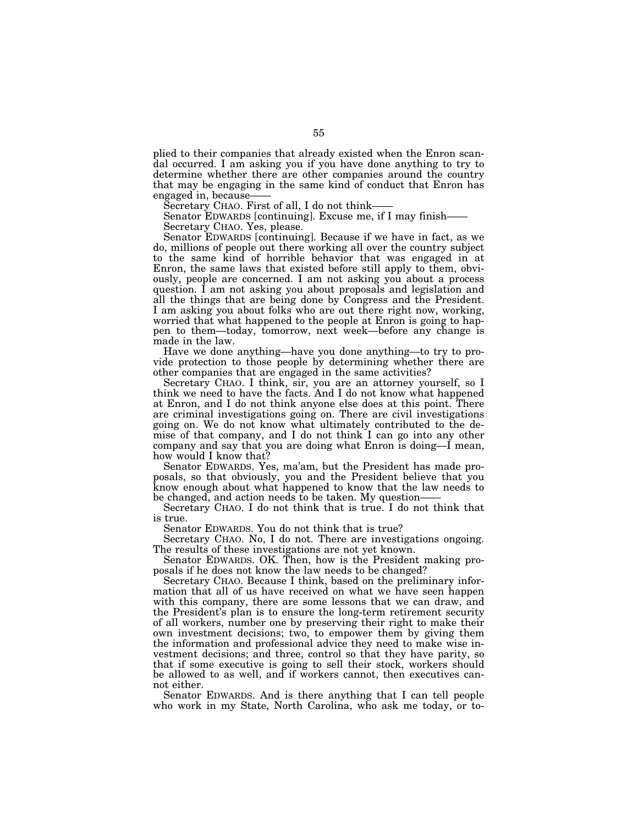plied to their companies that already existed when the Enron scandal occurred. I am asking you if you have done anything to try to determine whether there are other companies around the country that may be engaging in the same kind of conduct that Enron has engaged in, because

Secretary CHAO. First of all, I do not think——<br>Senator EDWARDS [continuing]. Excuse me, if I may finish——<br>Secretary CHAO. Yes, please.

Senator EDWARDS [continuing]. Because if we have in fact, as we do, millions of people out there working all over the country subject to the same kind of horrible behavior that was engaged in at Enron, the same laws that existed before still apply to them, obviously, people are concerned. I am not asking you about a process question. I am not asking you about proposals and legislation and all the things that are being done by Congress and the President. I am asking you about folks who are out there right now, working, worried that what happened to the people at Enron is going to happen to them—today, tomorrow, next week—before any change is made in the law.

Have we done anything—have you done anything—to try to provide protection to those people by determining whether there are other companies that are engaged in the same activities?

Secretary CHAO. I think, sir, you are an attorney yourself, so I think we need to have the facts. And I do not know what happened at Enron, and I do not think anyone else does at this point. There are criminal investigations going on. There are civil investigations going on. We do not know what ultimately contributed to the demise of that company, and I do not think I can go into any other company and say that you are doing what Enron is doing—I mean, how would I know that?

Senator EDWARDS. Yes, ma'am, but the President has made proposals, so that obviously, you and the President believe that you know enough about what happened to know that the law needs to be changed, and action needs to be taken. My question-

Secretary CHAO. I do not think that is true. I do not think that is true.

Senator EDWARDS. You do not think that is true?

Secretary CHAO. No, I do not. There are investigations ongoing. The results of these investigations are not yet known.

Senator EDWARDS. OK. Then, how is the President making proposals if he does not know the law needs to be changed?

Secretary CHAO. Because I think, based on the preliminary information that all of us have received on what we have seen happen with this company, there are some lessons that we can draw, and the President's plan is to ensure the long-term retirement security of all workers, number one by preserving their right to make their own investment decisions; two, to empower them by giving them the information and professional advice they need to make wise investment decisions; and three, control so that they have parity, so that if some executive is going to sell their stock, workers should be allowed to as well, and if workers cannot, then executives cannot either.

Senator EDWARDS. And is there anything that I can tell people who work in my State, North Carolina, who ask me today, or to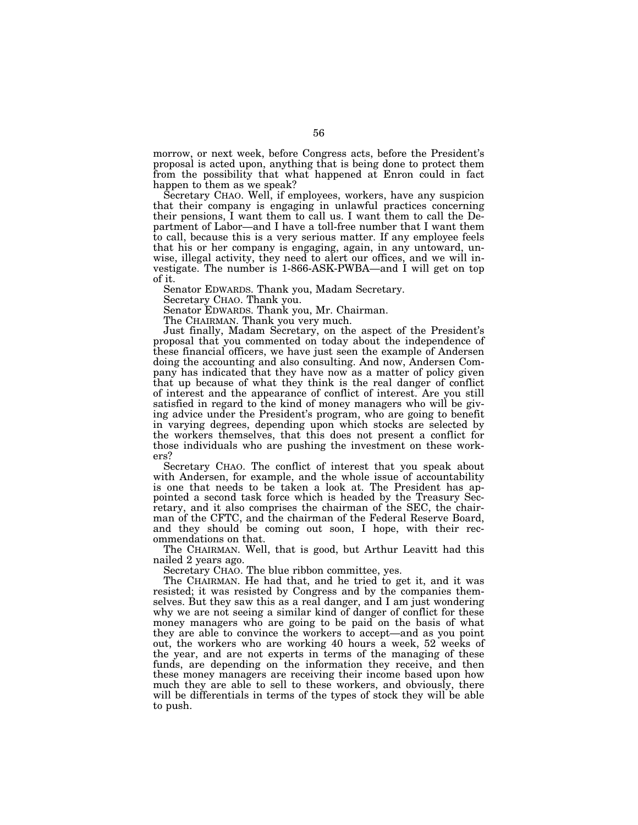morrow, or next week, before Congress acts, before the President's proposal is acted upon, anything that is being done to protect them from the possibility that what happened at Enron could in fact happen to them as we speak?

Secretary CHAO. Well, if employees, workers, have any suspicion that their company is engaging in unlawful practices concerning their pensions, I want them to call us. I want them to call the Department of Labor—and I have a toll-free number that I want them to call, because this is a very serious matter. If any employee feels that his or her company is engaging, again, in any untoward, unwise, illegal activity, they need to alert our offices, and we will investigate. The number is 1-866-ASK-PWBA—and I will get on top of it.

Senator EDWARDS. Thank you, Madam Secretary.

Secretary CHAO. Thank you.

Senator EDWARDS. Thank you, Mr. Chairman.

The CHAIRMAN. Thank you very much.

Just finally, Madam Secretary, on the aspect of the President's proposal that you commented on today about the independence of these financial officers, we have just seen the example of Andersen doing the accounting and also consulting. And now, Andersen Company has indicated that they have now as a matter of policy given that up because of what they think is the real danger of conflict of interest and the appearance of conflict of interest. Are you still satisfied in regard to the kind of money managers who will be giving advice under the President's program, who are going to benefit in varying degrees, depending upon which stocks are selected by the workers themselves, that this does not present a conflict for those individuals who are pushing the investment on these workers?

Secretary CHAO. The conflict of interest that you speak about with Andersen, for example, and the whole issue of accountability is one that needs to be taken a look at. The President has appointed a second task force which is headed by the Treasury Secretary, and it also comprises the chairman of the SEC, the chairman of the CFTC, and the chairman of the Federal Reserve Board, and they should be coming out soon, I hope, with their recommendations on that.

The CHAIRMAN. Well, that is good, but Arthur Leavitt had this nailed 2 years ago.

Secretary CHAO. The blue ribbon committee, yes.

The CHAIRMAN. He had that, and he tried to get it, and it was resisted; it was resisted by Congress and by the companies themselves. But they saw this as a real danger, and I am just wondering why we are not seeing a similar kind of danger of conflict for these money managers who are going to be paid on the basis of what they are able to convince the workers to accept—and as you point out, the workers who are working 40 hours a week, 52 weeks of the year, and are not experts in terms of the managing of these funds, are depending on the information they receive, and then these money managers are receiving their income based upon how much they are able to sell to these workers, and obviously, there will be differentials in terms of the types of stock they will be able to push.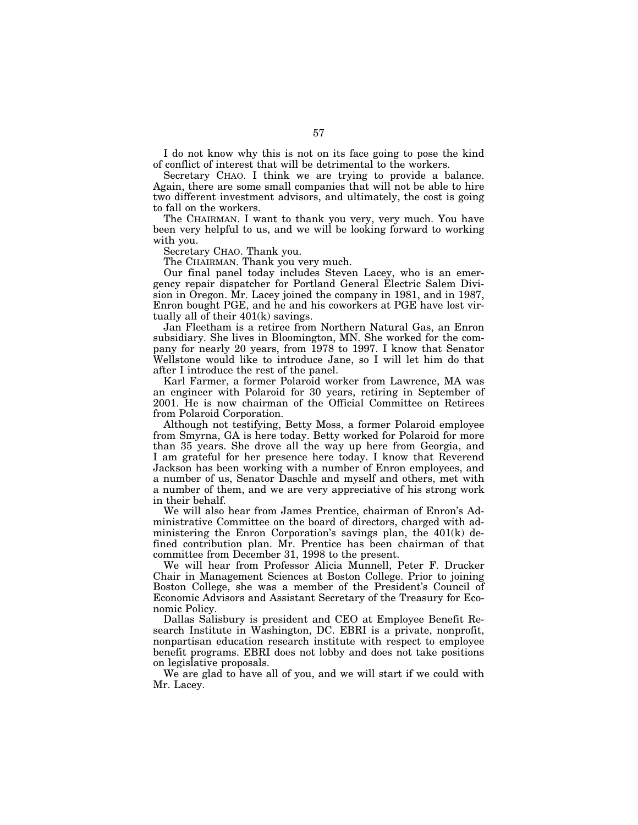I do not know why this is not on its face going to pose the kind of conflict of interest that will be detrimental to the workers.

Secretary CHAO. I think we are trying to provide a balance. Again, there are some small companies that will not be able to hire two different investment advisors, and ultimately, the cost is going to fall on the workers.

The CHAIRMAN. I want to thank you very, very much. You have been very helpful to us, and we will be looking forward to working with you.

Secretary CHAO. Thank you.

The CHAIRMAN. Thank you very much.

Our final panel today includes Steven Lacey, who is an emergency repair dispatcher for Portland General Electric Salem Division in Oregon. Mr. Lacey joined the company in 1981, and in 1987, Enron bought PGE, and he and his coworkers at PGE have lost virtually all of their 401(k) savings.

Jan Fleetham is a retiree from Northern Natural Gas, an Enron subsidiary. She lives in Bloomington, MN. She worked for the company for nearly 20 years, from 1978 to 1997. I know that Senator Wellstone would like to introduce Jane, so I will let him do that after I introduce the rest of the panel.

Karl Farmer, a former Polaroid worker from Lawrence, MA was an engineer with Polaroid for 30 years, retiring in September of 2001. He is now chairman of the Official Committee on Retirees from Polaroid Corporation.

Although not testifying, Betty Moss, a former Polaroid employee from Smyrna, GA is here today. Betty worked for Polaroid for more than 35 years. She drove all the way up here from Georgia, and I am grateful for her presence here today. I know that Reverend Jackson has been working with a number of Enron employees, and a number of us, Senator Daschle and myself and others, met with a number of them, and we are very appreciative of his strong work in their behalf.

We will also hear from James Prentice, chairman of Enron's Administrative Committee on the board of directors, charged with administering the Enron Corporation's savings plan, the 401(k) defined contribution plan. Mr. Prentice has been chairman of that committee from December 31, 1998 to the present.

We will hear from Professor Alicia Munnell, Peter F. Drucker Chair in Management Sciences at Boston College. Prior to joining Boston College, she was a member of the President's Council of Economic Advisors and Assistant Secretary of the Treasury for Economic Policy.

Dallas Salisbury is president and CEO at Employee Benefit Research Institute in Washington, DC. EBRI is a private, nonprofit, nonpartisan education research institute with respect to employee benefit programs. EBRI does not lobby and does not take positions on legislative proposals.

We are glad to have all of you, and we will start if we could with Mr. Lacey.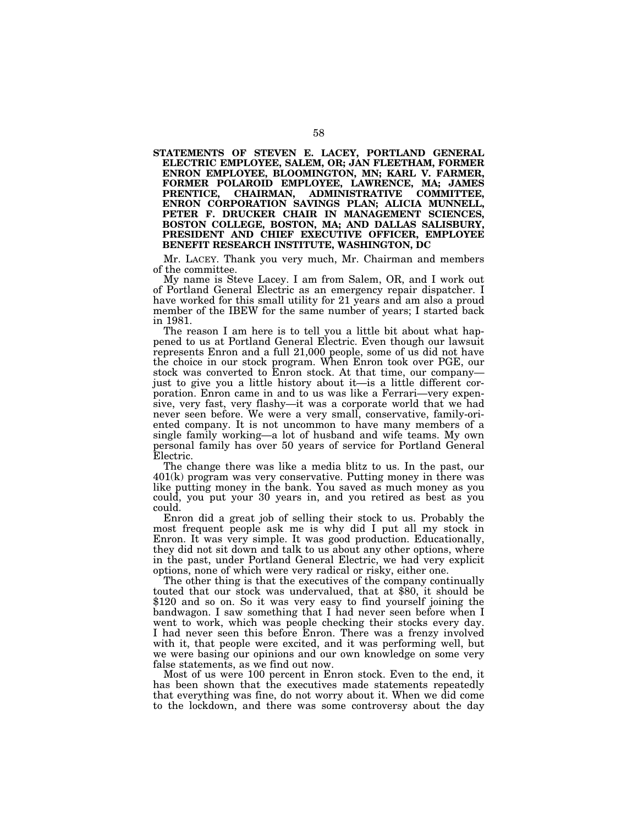**STATEMENTS OF STEVEN E. LACEY, PORTLAND GENERAL ELECTRIC EMPLOYEE, SALEM, OR; JAN FLEETHAM, FORMER ENRON EMPLOYEE, BLOOMINGTON, MN; KARL V. FARMER, FORMER POLAROID EMPLOYEE, LAWRENCE, MA; JAMES CHAIRMAN, ADMINISTRATIVE ENRON CORPORATION SAVINGS PLAN; ALICIA MUNNELL, PETER F. DRUCKER CHAIR IN MANAGEMENT SCIENCES, BOSTON COLLEGE, BOSTON, MA; AND DALLAS SALISBURY, PRESIDENT AND CHIEF EXECUTIVE OFFICER, EMPLOYEE BENEFIT RESEARCH INSTITUTE, WASHINGTON, DC**

Mr. LACEY. Thank you very much, Mr. Chairman and members of the committee.

My name is Steve Lacey. I am from Salem, OR, and I work out of Portland General Electric as an emergency repair dispatcher. I have worked for this small utility for 21 years and am also a proud member of the IBEW for the same number of years; I started back in 1981.

The reason I am here is to tell you a little bit about what happened to us at Portland General Electric. Even though our lawsuit represents Enron and a full 21,000 people, some of us did not have the choice in our stock program. When Enron took over PGE, our just to give you a little history about it—is a little different corporation. Enron came in and to us was like a Ferrari—very expensive, very fast, very flashy—it was a corporate world that we had never seen before. We were a very small, conservative, family-oriented company. It is not uncommon to have many members of a single family working—a lot of husband and wife teams. My own personal family has over 50 years of service for Portland General Electric.

The change there was like a media blitz to us. In the past, our 401(k) program was very conservative. Putting money in there was like putting money in the bank. You saved as much money as you could, you put your 30 years in, and you retired as best as you could.

Enron did a great job of selling their stock to us. Probably the most frequent people ask me is why did I put all my stock in Enron. It was very simple. It was good production. Educationally, they did not sit down and talk to us about any other options, where in the past, under Portland General Electric, we had very explicit options, none of which were very radical or risky, either one.

The other thing is that the executives of the company continually touted that our stock was undervalued, that at \$80, it should be \$120 and so on. So it was very easy to find yourself joining the bandwagon. I saw something that I had never seen before when I went to work, which was people checking their stocks every day. I had never seen this before Enron. There was a frenzy involved with it, that people were excited, and it was performing well, but we were basing our opinions and our own knowledge on some very false statements, as we find out now.

Most of us were 100 percent in Enron stock. Even to the end, it has been shown that the executives made statements repeatedly that everything was fine, do not worry about it. When we did come to the lockdown, and there was some controversy about the day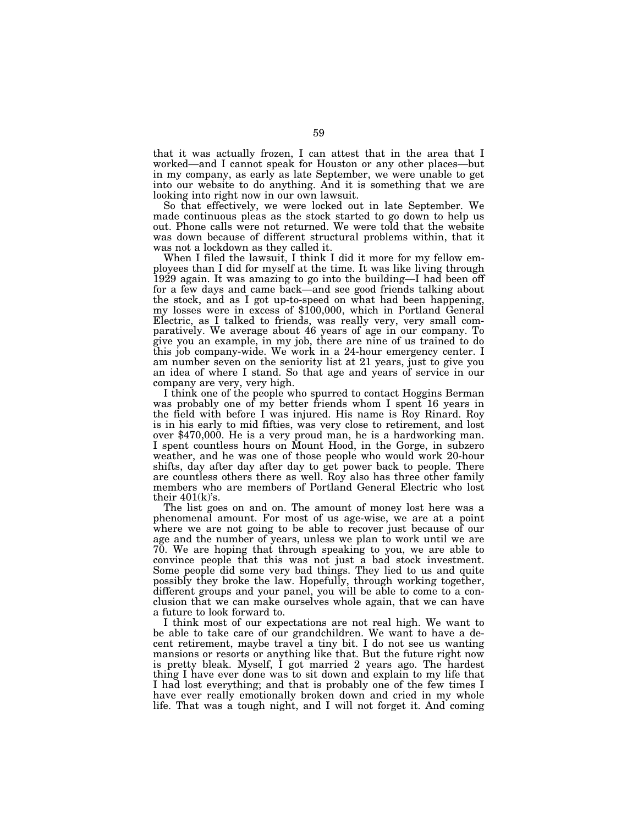that it was actually frozen, I can attest that in the area that I worked—and I cannot speak for Houston or any other places—but in my company, as early as late September, we were unable to get into our website to do anything. And it is something that we are looking into right now in our own lawsuit.

So that effectively, we were locked out in late September. We made continuous pleas as the stock started to go down to help us out. Phone calls were not returned. We were told that the website was down because of different structural problems within, that it was not a lockdown as they called it.

When I filed the lawsuit, I think I did it more for my fellow employees than I did for myself at the time. It was like living through 1929 again. It was amazing to go into the building—I had been off for a few days and came back—and see good friends talking about the stock, and as I got up-to-speed on what had been happening, my losses were in excess of \$100,000, which in Portland General Electric, as I talked to friends, was really very, very small comparatively. We average about 46 years of age in our company. To give you an example, in my job, there are nine of us trained to do this job company-wide. We work in a 24-hour emergency center. I am number seven on the seniority list at 21 years, just to give you an idea of where I stand. So that age and years of service in our company are very, very high.

I think one of the people who spurred to contact Hoggins Berman was probably one of my better friends whom I spent 16 years in the field with before I was injured. His name is Roy Rinard. Roy is in his early to mid fifties, was very close to retirement, and lost over \$470,000. He is a very proud man, he is a hardworking man. I spent countless hours on Mount Hood, in the Gorge, in subzero weather, and he was one of those people who would work 20-hour shifts, day after day after day to get power back to people. There are countless others there as well. Roy also has three other family members who are members of Portland General Electric who lost their  $401(k)$ 's.

The list goes on and on. The amount of money lost here was a phenomenal amount. For most of us age-wise, we are at a point where we are not going to be able to recover just because of our age and the number of years, unless we plan to work until we are 70. We are hoping that through speaking to you, we are able to convince people that this was not just a bad stock investment. Some people did some very bad things. They lied to us and quite possibly they broke the law. Hopefully, through working together, different groups and your panel, you will be able to come to a conclusion that we can make ourselves whole again, that we can have a future to look forward to.

I think most of our expectations are not real high. We want to be able to take care of our grandchildren. We want to have a decent retirement, maybe travel a tiny bit. I do not see us wanting mansions or resorts or anything like that. But the future right now is pretty bleak. Myself, I got married 2 years ago. The hardest thing I have ever done was to sit down and explain to my life that I had lost everything; and that is probably one of the few times I have ever really emotionally broken down and cried in my whole life. That was a tough night, and I will not forget it. And coming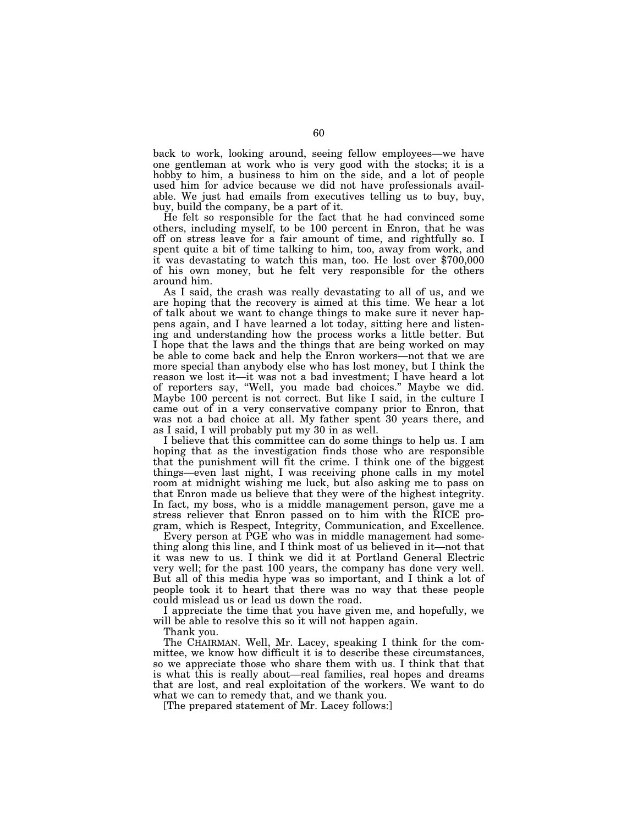back to work, looking around, seeing fellow employees—we have one gentleman at work who is very good with the stocks; it is a hobby to him, a business to him on the side, and a lot of people used him for advice because we did not have professionals available. We just had emails from executives telling us to buy, buy, buy, build the company, be a part of it.

He felt so responsible for the fact that he had convinced some others, including myself, to be 100 percent in Enron, that he was off on stress leave for a fair amount of time, and rightfully so. I spent quite a bit of time talking to him, too, away from work, and it was devastating to watch this man, too. He lost over \$700,000 of his own money, but he felt very responsible for the others around him.

As I said, the crash was really devastating to all of us, and we are hoping that the recovery is aimed at this time. We hear a lot of talk about we want to change things to make sure it never happens again, and I have learned a lot today, sitting here and listening and understanding how the process works a little better. But I hope that the laws and the things that are being worked on may be able to come back and help the Enron workers—not that we are more special than anybody else who has lost money, but I think the reason we lost it—it was not a bad investment; I have heard a lot of reporters say, ''Well, you made bad choices.'' Maybe we did. Maybe 100 percent is not correct. But like I said, in the culture I came out of in a very conservative company prior to Enron, that was not a bad choice at all. My father spent 30 years there, and as I said, I will probably put my 30 in as well.

I believe that this committee can do some things to help us. I am hoping that as the investigation finds those who are responsible that the punishment will fit the crime. I think one of the biggest things—even last night, I was receiving phone calls in my motel room at midnight wishing me luck, but also asking me to pass on that Enron made us believe that they were of the highest integrity. In fact, my boss, who is a middle management person, gave me a stress reliever that Enron passed on to him with the RICE program, which is Respect, Integrity, Communication, and Excellence.

Every person at PGE who was in middle management had something along this line, and I think most of us believed in it—not that it was new to us. I think we did it at Portland General Electric very well; for the past 100 years, the company has done very well. But all of this media hype was so important, and I think a lot of people took it to heart that there was no way that these people could mislead us or lead us down the road.

I appreciate the time that you have given me, and hopefully, we will be able to resolve this so it will not happen again.

Thank you.

The CHAIRMAN. Well, Mr. Lacey, speaking I think for the committee, we know how difficult it is to describe these circumstances, so we appreciate those who share them with us. I think that that is what this is really about—real families, real hopes and dreams that are lost, and real exploitation of the workers. We want to do what we can to remedy that, and we thank you.

[The prepared statement of Mr. Lacey follows:]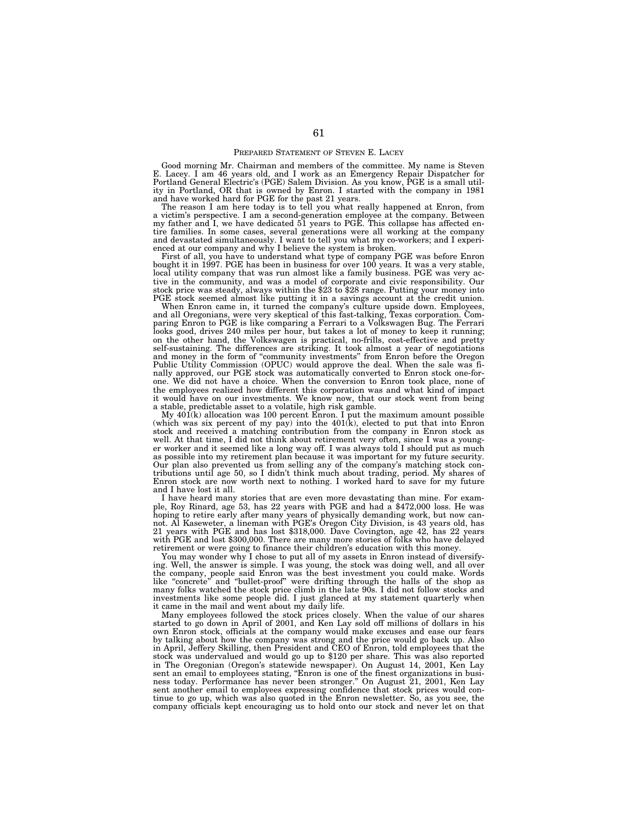## PREPARED STATEMENT OF STEVEN E. LACEY

Good morning Mr. Chairman and members of the committee. My name is Steven E. Lacey. I am 46 years old, and I work as an Emergency Repair Dispatcher for Portland General Electric's (PGE) Salem Division. As you know, PGE is a small util-ity in Portland, OR that is owned by Enron. I started with the company in 1981

and have worked hard for PGE for the past 21 years. The reason I am here today is to tell you what really happened at Enron, from a victim's perspective. I am a second-generation employee at the company. Between my father and I, we have dedicated 51 years to PGE. This collapse has affected entire families. In some cases, several generations were all working at the company and devastated simultaneously. I want to tell you what my co-workers; and I experienced at our company and why I believe the system is broken.

First of all, you have to understand what type of company PGE was before Enron bought it in 1997. PGE has been in business for over 100 years. It was a very stable, local utility company that was run almost like a family business. PGE was very active in the community, and was a model of corporate and civic responsibility. Our stock price was steady, always within the \$23 to \$28 range. Putting your money into PGE stock seemed almost like putting it in a savings account at the credit union.

When Enron came in, it turned the company's culture upside down. Employees, and all Oregonians, were very skeptical of this fast-talking, Texas corporation. Comparing Enron to PGE is like comparing a Ferrari to a Volkswagen Bug. The Ferrari looks good, drives 240 miles per hour, but takes a lot of money to keep it running; on the other hand, the Volkswagen is practical, no-frills, cost-effective and pretty self-sustaining. The differences are striking. It took almost a year of negotiations and money in the form of ''community investments'' from Enron before the Oregon Public Utility Commission (OPUC) would approve the deal. When the sale was finally approved, our PGE stock was automatically converted to Enron stock one-forone. We did not have a choice. When the conversion to Enron took place, none of the employees realized how different this corporation was and what kind of impact it would have on our investments. We know now, that our stock went from being a stable, predictable asset to a volatile, high risk gamble.

My 401(k) allocation was 100 percent Enron. I put the maximum amount possible (which was six percent of my pay) into the  $401(k)$ , elected to put that into Enron stock and received a matching contribution from the company in Enron stock as well. At that time, I did not think about retirement very often, since I was a younger worker and it seemed like a long way off. I was always told I should put as much as possible into my retirement plan because it was important for my future security. Our plan also prevented us from selling any of the company's matching stock contributions until age 50, so I didn't think much about trading, period. My shares of Enron stock are now worth next to nothing. I worked hard to save for my future and I have lost it all.

I have heard many stories that are even more devastating than mine. For example, Roy Rinard, age 53, has 22 years with PGE and had a \$472,000 loss. He was hoping to retire early after many years of physically demanding work, but now cannot. Al Kaseweter, a lineman with PGE's Oregon City Division, is 43 years old, has 21 years with PGE and has lost \$318,000. Dave Covington, age 42, has 22 years with PGE and lost \$300,000. There are many more stories of folks who have delayed retirement or were going to finance their children's education with this money.

You may wonder why I chose to put all of my assets in Enron instead of diversifying. Well, the answer is simple. I was young, the stock was doing well, and all over the company, people said Enron was the best investment you could make. Words like ''concrete'' and ''bullet-proof'' were drifting through the halls of the shop as many folks watched the stock price climb in the late 90s. I did not follow stocks and investments like some people did. I just glanced at my statement quarterly when it came in the mail and went about my daily life.

Many employees followed the stock prices closely. When the value of our shares started to go down in April of 2001, and Ken Lay sold off millions of dollars in his own Enron stock, officials at the company would make excuses and ease our fears by talking about how the company was strong and the price would go back up. Also in April, Jeffery Skilling, then President and CEO of Enron, told employees that the stock was undervalued and would go up to \$120 per share. This was also reported in The Oregonian (Oregon's statewide newspaper). On August 14, 2001, Ken Lay sent an email to employees stating, ''Enron is one of the finest organizations in business today. Performance has never been stronger.'' On August 21, 2001, Ken Lay sent another email to employees expressing confidence that stock prices would con-tinue to go up, which was also quoted in the Enron newsletter. So, as you see, the company officials kept encouraging us to hold onto our stock and never let on that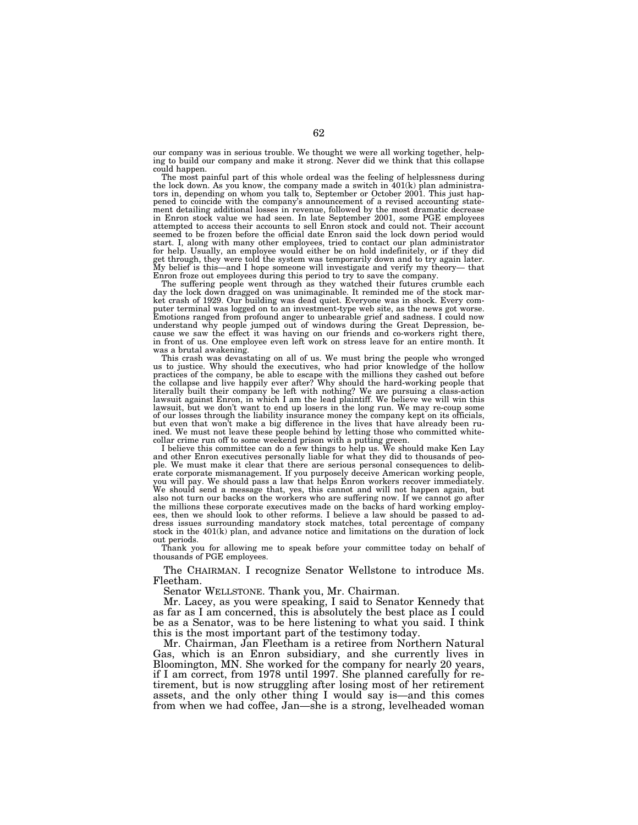our company was in serious trouble. We thought we were all working together, helping to build our company and make it strong. Never did we think that this collapse could happen.

The most painful part of this whole ordeal was the feeling of helplessness during the lock down. As you know, the company made a switch in 401(k) plan administrators in, depending on whom you talk to, September or October 2001. This just happened to coincide with the company's announcement of a revised accounting statement detailing additional losses in revenue, followed by the most dramatic decrease in Enron stock value we had seen. In late September 2001, some PGE employees attempted to access their accounts to sell Enron stock and could not. Their account seemed to be frozen before the official date Enron said the lock down period would start. I, along with many other employees, tried to contact our plan administrator for help. Usually, an employee would either be on hold indefinitely, or if they did get through, they were told the system was temporarily down and to try again later. My belief is this—and I hope someone will investigate and verify my theory— that

Enron froze out employees during this period to try to save the company. The suffering people went through as they watched their futures crumble each day the lock down dragged on was unimaginable. It reminded me of the stock mar-ket crash of 1929. Our building was dead quiet. Everyone was in shock. Every computer terminal was logged on to an investment-type web site, as the news got worse. Emotions ranged from profound anger to unbearable grief and sadness. I could now understand why people jumped out of windows during the Great Depression, be-cause we saw the effect it was having on our friends and co-workers right there, in front of us. One employee even left work on stress leave for an entire month. It was a brutal awakening.

This crash was devastating on all of us. We must bring the people who wronged us to justice. Why should the executives, who had prior knowledge of the hollow practices of the company, be able to escape with the millions they cashed out before<br>the collapse and live happily ever after? Why should the hard-working people that<br>literally built their company be left with nothing? We lawsuit, but we don't want to end up losers in the long run. We may re-coup some of our losses through the liability insurance money the company kept on its officials, but even that won't make a big difference in the lives that have already been ruined. We must not leave these people behind by letting those who committed white-

collar crime run off to some weekend prison with a putting green.<br>I believe this committee can do a few things to help us. We should make Ken Lay<br>and other Enron executives personally liable for what they did to thousands erate corporate mismanagement. If you purposely deceive American working people, you will pay. We should pass a law that helps Enron workers recover immediately. We should send a message that, yes, this cannot and will not happen again, but also not turn our backs on the workers who are suffering now. If we cannot go after the millions these corporate executives made on the backs of hard working employees, then we should look to other reforms. I believe a law should be passed to address issues surrounding mandatory stock matches, total percentage of company stock in the 401(k) plan, and advance notice and limitations on the duration of lock out periods.

Thank you for allowing me to speak before your committee today on behalf of thousands of PGE employees.

The CHAIRMAN. I recognize Senator Wellstone to introduce Ms. Fleetham.

Senator WELLSTONE. Thank you, Mr. Chairman.

Mr. Lacey, as you were speaking, I said to Senator Kennedy that as far as I am concerned, this is absolutely the best place as I could be as a Senator, was to be here listening to what you said. I think this is the most important part of the testimony today.

Mr. Chairman, Jan Fleetham is a retiree from Northern Natural Gas, which is an Enron subsidiary, and she currently lives in Bloomington, MN. She worked for the company for nearly 20 years, if I am correct, from 1978 until 1997. She planned carefully for retirement, but is now struggling after losing most of her retirement assets, and the only other thing I would say is—and this comes from when we had coffee, Jan—she is a strong, levelheaded woman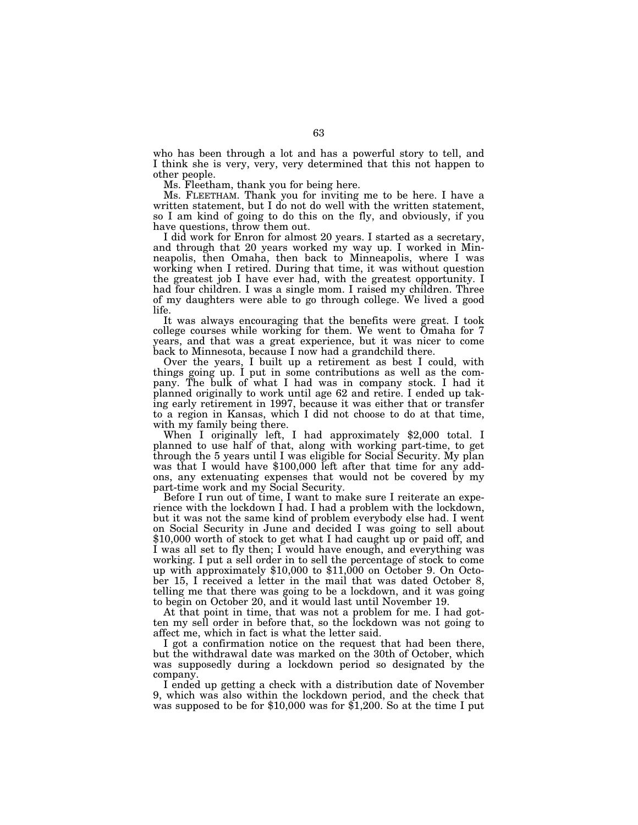who has been through a lot and has a powerful story to tell, and I think she is very, very, very determined that this not happen to other people.

Ms. Fleetham, thank you for being here.

Ms. FLEETHAM. Thank you for inviting me to be here. I have a written statement, but I do not do well with the written statement, so I am kind of going to do this on the fly, and obviously, if you have questions, throw them out.

I did work for Enron for almost 20 years. I started as a secretary, and through that 20 years worked my way up. I worked in Minneapolis, then Omaha, then back to Minneapolis, where I was working when I retired. During that time, it was without question the greatest job I have ever had, with the greatest opportunity. I had four children. I was a single mom. I raised my children. Three of my daughters were able to go through college. We lived a good life.

It was always encouraging that the benefits were great. I took college courses while working for them. We went to Omaha for 7 years, and that was a great experience, but it was nicer to come back to Minnesota, because I now had a grandchild there.

Over the years, I built up a retirement as best I could, with things going up. I put in some contributions as well as the company. The bulk of what I had was in company stock. I had it planned originally to work until age 62 and retire. I ended up taking early retirement in 1997, because it was either that or transfer to a region in Kansas, which I did not choose to do at that time,

When I originally left, I had approximately \$2,000 total. I planned to use half of that, along with working part-time, to get through the 5 years until I was eligible for Social Security. My plan was that I would have \$100,000 left after that time for any addons, any extenuating expenses that would not be covered by my part-time work and my Social Security.

Before I run out of time, I want to make sure I reiterate an experience with the lockdown I had. I had a problem with the lockdown, but it was not the same kind of problem everybody else had. I went on Social Security in June and decided I was going to sell about \$10,000 worth of stock to get what I had caught up or paid off, and I was all set to fly then; I would have enough, and everything was working. I put a sell order in to sell the percentage of stock to come up with approximately \$10,000 to \$11,000 on October 9. On October 15, I received a letter in the mail that was dated October 8, telling me that there was going to be a lockdown, and it was going to begin on October 20, and it would last until November 19.

At that point in time, that was not a problem for me. I had gotten my sell order in before that, so the lockdown was not going to affect me, which in fact is what the letter said.

I got a confirmation notice on the request that had been there, but the withdrawal date was marked on the 30th of October, which was supposedly during a lockdown period so designated by the company.

I ended up getting a check with a distribution date of November 9, which was also within the lockdown period, and the check that was supposed to be for \$10,000 was for \$1,200. So at the time I put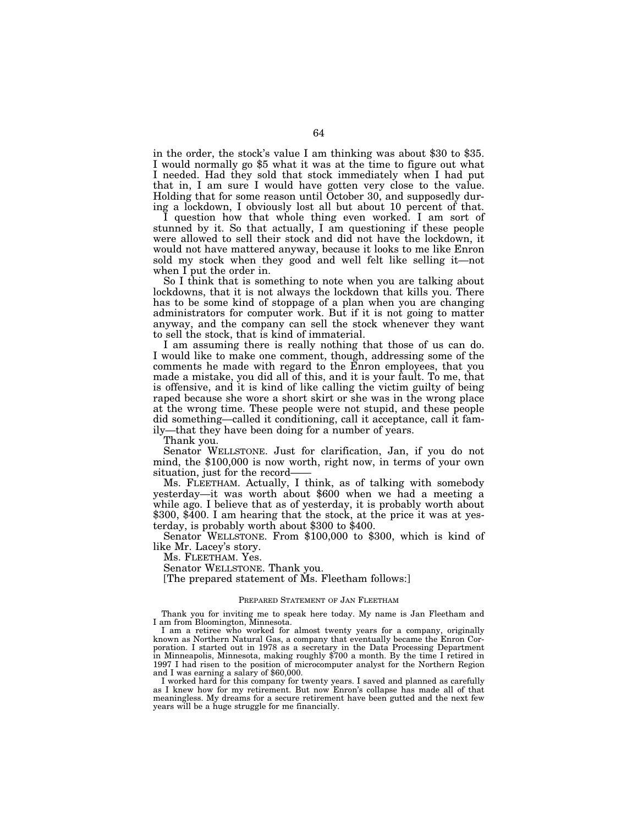in the order, the stock's value I am thinking was about \$30 to \$35. I would normally go \$5 what it was at the time to figure out what I needed. Had they sold that stock immediately when I had put that in, I am sure I would have gotten very close to the value. Holding that for some reason until October 30, and supposedly during a lockdown, I obviously lost all but about 10 percent of that.

I question how that whole thing even worked. I am sort of stunned by it. So that actually, I am questioning if these people were allowed to sell their stock and did not have the lockdown, it would not have mattered anyway, because it looks to me like Enron sold my stock when they good and well felt like selling it—not when I put the order in.

So I think that is something to note when you are talking about lockdowns, that it is not always the lockdown that kills you. There has to be some kind of stoppage of a plan when you are changing administrators for computer work. But if it is not going to matter anyway, and the company can sell the stock whenever they want to sell the stock, that is kind of immaterial.

I am assuming there is really nothing that those of us can do. I would like to make one comment, though, addressing some of the comments he made with regard to the Enron employees, that you made a mistake, you did all of this, and it is your fault. To me, that is offensive, and it is kind of like calling the victim guilty of being raped because she wore a short skirt or she was in the wrong place at the wrong time. These people were not stupid, and these people did something—called it conditioning, call it acceptance, call it family—that they have been doing for a number of years.

Thank you.

Senator WELLSTONE. Just for clarification, Jan, if you do not mind, the \$100,000 is now worth, right now, in terms of your own situation, just for the record-

Ms. FLEETHAM. Actually, I think, as of talking with somebody yesterday—it was worth about \$600 when we had a meeting a while ago. I believe that as of yesterday, it is probably worth about \$300, \$400. I am hearing that the stock, at the price it was at yesterday, is probably worth about \$300 to \$400.

Senator WELLSTONE. From \$100,000 to \$300, which is kind of like Mr. Lacey's story.

Ms. FLEETHAM. Yes.

Senator WELLSTONE. Thank you.

[The prepared statement of Ms. Fleetham follows:]

## PREPARED STATEMENT OF JAN FLEETHAM

Thank you for inviting me to speak here today. My name is Jan Fleetham and I am from Bloomington, Minnesota.

I am a retiree who worked for almost twenty years for a company, originally known as Northern Natural Gas, a company that eventually became the Enron Corporation. I started out in 1978 as a secretary in the Data Processing Department in Minneapolis, Minnesota, making roughly \$700 a month. By the time I retired in 1997 I had risen to the position of microcomputer analyst for the Northern Region and I was earning a salary of \$60,000.

I worked hard for this company for twenty years. I saved and planned as carefully as I knew how for my retirement. But now Enron's collapse has made all of that meaningless. My dreams for a secure retirement have been gutted and the next few years will be a huge struggle for me financially.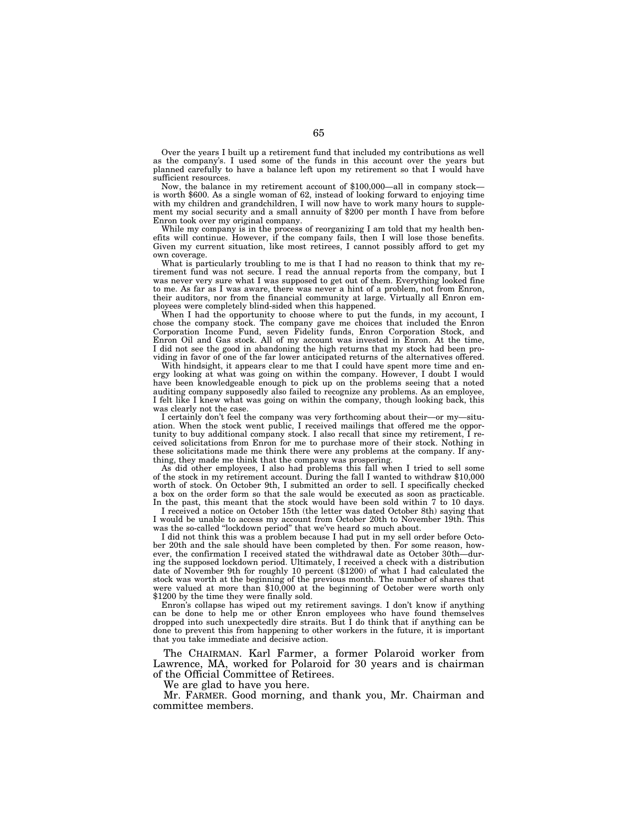Over the years I built up a retirement fund that included my contributions as well as the company's. I used some of the funds in this account over the years but planned carefully to have a balance left upon my retirement so that I would have sufficient resources.

Now, the balance in my retirement account of \$100,000—all in company stock is worth \$600. As a single woman of 62, instead of looking forward to enjoying time with my children and grandchildren, I will now have to work many hours to supplement my social security and a small annuity of \$200 per month I have from before Enron took over my original company.

While my company is in the process of reorganizing I am told that my health benefits will continue. However, if the company fails, then I will lose those benefits. Given my current situation, like most retirees, I cannot possibly afford to get my own coverage.

What is particularly troubling to me is that I had no reason to think that my retirement fund was not secure. I read the annual reports from the company, but I was never very sure what I was supposed to get out of them. Everything looked fine to me. As far as I was aware, there was never a hint of a problem, not from Enron, their auditors, nor from the financial community at large. Virtually all Enron employees were completely blind-sided when this happened.

When I had the opportunity to choose where to put the funds, in my account, I chose the company stock. The company gave me choices that included the Enron Corporation Income Fund, seven Fidelity funds, Enron Corporation Stock, and Enron Oil and Gas stock. All of my account was invested in Enron. At the time, I did not see the good in abandoning the high returns that my stock had been providing in favor of one of the far lower anticipated returns of the alternatives offered.

With hindsight, it appears clear to me that I could have spent more time and energy looking at what was going on within the company. However, I doubt I would have been knowledgeable enough to pick up on the problems seeing that a noted auditing company supposedly also failed to recognize any problems. As an employee, I felt like I knew what was going on within the company, though looking back, this was clearly not the case.

I certainly don't feel the company was very forthcoming about their—or my—situation. When the stock went public, I received mailings that offered me the opportunity to buy additional company stock. I also recall that since my retirement, I received solicitations from Enron for me to purchase more of their stock. Nothing in these solicitations made me think there were any problems at the company. If anything, they made me think that the company was prospering.

As did other employees, I also had problems this fall when I tried to sell some of the stock in my retirement account. During the fall I wanted to withdraw \$10,000 worth of stock. On October 9th, I submitted an order to sell. I specifically checked a box on the order form so that the sale would be executed as soon as practicable. In the past, this meant that the stock would have been sold within  $7$  to 10 days.

I received a notice on October 15th (the letter was dated October 8th) saying that I would be unable to access my account from October 20th to November 19th. This was the so-called ''lockdown period'' that we've heard so much about.

I did not think this was a problem because I had put in my sell order before October 20th and the sale should have been completed by then. For some reason, however, the confirmation I received stated the withdrawal date as October 30th—during the supposed lockdown period. Ultimately, I received a check with a distribution date of November 9th for roughly 10 percent (\$1200) of what I had calculated the stock was worth at the beginning of the previous month. The number of shares that were valued at more than \$10,000 at the beginning of October were worth only \$1200 by the time they were finally sold.

Enron's collapse has wiped out my retirement savings. I don't know if anything can be done to help me or other Enron employees who have found themselves dropped into such unexpectedly dire straits. But I do think that if anything can be done to prevent this from happening to other workers in the future, it is important that you take immediate and decisive action.

The CHAIRMAN. Karl Farmer, a former Polaroid worker from Lawrence, MA, worked for Polaroid for 30 years and is chairman of the Official Committee of Retirees.

We are glad to have you here.

Mr. FARMER. Good morning, and thank you, Mr. Chairman and committee members.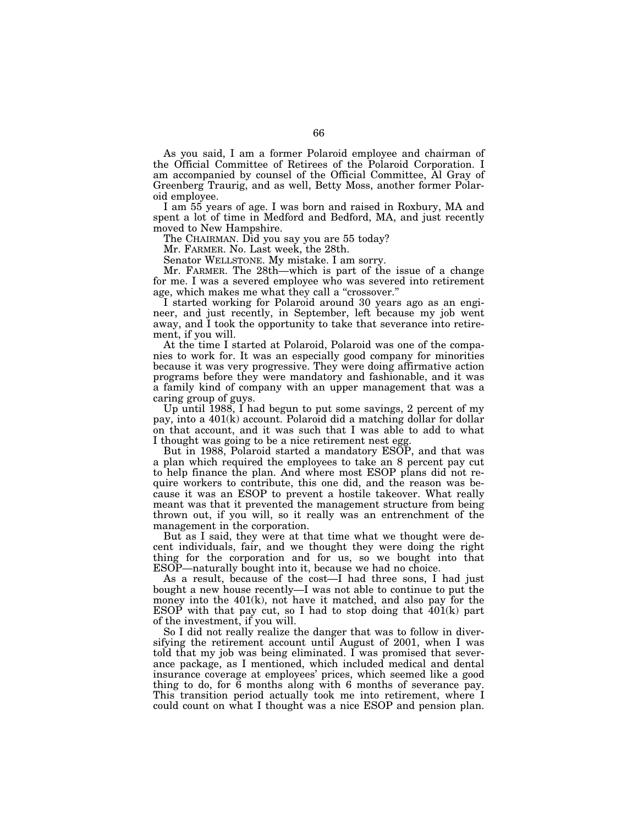As you said, I am a former Polaroid employee and chairman of the Official Committee of Retirees of the Polaroid Corporation. I am accompanied by counsel of the Official Committee, Al Gray of Greenberg Traurig, and as well, Betty Moss, another former Polaroid employee.

I am 55 years of age. I was born and raised in Roxbury, MA and spent a lot of time in Medford and Bedford, MA, and just recently moved to New Hampshire.

The CHAIRMAN. Did you say you are 55 today?

Mr. FARMER. No. Last week, the 28th.

Senator WELLSTONE. My mistake. I am sorry.

Mr. FARMER. The 28th—which is part of the issue of a change for me. I was a severed employee who was severed into retirement age, which makes me what they call a "crossover."

I started working for Polaroid around 30 years ago as an engineer, and just recently, in September, left because my job went away, and I took the opportunity to take that severance into retirement, if you will.

At the time I started at Polaroid, Polaroid was one of the companies to work for. It was an especially good company for minorities because it was very progressive. They were doing affirmative action programs before they were mandatory and fashionable, and it was a family kind of company with an upper management that was a caring group of guys.

Up until 1988, I had begun to put some savings, 2 percent of my pay, into a 401(k) account. Polaroid did a matching dollar for dollar on that account, and it was such that I was able to add to what I thought was going to be a nice retirement nest egg.

But in 1988, Polaroid started a mandatory ESOP, and that was a plan which required the employees to take an 8 percent pay cut to help finance the plan. And where most ESOP plans did not require workers to contribute, this one did, and the reason was because it was an ESOP to prevent a hostile takeover. What really meant was that it prevented the management structure from being thrown out, if you will, so it really was an entrenchment of the management in the corporation.

But as I said, they were at that time what we thought were decent individuals, fair, and we thought they were doing the right thing for the corporation and for us, so we bought into that ESOP—naturally bought into it, because we had no choice.

As a result, because of the cost—I had three sons, I had just bought a new house recently—I was not able to continue to put the money into the 401(k), not have it matched, and also pay for the ESOP with that pay cut, so I had to stop doing that  $401(k)$  part of the investment, if you will.

So I did not really realize the danger that was to follow in diversifying the retirement account until August of 2001, when I was told that my job was being eliminated. I was promised that severance package, as I mentioned, which included medical and dental insurance coverage at employees' prices, which seemed like a good thing to do, for  $\bar{6}$  months along with 6 months of severance pay. This transition period actually took me into retirement, where I could count on what I thought was a nice ESOP and pension plan.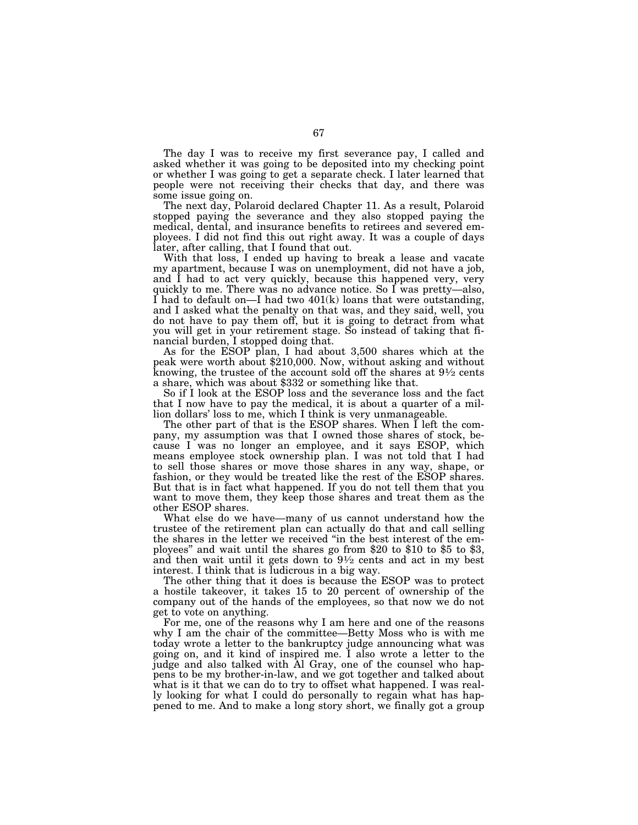The day I was to receive my first severance pay, I called and asked whether it was going to be deposited into my checking point or whether I was going to get a separate check. I later learned that people were not receiving their checks that day, and there was some issue going on.

The next day, Polaroid declared Chapter 11. As a result, Polaroid stopped paying the severance and they also stopped paying the medical, dental, and insurance benefits to retirees and severed employees. I did not find this out right away. It was a couple of days later, after calling, that I found that out.

With that loss, I ended up having to break a lease and vacate my apartment, because I was on unemployment, did not have a job, and I had to act very quickly, because this happened very, very quickly to me. There was no advance notice. So I was pretty—also, I had to default on—I had two  $401(k)$  loans that were outstanding, and I asked what the penalty on that was, and they said, well, you do not have to pay them off, but it is going to detract from what you will get in your retirement stage. So instead of taking that financial burden, I stopped doing that.

As for the ESOP plan, I had about 3,500 shares which at the peak were worth about \$210,000. Now, without asking and without knowing, the trustee of the account sold off the shares at  $9\frac{1}{2}$  cents a share, which was about \$332 or something like that.

So if I look at the ESOP loss and the severance loss and the fact that I now have to pay the medical, it is about a quarter of a million dollars' loss to me, which I think is very unmanageable.

The other part of that is the ESOP shares. When I left the company, my assumption was that I owned those shares of stock, because I was no longer an employee, and it says ESOP, which means employee stock ownership plan. I was not told that I had to sell those shares or move those shares in any way, shape, or fashion, or they would be treated like the rest of the ESOP shares. But that is in fact what happened. If you do not tell them that you want to move them, they keep those shares and treat them as the other ESOP shares.

What else do we have—many of us cannot understand how the trustee of the retirement plan can actually do that and call selling the shares in the letter we received ''in the best interest of the employees'' and wait until the shares go from \$20 to \$10 to \$5 to \$3, and then wait until it gets down to  $9\frac{1}{2}$  cents and act in my best interest. I think that is ludicrous in a big way.

The other thing that it does is because the ESOP was to protect a hostile takeover, it takes 15 to 20 percent of ownership of the company out of the hands of the employees, so that now we do not get to vote on anything.

For me, one of the reasons why I am here and one of the reasons why I am the chair of the committee—Betty Moss who is with me today wrote a letter to the bankruptcy judge announcing what was going on, and it kind of inspired me. I also wrote a letter to the judge and also talked with Al Gray, one of the counsel who happens to be my brother-in-law, and we got together and talked about what is it that we can do to try to offset what happened. I was really looking for what I could do personally to regain what has happened to me. And to make a long story short, we finally got a group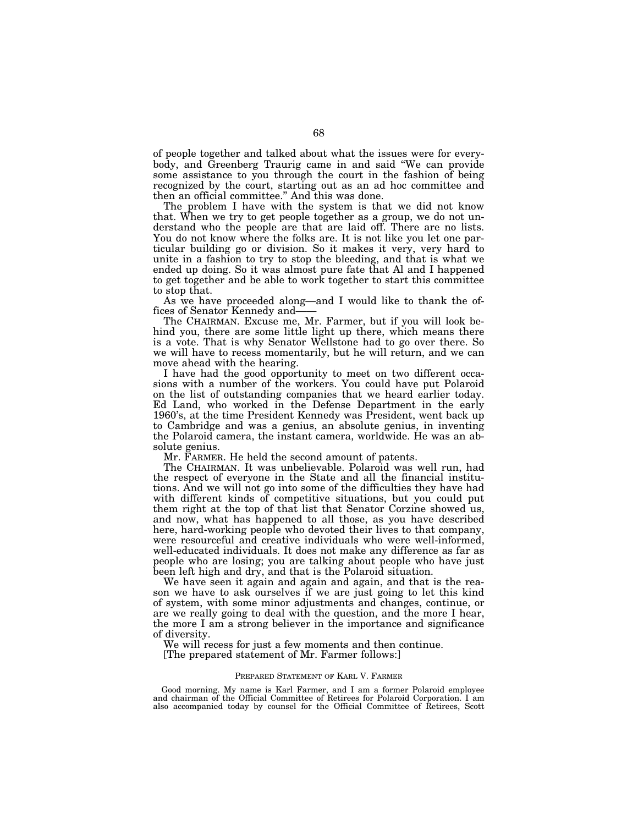of people together and talked about what the issues were for everybody, and Greenberg Traurig came in and said ''We can provide some assistance to you through the court in the fashion of being recognized by the court, starting out as an ad hoc committee and then an official committee.'' And this was done.

The problem I have with the system is that we did not know that. When we try to get people together as a group, we do not understand who the people are that are laid off. There are no lists. You do not know where the folks are. It is not like you let one particular building go or division. So it makes it very, very hard to unite in a fashion to try to stop the bleeding, and that is what we ended up doing. So it was almost pure fate that Al and I happened to get together and be able to work together to start this committee to stop that.

As we have proceeded along—and I would like to thank the offices of Senator Kennedy and-

The CHAIRMAN. Excuse me, Mr. Farmer, but if you will look behind you, there are some little light up there, which means there is a vote. That is why Senator Wellstone had to go over there. So we will have to recess momentarily, but he will return, and we can move ahead with the hearing.

I have had the good opportunity to meet on two different occasions with a number of the workers. You could have put Polaroid on the list of outstanding companies that we heard earlier today. Ed Land, who worked in the Defense Department in the early 1960's, at the time President Kennedy was President, went back up to Cambridge and was a genius, an absolute genius, in inventing the Polaroid camera, the instant camera, worldwide. He was an absolute genius.

Mr. FARMER. He held the second amount of patents.

The CHAIRMAN. It was unbelievable. Polaroid was well run, had the respect of everyone in the State and all the financial institutions. And we will not go into some of the difficulties they have had with different kinds of competitive situations, but you could put them right at the top of that list that Senator Corzine showed us, and now, what has happened to all those, as you have described here, hard-working people who devoted their lives to that company, were resourceful and creative individuals who were well-informed, well-educated individuals. It does not make any difference as far as people who are losing; you are talking about people who have just been left high and dry, and that is the Polaroid situation.

We have seen it again and again and again, and that is the reason we have to ask ourselves if we are just going to let this kind of system, with some minor adjustments and changes, continue, or are we really going to deal with the question, and the more I hear, the more I am a strong believer in the importance and significance of diversity.

We will recess for just a few moments and then continue.

[The prepared statement of Mr. Farmer follows:]

## PREPARED STATEMENT OF KARL V. FARMER

Good morning. My name is Karl Farmer, and I am a former Polaroid employee and chairman of the Official Committee of Retirees for Polaroid Corporation. I am also accompanied today by counsel for the Official Committee of Retirees, Scott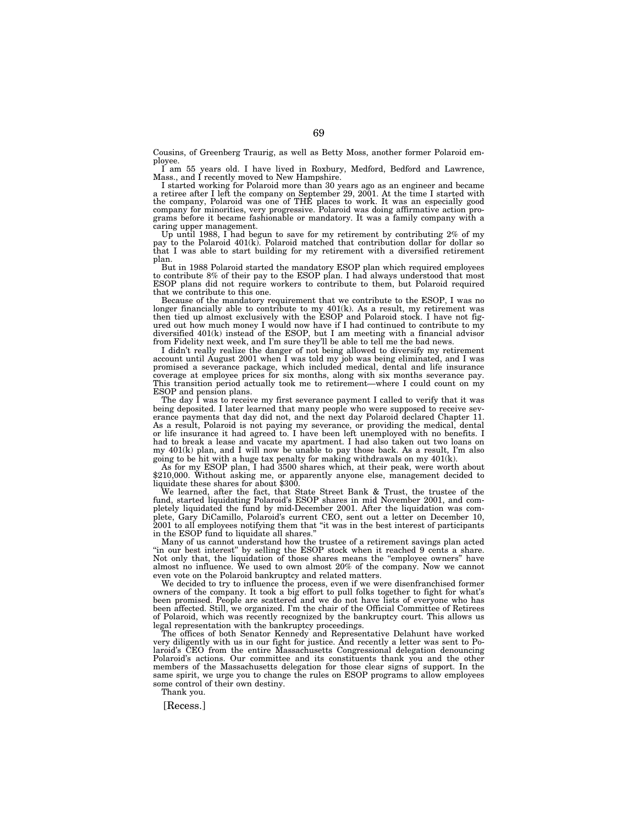Cousins, of Greenberg Traurig, as well as Betty Moss, another former Polaroid employee.

I am 55 years old. I have lived in Roxbury, Medford, Bedford and Lawrence, Mass., and I recently moved to New Hampshire.

I started working for Polaroid more than 30 years ago as an engineer and became a retiree after I left the company on September 29, 2001. At the time I started with<br>the company, Polaroid was one of THE places to work. It was an especially good<br>company for minorities, very progressive. Polaroid was doi grams before it became fashionable or mandatory. It was a family company with a caring upper management.

Up until 1988, I had begun to save for my retirement by contributing 2% of my pay to the Polaroid 401(k). Polaroid matched that contribution dollar for dollar so that I was able to start building for my retirement with a diversified retirement plan.

But in 1988 Polaroid started the mandatory ESOP plan which required employees to contribute 8% of their pay to the ESOP plan. I had always understood that most ESOP plans did not require workers to contribute to them, but Polaroid required that we contribute to this one.

Because of the mandatory requirement that we contribute to the ESOP, I was no longer financially able to contribute to my 401(k). As a result, my retirement was then tied up almost exclusively with the ESOP and Polaroid stock. I have not figured out how much money I would now have if I had continued to contribute to my diversified 401(k) instead of the ESOP, but I am meeting with a financial advisor from Fidelity next week, and I'm sure they'll be able to tell me the bad news.

I didn't really realize the danger of not being allowed to diversify my retirement account until August 2001 when I was told my job was being eliminated, and I was promised a severance package, which included medical, dental and life insurance coverage at employee prices for six months, along with six months severance pay. This transition period actually took me to retirement—where I could count on my ESOP and pension plans.

The day I was to receive my first severance payment I called to verify that it was being deposited. I later learned that many people who were supposed to receive severance payments that day did not, and the next day Polaroid declared Chapter 11. As a result, Polaroid is not paying my severance, or providing the medical, dental or life insurance it had agreed to. I have been left unemployed with no benefits. I had to break a lease and vacate my apartment. I had also taken out two loans on my 401(k) plan, and I will now be unable to pay those back. As a result, I'm also going to be hit with a huge tax penalty for making withdrawals on my 401(k).

As for my ESOP plan, I had 3500 shares which, at their peak, were worth about \$210,000. Without asking me, or apparently anyone else, management decided to liquidate these shares for about \$300.

We learned, after the fact, that State Street Bank & Trust, the trustee of the fund, started liquidating Polaroid's ESOP shares in mid November 2001, and completely liquidated the fund by mid-December 2001. After the liquidation was complete, Gary DiCamillo, Polaroid's current CEO, sent out a letter on December 10, 2001 to all employees notifying them that ''it was in the best interest of participants in the ESOP fund to liquidate all shares.

Many of us cannot understand how the trustee of a retirement savings plan acted ''in our best interest'' by selling the ESOP stock when it reached 9 cents a share. Not only that, the liquidation of those shares means the "employee owners" have almost no influence. We used to own almost 20% of the company. Now we cannot even vote on the Polaroid bankruptcy and related matters.

We decided to try to influence the process, even if we were disenfranchised former owners of the company. It took a big effort to pull folks together to fight for what's been promised. People are scattered and we do not have lists of everyone who has been affected. Still, we organized. I'm the chair of the Official Committee of Retirees of Polaroid, which was recently recognized by the bankruptcy court. This allows us legal representation with the bankruptcy proceedings.

The offices of both Senator Kennedy and Representative Delahunt have worked very diligently with us in our fight for justice. And recently a letter was sent to Polaroid's CEO from the entire Massachusetts Congressional delegation denouncing Polaroid's actions. Our committee and its constituents thank you and the other members of the Massachusetts delegation for those clear signs of support. In the same spirit, we urge you to change the rules on ESOP programs to allow employees some control of their own destiny.

Thank you.

[Recess.]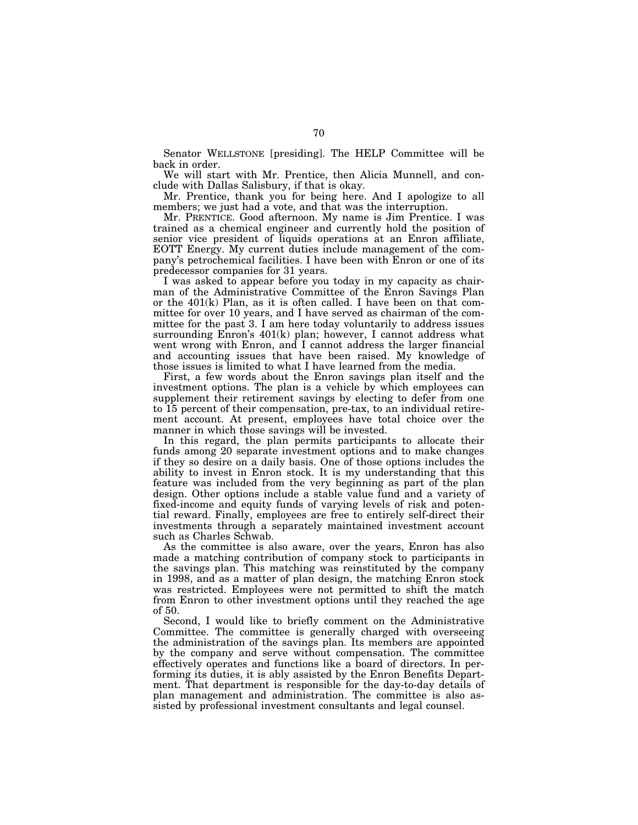Senator WELLSTONE [presiding]. The HELP Committee will be back in order.

We will start with Mr. Prentice, then Alicia Munnell, and conclude with Dallas Salisbury, if that is okay.

Mr. Prentice, thank you for being here. And I apologize to all members; we just had a vote, and that was the interruption.

Mr. PRENTICE. Good afternoon. My name is Jim Prentice. I was trained as a chemical engineer and currently hold the position of senior vice president of liquids operations at an Enron affiliate, EOTT Energy. My current duties include management of the company's petrochemical facilities. I have been with Enron or one of its predecessor companies for 31 years.

I was asked to appear before you today in my capacity as chairman of the Administrative Committee of the Enron Savings Plan or the 401(k) Plan, as it is often called. I have been on that committee for over 10 years, and I have served as chairman of the committee for the past 3. I am here today voluntarily to address issues surrounding Enron's  $401(k)$  plan; however, I cannot address what went wrong with Enron, and I cannot address the larger financial and accounting issues that have been raised. My knowledge of those issues is limited to what I have learned from the media.

First, a few words about the Enron savings plan itself and the investment options. The plan is a vehicle by which employees can supplement their retirement savings by electing to defer from one to 15 percent of their compensation, pre-tax, to an individual retirement account. At present, employees have total choice over the manner in which those savings will be invested.

In this regard, the plan permits participants to allocate their funds among 20 separate investment options and to make changes if they so desire on a daily basis. One of those options includes the ability to invest in Enron stock. It is my understanding that this feature was included from the very beginning as part of the plan design. Other options include a stable value fund and a variety of fixed-income and equity funds of varying levels of risk and potential reward. Finally, employees are free to entirely self-direct their investments through a separately maintained investment account such as Charles Schwab.

As the committee is also aware, over the years, Enron has also made a matching contribution of company stock to participants in the savings plan. This matching was reinstituted by the company in 1998, and as a matter of plan design, the matching Enron stock was restricted. Employees were not permitted to shift the match from Enron to other investment options until they reached the age of 50.

Second, I would like to briefly comment on the Administrative Committee. The committee is generally charged with overseeing the administration of the savings plan. Its members are appointed by the company and serve without compensation. The committee effectively operates and functions like a board of directors. In performing its duties, it is ably assisted by the Enron Benefits Department. That department is responsible for the day-to-day details of plan management and administration. The committee is also assisted by professional investment consultants and legal counsel.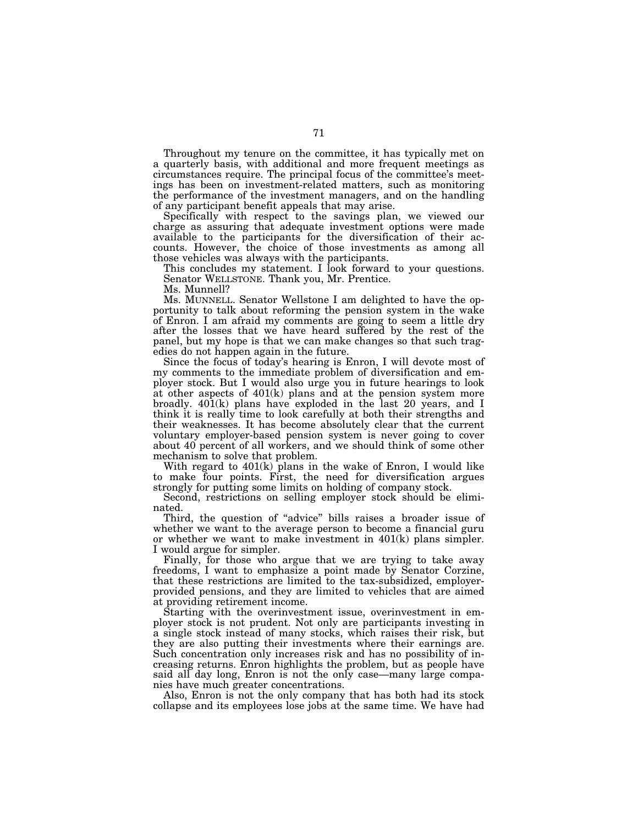Throughout my tenure on the committee, it has typically met on a quarterly basis, with additional and more frequent meetings as circumstances require. The principal focus of the committee's meetings has been on investment-related matters, such as monitoring the performance of the investment managers, and on the handling of any participant benefit appeals that may arise.

Specifically with respect to the savings plan, we viewed our charge as assuring that adequate investment options were made available to the participants for the diversification of their accounts. However, the choice of those investments as among all those vehicles was always with the participants.

This concludes my statement. I look forward to your questions. Senator WELLSTONE. Thank you, Mr. Prentice.

Ms. Munnell?

Ms. MUNNELL. Senator Wellstone I am delighted to have the opportunity to talk about reforming the pension system in the wake of Enron. I am afraid my comments are going to seem a little dry after the losses that we have heard suffered by the rest of the panel, but my hope is that we can make changes so that such tragedies do not happen again in the future.

Since the focus of today's hearing is Enron, I will devote most of my comments to the immediate problem of diversification and employer stock. But I would also urge you in future hearings to look at other aspects of 401(k) plans and at the pension system more broadly. 401(k) plans have exploded in the last 20 years, and I think it is really time to look carefully at both their strengths and their weaknesses. It has become absolutely clear that the current voluntary employer-based pension system is never going to cover about 40 percent of all workers, and we should think of some other mechanism to solve that problem.

With regard to  $401(k)$  plans in the wake of Enron, I would like to make four points. First, the need for diversification argues strongly for putting some limits on holding of company stock.

Second, restrictions on selling employer stock should be eliminated.

Third, the question of ''advice'' bills raises a broader issue of whether we want to the average person to become a financial guru or whether we want to make investment in 401(k) plans simpler. I would argue for simpler.

Finally, for those who argue that we are trying to take away freedoms, I want to emphasize a point made by Senator Corzine, that these restrictions are limited to the tax-subsidized, employerprovided pensions, and they are limited to vehicles that are aimed at providing retirement income.

Starting with the overinvestment issue, overinvestment in employer stock is not prudent. Not only are participants investing in a single stock instead of many stocks, which raises their risk, but they are also putting their investments where their earnings are. Such concentration only increases risk and has no possibility of increasing returns. Enron highlights the problem, but as people have said all day long, Enron is not the only case—many large companies have much greater concentrations.

Also, Enron is not the only company that has both had its stock collapse and its employees lose jobs at the same time. We have had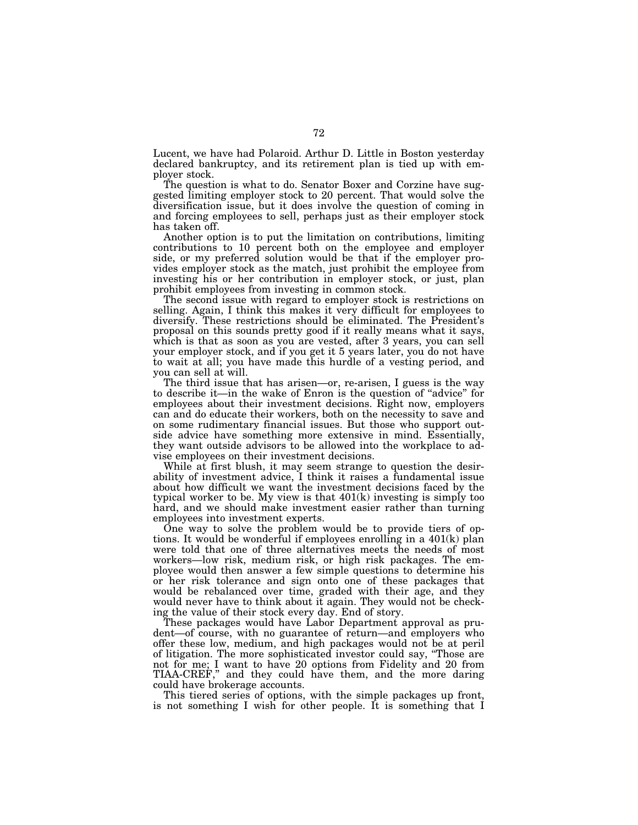Lucent, we have had Polaroid. Arthur D. Little in Boston yesterday declared bankruptcy, and its retirement plan is tied up with employer stock.

The question is what to do. Senator Boxer and Corzine have suggested limiting employer stock to 20 percent. That would solve the diversification issue, but it does involve the question of coming in and forcing employees to sell, perhaps just as their employer stock has taken off.

Another option is to put the limitation on contributions, limiting contributions to 10 percent both on the employee and employer side, or my preferred solution would be that if the employer provides employer stock as the match, just prohibit the employee from investing his or her contribution in employer stock, or just, plan prohibit employees from investing in common stock.

The second issue with regard to employer stock is restrictions on selling. Again, I think this makes it very difficult for employees to diversify. These restrictions should be eliminated. The President's proposal on this sounds pretty good if it really means what it says, which is that as soon as you are vested, after 3 years, you can sell your employer stock, and if you get it 5 years later, you do not have to wait at all; you have made this hurdle of a vesting period, and you can sell at will.

The third issue that has arisen—or, re-arisen, I guess is the way to describe it—in the wake of Enron is the question of ''advice'' for employees about their investment decisions. Right now, employers can and do educate their workers, both on the necessity to save and on some rudimentary financial issues. But those who support outside advice have something more extensive in mind. Essentially, they want outside advisors to be allowed into the workplace to advise employees on their investment decisions.

While at first blush, it may seem strange to question the desirability of investment advice, I think it raises a fundamental issue about how difficult we want the investment decisions faced by the typical worker to be. My view is that 401(k) investing is simply too hard, and we should make investment easier rather than turning employees into investment experts.

One way to solve the problem would be to provide tiers of options. It would be wonderful if employees enrolling in a 401(k) plan were told that one of three alternatives meets the needs of most workers—low risk, medium risk, or high risk packages. The employee would then answer a few simple questions to determine his or her risk tolerance and sign onto one of these packages that would be rebalanced over time, graded with their age, and they would never have to think about it again. They would not be checking the value of their stock every day. End of story.

These packages would have Labor Department approval as prudent—of course, with no guarantee of return—and employers who offer these low, medium, and high packages would not be at peril of litigation. The more sophisticated investor could say, ''Those are not for me; I want to have 20 options from Fidelity and 20 from TIAA-CREF,'' and they could have them, and the more daring could have brokerage accounts.

This tiered series of options, with the simple packages up front, is not something I wish for other people. It is something that I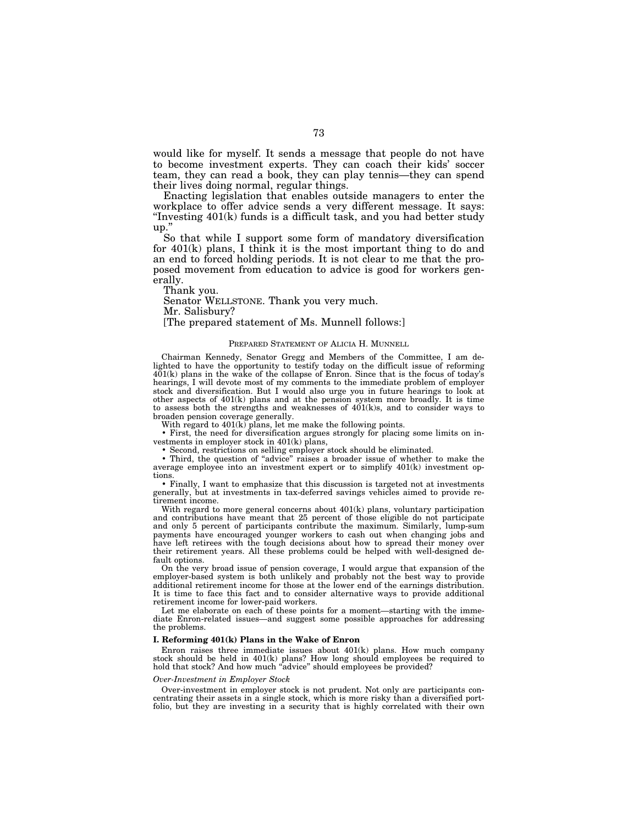would like for myself. It sends a message that people do not have to become investment experts. They can coach their kids' soccer team, they can read a book, they can play tennis—they can spend their lives doing normal, regular things.

Enacting legislation that enables outside managers to enter the workplace to offer advice sends a very different message. It says: ''Investing 401(k) funds is a difficult task, and you had better study up.''

So that while I support some form of mandatory diversification for 401(k) plans, I think it is the most important thing to do and an end to forced holding periods. It is not clear to me that the proposed movement from education to advice is good for workers generally.

Thank you.

Senator WELLSTONE. Thank you very much.

Mr. Salisbury?

[The prepared statement of Ms. Munnell follows:]

## PREPARED STATEMENT OF ALICIA H. MUNNELL

Chairman Kennedy, Senator Gregg and Members of the Committee, I am delighted to have the opportunity to testify today on the difficult issue of reforming  $401(k)$  plans in the wake of the collapse of Enron. Since that is the focus of today's hearings, I will devote most of my comments to the immediate problem of employer stock and diversification. But I would also urge you in future hearings to look at other aspects of 401(k) plans and at the pension system more broadly. It is time to assess both the strengths and weaknesses of  $401(k)s$ , and to consider ways to broaden pension coverage generally.

With regard to  $401(k)$  plans, let me make the following points.

• First, the need for diversification argues strongly for placing some limits on investments in employer stock in 401(k) plans,

• Second, restrictions on selling employer stock should be eliminated.

• Third, the question of ''advice'' raises a broader issue of whether to make the average employee into an investment expert or to simplify 401(k) investment options.

• Finally, I want to emphasize that this discussion is targeted not at investments generally, but at investments in tax-deferred savings vehicles aimed to provide retirement income.

With regard to more general concerns about  $401(k)$  plans, voluntary participation and contributions have meant that 25 percent of those eligible do not participate and only 5 percent of participants contribute the maximum. Similarly, lump-sum payments have encouraged younger workers to cash out when changing jobs and have left retirees with the tough decisions about how to spread their money over their retirement years. All these problems could be helped with well-designed default options.

On the very broad issue of pension coverage, I would argue that expansion of the employer-based system is both unlikely and probably not the best way to provide additional retirement income for those at the lower end of the earnings distribution. It is time to face this fact and to consider alternative ways to provide additional retirement income for lower-paid workers.

Let me elaborate on each of these points for a moment—starting with the immediate Enron-related issues—and suggest some possible approaches for addressing the problems.

# **I. Reforming 401(k) Plans in the Wake of Enron**

Enron raises three immediate issues about 401(k) plans. How much company stock should be held in 401(k) plans? How long should employees be required to hold that stock? And how much "advice" should employees be provided?

#### *Over-Investment in Employer Stock*

Over-investment in employer stock is not prudent. Not only are participants concentrating their assets in a single stock, which is more risky than a diversified portfolio, but they are investing in a security that is highly correlated with their own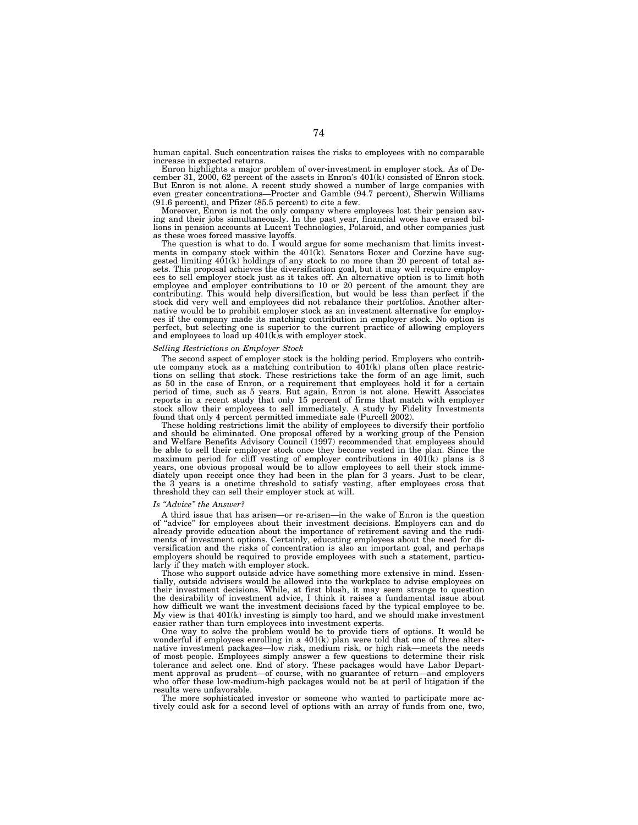human capital. Such concentration raises the risks to employees with no comparable increase in expected returns.

Enron highlights a major problem of over-investment in employer stock. As of December 31, 2000, 62 percent of the assets in Enron's 401(k) consisted of Enron stock. But Enron is not alone. A recent study showed a number of large companies with even greater concentrations—Procter and Gamble (94.7 percent), Sherwin Williams (91.6 percent), and Pfizer (85.5 percent) to cite a few.

Moreover, Enron is not the only company where employees lost their pension saving and their jobs simultaneously. In the past year, financial woes have erased billions in pension accounts at Lucent Technologies, Polaroid, and other companies just as these woes forced massive layoffs.

The question is what to do. I would argue for some mechanism that limits investments in company stock within the 401(k). Senators Boxer and Corzine have suggested limiting  $401(k)$  holdings of any stock to no more than 20 percent of total assets. This proposal achieves the diversification goal, but it may well require employees to sell employer stock just as it takes off. An alternative option is to limit both employee and employer contributions to 10 or 20 percent of the amount they are contributing. This would help diversification, but would be less than perfect if the stock did very well and employees did not rebalance their portfolios. Another alternative would be to prohibit employer stock as an investment alternative for employees if the company made its matching contribution in employer stock. No option is perfect, but selecting one is superior to the current practice of allowing employers and employees to load up 401(k)s with employer stock.

### *Selling Restrictions on Employer Stock*

The second aspect of employer stock is the holding period. Employers who contribute company stock as a matching contribution to 401(k) plans often place restrictions on selling that stock. These restrictions take the form of an age limit, such as 50 in the case of Enron, or a requirement that employees hold it for a certain period of time, such as 5 years. But again, Enron is not alone. Hewitt Associates reports in a recent study that only 15 percent of firms that match with employer stock allow their employees to sell immediately. A study by Fidelity Investments found that only 4 percent permitted immediate sale (Purcell 2002).

These holding restrictions limit the ability of employees to diversify their portfolio and should be eliminated. One proposal offered by a working group of the Pension and Welfare Benefits Advisory Council (1997) recommended that employees should be able to sell their employer stock once they become vested in the plan. Since the maximum period for cliff vesting of employer contributions in 401(k) plans is 3 years, one obvious proposal would be to allow employees to sell their stock immediately upon receipt once they had been in the plan for 3 years. Just to be clear, the 3 years is a onetime threshold to satisfy vesting, after employees cross that threshold they can sell their employer stock at will.

## *Is ''Advice'' the Answer?*

A third issue that has arisen—or re-arisen—in the wake of Enron is the question of ''advice'' for employees about their investment decisions. Employers can and do already provide education about the importance of retirement saving and the rudiments of investment options. Certainly, educating employees about the need for diversification and the risks of concentration is also an important goal, and perhaps employers should be required to provide employees with such a statement, particularly if they match with employer stock.

Those who support outside advice have something more extensive in mind. Essentially, outside advisers would be allowed into the workplace to advise employees on their investment decisions. While, at first blush, it may seem strange to question the desirability of investment advice, I think it raises a fundamental issue about how difficult we want the investment decisions faced by the typical employee to be. My view is that 401(k) investing is simply too hard, and we should make investment easier rather than turn employees into investment experts.

One way to solve the problem would be to provide tiers of options. It would be wonderful if employees enrolling in a  $401(k)$  plan were told that one of three alternative investment packages—low risk, medium risk, or high risk—meets the needs of most people. Employees simply answer a few questions to determine their risk tolerance and select one. End of story. These packages would have Labor Department approval as prudent—of course, with no guarantee of return—and employers who offer these low-medium-high packages would not be at peril of litigation if the results were unfavorable.

The more sophisticated investor or someone who wanted to participate more actively could ask for a second level of options with an array of funds from one, two,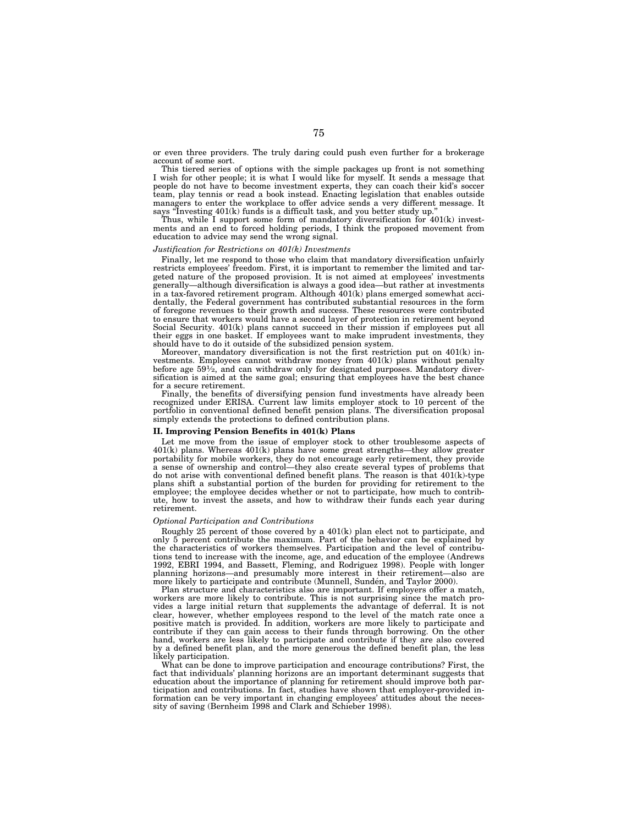or even three providers. The truly daring could push even further for a brokerage account of some sort.

This tiered series of options with the simple packages up front is not something I wish for other people; it is what I would like for myself. It sends a message that people do not have to become investment experts, they can coach their kid's soccer team, play tennis or read a book instead. Enacting legislation that enables outside managers to enter the workplace to offer advice sends a very different message. It says "Investing  $401(k)$  funds is a difficult task, and you better study up.'

Thus, while I support some form of mandatory diversification for 401(k) investments and an end to forced holding periods, I think the proposed movement from education to advice may send the wrong signal.

#### *Justification for Restrictions on 401(k) Investments*

Finally, let me respond to those who claim that mandatory diversification unfairly restricts employees' freedom. First, it is important to remember the limited and targeted nature of the proposed provision. It is not aimed at employees' investments generally—although diversification is always a good idea—but rather at investments in a tax-favored retirement program. Although 401(k) plans emerged somewhat accidentally, the Federal government has contributed substantial resources in the form of foregone revenues to their growth and success. These resources were contributed to ensure that workers would have a second layer of protection in retirement beyond Social Security. 401(k) plans cannot succeed in their mission if employees put all their eggs in one basket. If employees want to make imprudent investments, they should have to do it outside of the subsidized pension system.

Moreover, mandatory diversification is not the first restriction put on 401(k) investments. Employees cannot withdraw money from 401(k) plans without penalty before age  $59\frac{1}{2}$ , and can withdraw only for designated purposes. Mandatory diversification is aimed at the same goal; ensuring that employees have the best chance for a secure retirement.

Finally, the benefits of diversifying pension fund investments have already been recognized under ERISA. Current law limits employer stock to 10 percent of the portfolio in conventional defined benefit pension plans. The diversification proposal simply extends the protections to defined contribution plans.

## **II. Improving Pension Benefits in 401(k) Plans**

Let me move from the issue of employer stock to other troublesome aspects of  $401(k)$  plans. Whereas  $401(k)$  plans have some great strengths—they allow greater portability for mobile workers, they do not encourage early retirement, they provide a sense of ownership and control—they also create several types of problems that do not arise with conventional defined benefit plans. The reason is that 401(k)-type plans shift a substantial portion of the burden for providing for retirement to the employee; the employee decides whether or not to participate, how much to contribute, how to invest the assets, and how to withdraw their funds each year during retirement.

### *Optional Participation and Contributions*

Roughly 25 percent of those covered by a 401(k) plan elect not to participate, and only 5 percent contribute the maximum. Part of the behavior can be explained by the characteristics of workers themselves. Participation and the level of contributions tend to increase with the income, age, and education of the employee (Andrews 1992, EBRI 1994, and Bassett, Fleming, and Rodriguez 1998). People with longer planning horizons—and presumably more interest in their retirement—also are more likely to participate and contribute (Munnell, Sundén, and Taylor 2000).

Plan structure and characteristics also are important. If employers offer a match, workers are more likely to contribute. This is not surprising since the match provides a large initial return that supplements the advantage of deferral. It is not clear, however, whether employees respond to the level of the match rate once a positive match is provided. In addition, workers are more likely to participate and contribute if they can gain access to their funds through borrowing. On the other hand, workers are less likely to participate and contribute if they are also covered by a defined benefit plan, and the more generous the defined benefit plan, the less likely participation.

What can be done to improve participation and encourage contributions? First, the fact that individuals' planning horizons are an important determinant suggests that education about the importance of planning for retirement should improve both participation and contributions. In fact, studies have shown that employer-provided information can be very important in changing employees' attitudes about the necessity of saving (Bernheim 1998 and Clark and Schieber 1998).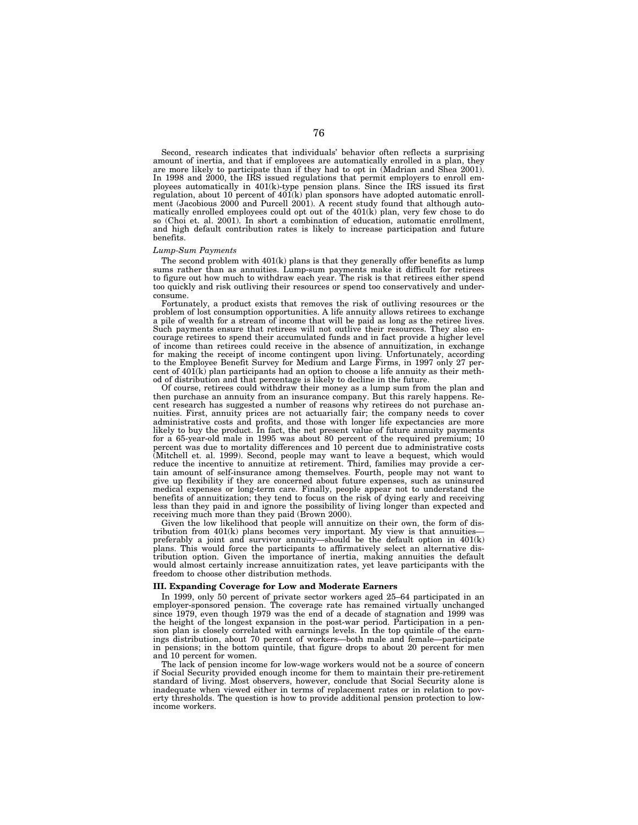Second, research indicates that individuals' behavior often reflects a surprising amount of inertia, and that if employees are automatically enrolled in a plan, they are more likely to participate than if they had to opt in (Madrian and Shea 2001). In 1998 and 2000, the IRS issued regulations that permit employers to enroll employees automatically in 401(k)-type pension plans. Since the IRS issued its first regulation, about 10 percent of  $401(k)$  plan sponsors have adopted automatic enrollment (Jacobious 2000 and Purcell 2001). A recent study found that although automatically enrolled employees could opt out of the 401(k) plan, very few chose to do so (Choi et. al. 2001). In short a combination of education, automatic enrollment, and high default contribution rates is likely to increase participation and future benefits.

## *Lump-Sum Payments*

The second problem with  $401(k)$  plans is that they generally offer benefits as lump sums rather than as annuities. Lump-sum payments make it difficult for retirees to figure out how much to withdraw each year. The risk is that retirees either spend too quickly and risk outliving their resources or spend too conservatively and underconsume.

Fortunately, a product exists that removes the risk of outliving resources or the problem of lost consumption opportunities. A life annuity allows retirees to exchange a pile of wealth for a stream of income that will be paid as long as the retiree lives. Such payments ensure that retirees will not outlive their resources. They also encourage retirees to spend their accumulated funds and in fact provide a higher level of income than retirees could receive in the absence of annuitization, in exchange for making the receipt of income contingent upon living. Unfortunately, according to the Employee Benefit Survey for Medium and Large Firms, in 1997 only 27 percent of  $401(k)$  plan participants had an option to choose a life annuity as their method of distribution and that percentage is likely to decline in the future.

Of course, retirees could withdraw their money as a lump sum from the plan and then purchase an annuity from an insurance company. But this rarely happens. Recent research has suggested a number of reasons why retirees do not purchase annuities. First, annuity prices are not actuarially fair; the company needs to cover administrative costs and profits, and those with longer life expectancies are more likely to buy the product. In fact, the net present value of future annuity payments for a 65-year-old male in 1995 was about 80 percent of the required premium; 10 percent was due to mortality differences and 10 percent due to administrative costs (Mitchell et. al. 1999). Second, people may want to leave a bequest, which would reduce the incentive to annuitize at retirement. Third, families may provide a certain amount of self-insurance among themselves. Fourth, people may not want to give up flexibility if they are concerned about future expenses, such as uninsured medical expenses or long-term care. Finally, people appear not to understand the benefits of annuitization; they tend to focus on the risk of dying early and receiving less than they paid in and ignore the possibility of living longer than expected and receiving much more than they paid (Brown 2000).

Given the low likelihood that people will annuitize on their own, the form of distribution from 401(k) plans becomes very important. My view is that annuities preferably a joint and survivor annuity—should be the default option in 401(k) plans. This would force the participants to affirmatively select an alternative distribution option. Given the importance of inertia, making annuities the default would almost certainly increase annuitization rates, yet leave participants with the freedom to choose other distribution methods.

# **III. Expanding Coverage for Low and Moderate Earners**

In 1999, only 50 percent of private sector workers aged 25–64 participated in an employer-sponsored pension. The coverage rate has remained virtually unchanged since 1979, even though 1979 was the end of a decade of stagnation and 1999 was the height of the longest expansion in the post-war period. Participation in a pension plan is closely correlated with earnings levels. In the top quintile of the earnings distribution, about 70 percent of workers—both male and female—participate in pensions; in the bottom quintile, that figure drops to about 20 percent for men and 10 percent for women.

The lack of pension income for low-wage workers would not be a source of concern if Social Security provided enough income for them to maintain their pre-retirement standard of living. Most observers, however, conclude that Social Security alone is inadequate when viewed either in terms of replacement rates or in relation to poverty thresholds. The question is how to provide additional pension protection to lowincome workers.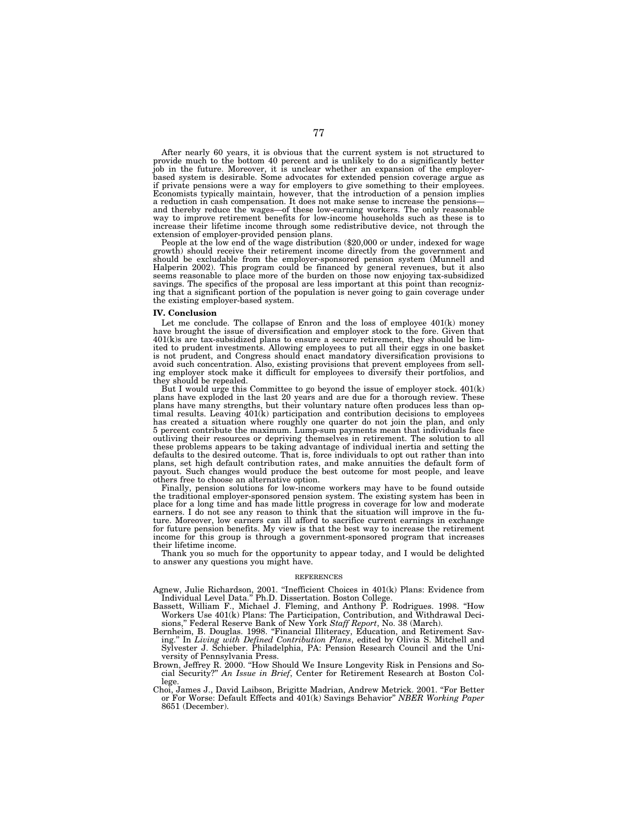After nearly 60 years, it is obvious that the current system is not structured to provide much to the bottom 40 percent and is unlikely to do a significantly better job in the future. Moreover, it is unclear whether an expansion of the employerbased system is desirable. Some advocates for extended pension coverage argue as if private pensions were a way for employers to give something to their employees. Economists typically maintain, however, that the introduction of a pension implies a reduction in cash compensation. It does not make sense to increase the pensions—<br>and thereby reduce the wages—of these low-earning workers. The only reasonable<br>way to improve retirement benefits for low-income households increase their lifetime income through some redistributive device, not through the

extension of employer-provided pension plans.<br>People at the low end of the wage distribution (\$20,000 or under, indexed for wage<br>growth) should receive their retirement income directly from the government and should be excludable from the employer-sponsored pension system (Munnell and Halperin 2002). This program could be financed by general revenues, but it also seems reasonable to place more of the burden on those now enjoying tax-subsidized savings. The specifics of the proposal are less important at this point than recognizing that a significant portion of the population is never going to gain coverage under the existing employer-based system.

#### **IV. Conclusion**

Let me conclude. The collapse of Enron and the loss of employee  $401(k)$  money have brought the issue of diversification and employer stock to the fore. Given that  $401(k)$  are tax-subsidized plans to ensure a secure retirement, they should be limited to prudent investments. Allowing employees to put all their eggs in one basket is not prudent, and Congress should enact mandatory diversification provisions to avoid such concentration. Also, existing provisions that prevent employees from selling employer stock make it difficult for employees to diversify their portfolios, and they should be repealed.

But I would urge this Committee to go beyond the issue of employer stock. 401(k) plans have exploded in the last 20 years and are due for a thorough review. These plans have many strengths, but their voluntary nature often produces less than op-timal results. Leaving 401(k) participation and contribution decisions to employees has created a situation where roughly one quarter do not join the plan, and only 5 percent contribute the maximum. Lump-sum payments mean that individuals face outliving their resources or depriving themselves in retirement. The solution to all these problems appears to be taking advantage of individual inertia and setting the defaults to the desired outcome. That is, force individuals to opt out rather than into plans, set high default contribution rates, and make annuities the default form of payout. Such changes would produce the best outcome for most people, and leave others free to choose an alternative option.

Finally, pension solutions for low-income workers may have to be found outside the traditional employer-sponsored pension system. The existing system has been in place for a long time and has made little progress in coverage for low and moderate earners. I do not see any reason to think that the situation will improve in the fu-ture. Moreover, low earners can ill afford to sacrifice current earnings in exchange for future pension benefits. My view is that the best way to increase the retirement income for this group is through a government-sponsored program that increases their lifetime income.

Thank you so much for the opportunity to appear today, and I would be delighted to answer any questions you might have.

#### REFERENCES

Agnew, Julie Richardson, 2001. ''Inefficient Choices in 401(k) Plans: Evidence from Individual Level Data.'' Ph.D. Dissertation. Boston College.

Bassett, William F., Michael J. Fleming, and Anthony P. Rodrigues. 1998. ''How Workers Use 401(k) Plans: The Participation, Contribution, and Withdrawal Decisions,'' Federal Reserve Bank of New York *Staff Report*, No. 38 (March).

- Bernheim, B. Douglas. 1998. ''Financial Illiteracy, Education, and Retirement Saving.'' In *Living with Defined Contribution Plans*, edited by Olivia S. Mitchell and Sylvester J. Schieber. Philadelphia, PA: Pension Research Council and the University of Pennsylvania Press.
- Brown, Jeffrey R. 2000. ''How Should We Insure Longevity Risk in Pensions and Social Security?'' *An Issue in Brief*, Center for Retirement Research at Boston College.
- Choi, James J., David Laibson, Brigitte Madrian, Andrew Metrick. 2001. ''For Better or For Worse: Default Effects and 401(k) Savings Behavior'' *NBER Working Paper* 8651 (December).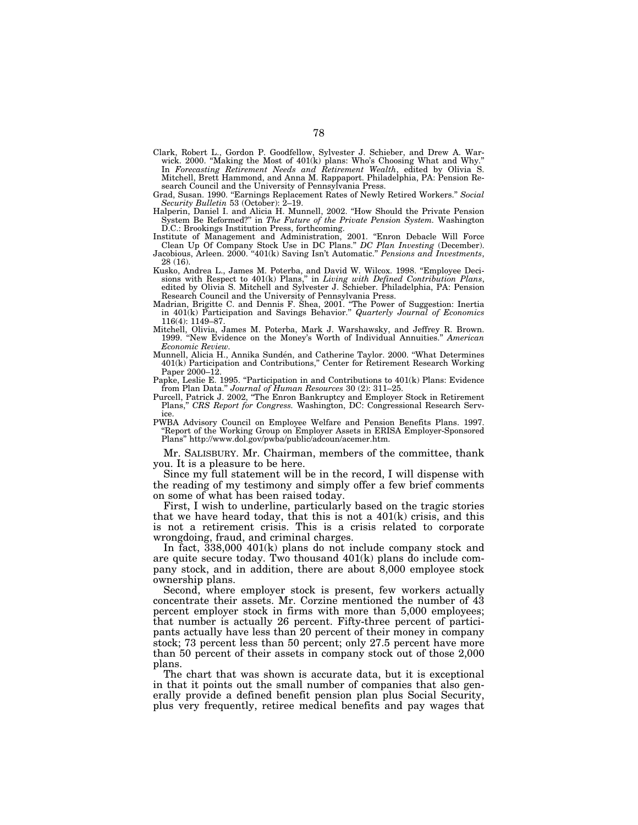- Clark, Robert L., Gordon P. Goodfellow, Sylvester J. Schieber, and Drew A. Warwick. 2000. ''Making the Most of 401(k) plans: Who's Choosing What and Why.'' In *Forecasting Retirement Needs and Retirement Wealth*, edited by Olivia S. Mitchell, Brett Hammond, and Anna M. Rappaport. Philadelphia, PA: Pension Research Council and the University of Pennsylvania Press.
- Grad, Susan. 1990. ''Earnings Replacement Rates of Newly Retired Workers.'' *Social Security Bulletin* 53 (October): 2–19.

Halperin, Daniel I. and Alicia H. Munnell, 2002. ''How Should the Private Pension System Be Reformed?'' in *The Future of the Private Pension System.* Washington D.C.: Brookings Institution Press, forthcoming.

Institute of Management and Administration, 2001. ''Enron Debacle Will Force Clean Up Of Company Stock Use in DC Plans.'' *DC Plan Investing* (December). Jacobious, Arleen. 2000. ''401(k) Saving Isn't Automatic.'' *Pensions and Investments*,

28 (16). Kusko, Andrea L., James M. Poterba, and David W. Wilcox. 1998. ''Employee Decisions with Respect to 401(k) Plans,'' in *Living with Defined Contribution Plans*, edited by Olivia S. Mitchell and Sylvester J. Schieber. Philadelphia, PA: Pension

Research Council and the University of Pennsylvania Press. Madrian, Brigitte C. and Dennis F. Shea, 2001. ''The Power of Suggestion: Inertia in 401(k) Participation and Savings Behavior.'' *Quarterly Journal of Economics* 116(4): 1149–87.

Mitchell, Olivia, James M. Poterba, Mark J. Warshawsky, and Jeffrey R. Brown. 1999. ''New Evidence on the Money's Worth of Individual Annuities.'' *American Economic Review.*

Munnell, Alicia H., Annika Sundén, and Catherine Taylor. 2000. "What Determines 401(k) Participation and Contributions,'' Center for Retirement Research Working Paper 2000–12.

Papke, Leslie E. 1995. ''Participation in and Contributions to 401(k) Plans: Evidence from Plan Data.'' *Journal of Human Resources* 30 (2): 311–25.

Purcell, Patrick J. 2002, "The Enron Bankruptcy and Employer Stock in Retirement Plans,'' *CRS Report for Congress.* Washington, DC: Congressional Research Service.

PWBA Advisory Council on Employee Welfare and Pension Benefits Plans. 1997. ''Report of the Working Group on Employer Assets in ERISA Employer-Sponsored Plans'' http://www.dol.gov/pwba/public/adcoun/acemer.htm.

Mr. SALISBURY. Mr. Chairman, members of the committee, thank you. It is a pleasure to be here.

Since my full statement will be in the record, I will dispense with the reading of my testimony and simply offer a few brief comments on some of what has been raised today.

First, I wish to underline, particularly based on the tragic stories that we have heard today, that this is not a 401(k) crisis, and this is not a retirement crisis. This is a crisis related to corporate wrongdoing, fraud, and criminal charges.

In fact, 338,000 401(k) plans do not include company stock and are quite secure today. Two thousand 401(k) plans do include company stock, and in addition, there are about 8,000 employee stock ownership plans.

Second, where employer stock is present, few workers actually concentrate their assets. Mr. Corzine mentioned the number of 43 percent employer stock in firms with more than 5,000 employees; that number is actually 26 percent. Fifty-three percent of participants actually have less than 20 percent of their money in company stock; 73 percent less than 50 percent; only 27.5 percent have more than 50 percent of their assets in company stock out of those 2,000 plans.

The chart that was shown is accurate data, but it is exceptional in that it points out the small number of companies that also generally provide a defined benefit pension plan plus Social Security, plus very frequently, retiree medical benefits and pay wages that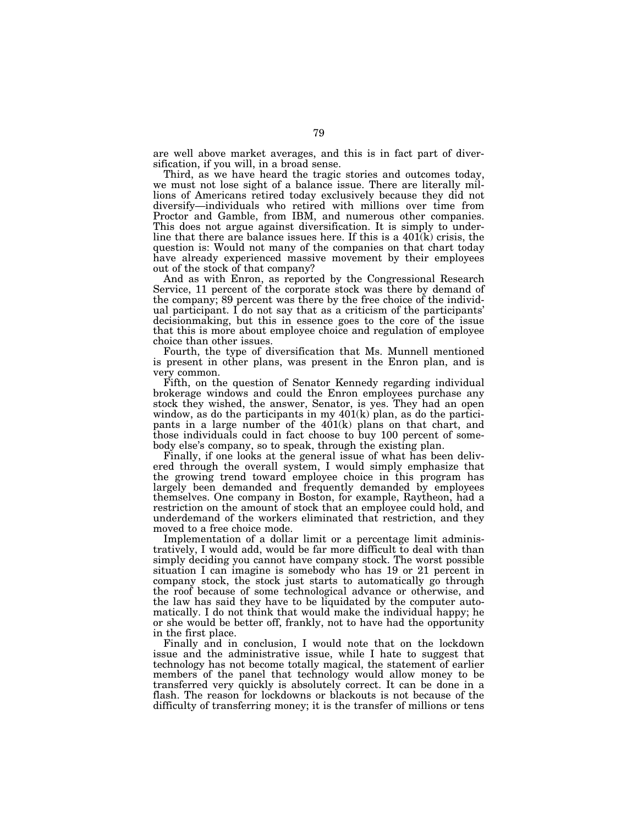are well above market averages, and this is in fact part of diversification, if you will, in a broad sense.

Third, as we have heard the tragic stories and outcomes today, we must not lose sight of a balance issue. There are literally millions of Americans retired today exclusively because they did not diversify—individuals who retired with millions over time from Proctor and Gamble, from IBM, and numerous other companies. This does not argue against diversification. It is simply to underline that there are balance issues here. If this is a  $401(k)$  crisis, the question is: Would not many of the companies on that chart today have already experienced massive movement by their employees out of the stock of that company?

And as with Enron, as reported by the Congressional Research Service, 11 percent of the corporate stock was there by demand of the company; 89 percent was there by the free choice of the individual participant. I do not say that as a criticism of the participants' decisionmaking, but this in essence goes to the core of the issue that this is more about employee choice and regulation of employee choice than other issues.

Fourth, the type of diversification that Ms. Munnell mentioned is present in other plans, was present in the Enron plan, and is very common.

Fifth, on the question of Senator Kennedy regarding individual brokerage windows and could the Enron employees purchase any stock they wished, the answer, Senator, is yes. They had an open window, as do the participants in my  $401(k)$  plan, as do the participants in a large number of the 401(k) plans on that chart, and those individuals could in fact choose to buy 100 percent of somebody else's company, so to speak, through the existing plan.

Finally, if one looks at the general issue of what has been delivered through the overall system, I would simply emphasize that the growing trend toward employee choice in this program has largely been demanded and frequently demanded by employees themselves. One company in Boston, for example, Raytheon, had a restriction on the amount of stock that an employee could hold, and underdemand of the workers eliminated that restriction, and they moved to a free choice mode.

Implementation of a dollar limit or a percentage limit administratively, I would add, would be far more difficult to deal with than simply deciding you cannot have company stock. The worst possible situation I can imagine is somebody who has 19 or 21 percent in company stock, the stock just starts to automatically go through the roof because of some technological advance or otherwise, and the law has said they have to be liquidated by the computer automatically. I do not think that would make the individual happy; he or she would be better off, frankly, not to have had the opportunity in the first place.

Finally and in conclusion, I would note that on the lockdown issue and the administrative issue, while I hate to suggest that technology has not become totally magical, the statement of earlier members of the panel that technology would allow money to be transferred very quickly is absolutely correct. It can be done in a flash. The reason for lockdowns or blackouts is not because of the difficulty of transferring money; it is the transfer of millions or tens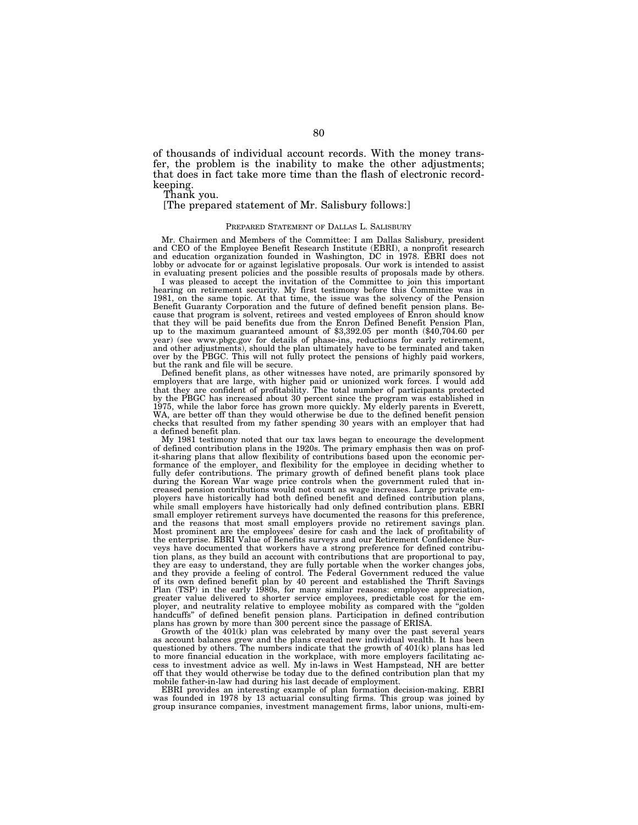of thousands of individual account records. With the money transfer, the problem is the inability to make the other adjustments; that does in fact take more time than the flash of electronic recordkeeping.

Thank you.

[The prepared statement of Mr. Salisbury follows:]

### PREPARED STATEMENT OF DALLAS L. SALISBURY

Mr. Chairmen and Members of the Committee: I am Dallas Salisbury, president and CEO of the Employee Benefit Research Institute (EBRI), a nonprofit research and education organization founded in Washington, DC in 1978. EBRI does not lobby or advocate for or against legislative proposals. Our work is intended to assist in evaluating present policies and the possible results of proposals made by others.

I was pleased to accept the invitation of the Committee to join this important hearing on retirement security. My first testimony before this Committee was in 1981, on the same topic. At that time, the issue was the solvency of the Pension Benefit Guaranty Corporation and the future of defined benefit pension plans. Because that program is solvent, retirees and vested employees of Enron should know that they will be paid benefits due from the Enron Defined Benefit Pension Plan, up to the maximum guaranteed amount of \$3,392.05 per month (\$40,704.60 per year) (see www.pbgc.gov for details of phase-ins, reductions for early retirement, and other adjustments), should the plan ultimately have to be terminated and taken over by the PBGC. This will not fully protect the pensions of highly paid workers, but the rank and file will be secure.

Defined benefit plans, as other witnesses have noted, are primarily sponsored by employers that are large, with higher paid or unionized work forces. I would add that they are confident of profitability. The total number of participants protected by the PBGC has increased about 30 percent since the program was established in 1975, while the labor force has grown more quickly. My elderly parents in Everett, WA, are better off than they would otherwise be due to the defined benefit pension checks that resulted from my father spending 30 years with an employer that had a defined benefit plan.

My 1981 testimony noted that our tax laws began to encourage the development of defined contribution plans in the 1920s. The primary emphasis then was on profit-sharing plans that allow flexibility of contributions based upon the economic performance of the employer, and flexibility for the employee in deciding whether to fully defer contributions. The primary growth of defined benefit plans took place during the Korean War wage price controls when the government ruled that increased pension contributions would not count as wage increases. Large private employers have historically had both defined benefit and defined contribution plans, while small employers have historically had only defined contribution plans. EBRI small employer retirement surveys have documented the reasons for this preference, and the reasons that most small employers provide no retirement savings plan. Most prominent are the employees' desire for cash and the lack of profitability of the enterprise. EBRI Value of Benefits surveys and our Retirement Confidence Surveys have documented that workers have a strong preference for defined contribution plans, as they build an account with contributions that are proportional to pay, they are easy to understand, they are fully portable when the worker changes jobs, and they provide a feeling of control. The Federal Government reduced the value of its own defined benefit plan by 40 percent and established the Thrift Savings Plan (TSP) in the early 1980s, for many similar reasons: employee appreciation, greater value delivered to shorter service employees, predictable cost for the employer, and neutrality relative to employee mobility as compared with the ''golden handcuffs'' of defined benefit pension plans. Participation in defined contribution plans has grown by more than 300 percent since the passage of ERISA.

Growth of the 401(k) plan was celebrated by many over the past several years as account balances grew and the plans created new individual wealth. It has been questioned by others. The numbers indicate that the growth of 401(k) plans has led to more financial education in the workplace, with more employers facilitating access to investment advice as well. My in-laws in West Hampstead, NH are better off that they would otherwise be today due to the defined contribution plan that my mobile father-in-law had during his last decade of employment.

EBRI provides an interesting example of plan formation decision-making. EBRI was founded in 1978 by 13 actuarial consulting firms. This group was joined by group insurance companies, investment management firms, labor unions, multi-em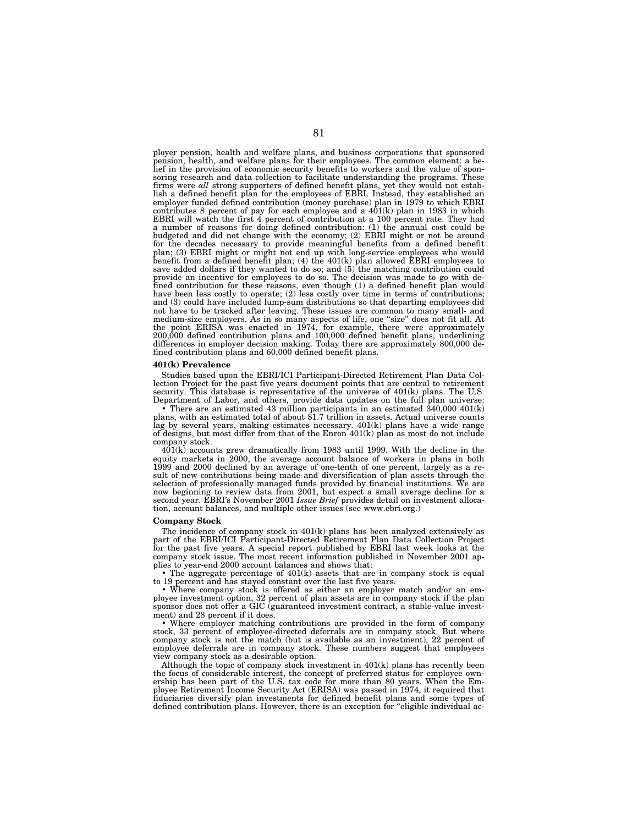ployer pension, health and welfare plans, and business corporations that sponsored pension, health, and welfare plans for their employees. The common element: a belief in the provision of economic security benefits to workers and the value of sponsoring research and data collection to facilitate understanding the programs. These firms were *all* strong supporters of defined benefit plans, yet they would not establish a defined benefit plan for the employees of EBRI. Instead, they established an employer funded defined contribution (money purchase) plan in 1979 to which EBRI contributes 8 percent of pay for each employee and a  $401(k)$  plan in 1983 in which EBRI will watch the first 4 percent of contribution at a 100 percent rate. They had a number of reasons for doing defined contribution: (1) the annual cost could be budgeted and did not change with the economy; (2) EBRI might or not be around for the decades necessary to provide meaningful benefits from a defined benefit plan; (3) EBRI might or might not end up with long-service employees who would benefit from a defined benefit plan; (4) the 401(k) plan allowed EBRI employees to save added dollars if they wanted to do so; and  $(5)$  the matching contribution could provide an incentive for employees to do so. The decision was made to go with defined contribution for these reasons, even though (1) a defined benefit plan would have been less costly to operate;  $(2)$  less costly over time in terms of contributions; and (3) could have included lump-sum distributions so that departing employees did not have to be tracked after leaving. These issues are common to many small- and medium-size employers. As in so many aspects of life, one ''size'' does not fit all. At the point ERISA was enacted in 1974, for example, there were approximately 200,000 defined contribution plans and 100,000 defined benefit plans, underlining differences in employer decision making. Today there are approximately 800,000 defined contribution plans and 60,000 defined benefit plans.

### **401(k) Prevalence**

Studies based upon the EBRI/ICI Participant-Directed Retirement Plan Data Collection Project for the past five years document points that are central to retirement security. This database is representative of the universe of  $401(k)$  plans. The U.S. Department of Labor, and others, provide data updates on the full plan universe:

• There are an estimated 43 million participants in an estimated  $340,000\ 401(k)$  plans, with an estimated total of about \$1.7 trillion in assets. Actual universe counts lag by several years, making estimates necessary. 401(k) plans have a wide range of designs, but most differ from that of the Enron 401(k) plan as most do not include company stock.

401(k) accounts grew dramatically from 1983 until 1999. With the decline in the equity markets in 2000, the average account balance of workers in plans in both 1999 and 2000 declined by an average of one-tenth of one percent, largely as a result of new contributions being made and diversification of plan assets through the selection of professionally managed funds provided by financial institutions. We are now beginning to review data from 2001, but expect a small average decline for a second year. EBRI's November 2001 *Issue Brief* provides detail on investment allocation, account balances, and multiple other issues (see www.ebri.org.)

### **Company Stock**

The incidence of company stock in 401(k) plans has been analyzed extensively as part of the EBRI/ICI Participant-Directed Retirement Plan Data Collection Project for the past five years. A special report published by EBRI last week looks at the company stock issue. The most recent information published in November 2001 applies to year-end 2000 account balances and shows that:

• The aggregate percentage of 401(k) assets that are in company stock is equal to 19 percent and has stayed constant over the last five years.

• Where company stock is offered as either an employer match and/or an em-ployee investment option, 32 percent of plan assets are in company stock if the plan sponsor does not offer a GIC (guaranteed investment contract, a stable-value investment) and 28 percent if it does.

• Where employer matching contributions are provided in the form of company stock, 33 percent of employee-directed deferrals are in company stock. But where company stock is not the match (but is available as an investment), 22 percent of employee deferrals are in company stock. These numbers suggest that employees view company stock as a desirable option.

Although the topic of company stock investment in 401(k) plans has recently been the focus of considerable interest, the concept of preferred status for employee ownership has been part of the U.S. tax code for more than 80 years. When the Employee Retirement Income Security Act (ERISA) was passed in 1974, it required that fiduciaries diversify plan investments for defined benefit plans and some types of defined contribution plans. However, there is an exception for "eligible individual ac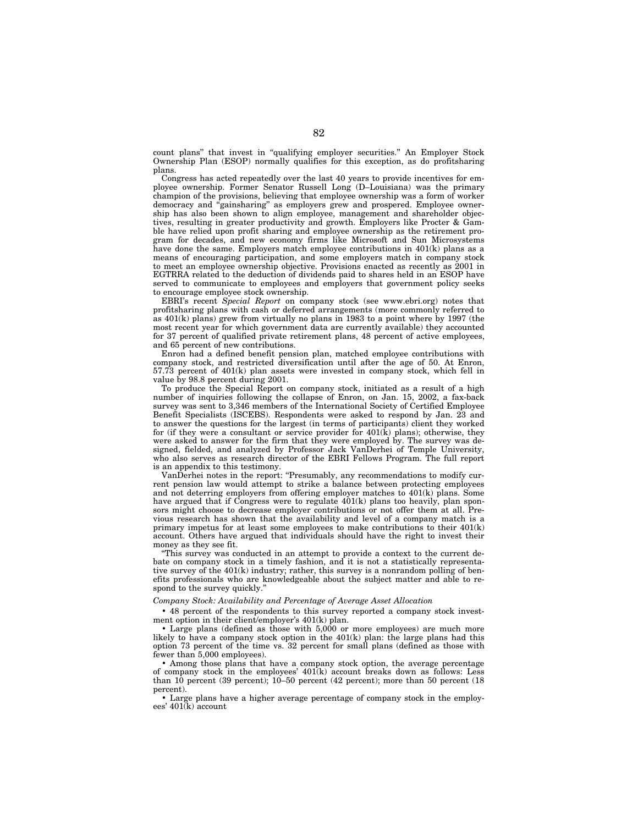count plans'' that invest in ''qualifying employer securities.'' An Employer Stock Ownership Plan (ESOP) normally qualifies for this exception, as do profitsharing plans.

Congress has acted repeatedly over the last 40 years to provide incentives for employee ownership. Former Senator Russell Long (D–Louisiana) was the primary champion of the provisions, believing that employee ownership was a form of worker democracy and ''gainsharing'' as employers grew and prospered. Employee ownership has also been shown to align employee, management and shareholder objectives, resulting in greater productivity and growth. Employers like Procter & Gamble have relied upon profit sharing and employee ownership as the retirement program for decades, and new economy firms like Microsoft and Sun Microsystems have done the same. Employers match employee contributions in 401(k) plans as a means of encouraging participation, and some employers match in company stock to meet an employee ownership objective. Provisions enacted as recently as 2001 in EGTRRA related to the deduction of dividends paid to shares held in an ESOP have served to communicate to employees and employers that government policy seeks to encourage employee stock ownership.

EBRI's recent *Special Report* on company stock (see www.ebri.org) notes that profitsharing plans with cash or deferred arrangements (more commonly referred to as  $401(k)$  plans) grew from virtually no plans in 1983 to a point where by 1997 (the most recent year for which government data are currently available) they accounted for 37 percent of qualified private retirement plans, 48 percent of active employees, and 65 percent of new contributions.

Enron had a defined benefit pension plan, matched employee contributions with company stock, and restricted diversification until after the age of 50. At Enron, 57.73 percent of 401(k) plan assets were invested in company stock, which fell in value by 98.8 percent during 2001.

To produce the Special Report on company stock, initiated as a result of a high number of inquiries following the collapse of Enron, on Jan. 15, 2002, a fax-back survey was sent to 3,346 members of the International Society of Certified Employee Benefit Specialists (ISCEBS). Respondents were asked to respond by Jan. 23 and to answer the questions for the largest (in terms of participants) client they worked for (if they were a consultant or service provider for  $401(\hat{k})$  plans); otherwise, they were asked to answer for the firm that they were employed by. The survey was designed, fielded, and analyzed by Professor Jack VanDerhei of Temple University, who also serves as research director of the EBRI Fellows Program. The full report is an appendix to this testimony.

VanDerhei notes in the report: ''Presumably, any recommendations to modify current pension law would attempt to strike a balance between protecting employees and not deterring employers from offering employer matches to  $401(k)$  plans. Some have argued that if Congress were to regulate  $401(k)$  plans too heavily, plan sponsors might choose to decrease employer contributions or not offer them at all. Previous research has shown that the availability and level of a company match is a primary impetus for at least some employees to make contributions to their 401(k) account. Others have argued that individuals should have the right to invest their money as they see fit.

''This survey was conducted in an attempt to provide a context to the current debate on company stock in a timely fashion, and it is not a statistically representative survey of the 401(k) industry; rather, this survey is a nonrandom polling of benefits professionals who are knowledgeable about the subject matter and able to respond to the survey quickly.

### *Company Stock: Availability and Percentage of Average Asset Allocation*

• 48 percent of the respondents to this survey reported a company stock investment option in their client/employer's 401(k) plan.

• Large plans (defined as those with 5,000 or more employees) are much more likely to have a company stock option in the 401(k) plan: the large plans had this option 73 percent of the time vs. 32 percent for small plans (defined as those with fewer than 5,000 employees).

• Among those plans that have a company stock option, the average percentage of company stock in the employees' 401(k) account breaks down as follows: Less than 10 percent (39 percent); 10–50 percent (42 percent); more than 50 percent (18 percent).

• Large plans have a higher average percentage of company stock in the employees' 401(k) account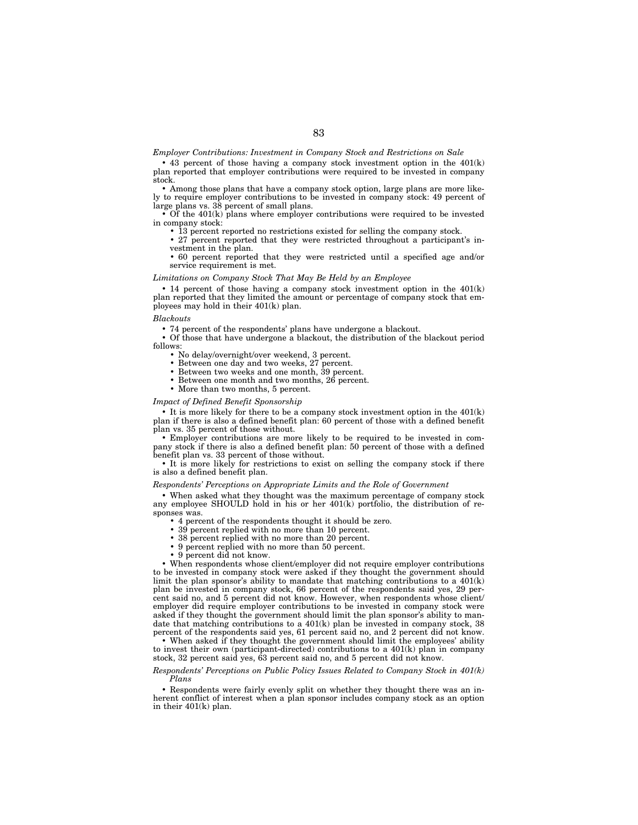*Employer Contributions: Investment in Company Stock and Restrictions on Sale*

• 43 percent of those having a company stock investment option in the  $401(k)$ plan reported that employer contributions were required to be invested in company stock.

• Among those plans that have a company stock option, large plans are more likely to require employer contributions to be invested in company stock: 49 percent of large plans vs. 38 percent of small plans.

• Of the  $401(k)$  plans where employer contributions were required to be invested in company stock:

• 13 percent reported no restrictions existed for selling the company stock.

• 27 percent reported that they were restricted throughout a participant's investment in the plan.

• 60 percent reported that they were restricted until a specified age and/or service requirement is met.

# *Limitations on Company Stock That May Be Held by an Employee*

 $\bullet$  14 percent of those having a company stock investment option in the  $401(k)$ plan reported that they limited the amount or percentage of company stock that employees may hold in their 401(k) plan.

## *Blackouts*

• 74 percent of the respondents' plans have undergone a blackout.

• Of those that have undergone a blackout, the distribution of the blackout period follows:

- No delay/overnight/over weekend, 3 percent.
- Between one day and two weeks, 27 percent.
- Between two weeks and one month, 39 percent.
- Between one month and two months, 26 percent.
- More than two months, 5 percent.

#### *Impact of Defined Benefit Sponsorship*

 $\bullet$  It is more likely for there to be a company stock investment option in the  $401(k)$ plan if there is also a defined benefit plan: 60 percent of those with a defined benefit plan vs. 35 percent of those without.

• Employer contributions are more likely to be required to be invested in company stock if there is also a defined benefit plan: 50 percent of those with a defined benefit plan vs. 33 percent of those without.

• It is more likely for restrictions to exist on selling the company stock if there is also a defined benefit plan.

# *Respondents' Perceptions on Appropriate Limits and the Role of Government*

• When asked what they thought was the maximum percentage of company stock any employee SHOULD hold in his or her 401(k) portfolio, the distribution of responses was.

• 4 percent of the respondents thought it should be zero.<br>• 39 percent replied with no more than 10 percent.

- 39 percent replied with no more than 10 percent.
- 38 percent replied with no more than 20 percent.
- 9 percent replied with no more than 50 percent.
- 9 percent did not know.

• When respondents whose client/employer did not require employer contributions to be invested in company stock were asked if they thought the government should limit the plan sponsor's ability to mandate that matching contributions to a  $401(k)$ plan be invested in company stock, 66 percent of the respondents said yes, 29 percent said no, and 5 percent did not know. However, when respondents whose client/ employer did require employer contributions to be invested in company stock were asked if they thought the government should limit the plan sponsor's ability to mandate that matching contributions to a 401(k) plan be invested in company stock, 38 percent of the respondents said yes, 61 percent said no, and 2 percent did not know.

• When asked if they thought the government should limit the employees' ability to invest their own (participant-directed) contributions to a 401(k) plan in company stock, 32 percent said yes, 63 percent said no, and 5 percent did not know.

### *Respondents' Perceptions on Public Policy Issues Related to Company Stock in 401(k) Plans*

• Respondents were fairly evenly split on whether they thought there was an inherent conflict of interest when a plan sponsor includes company stock as an option in their 401(k) plan.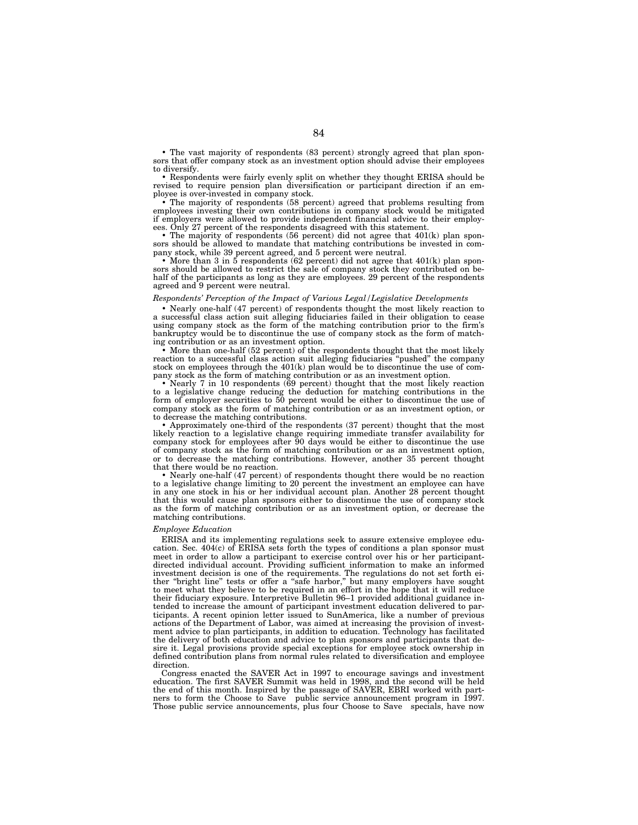• The vast majority of respondents (83 percent) strongly agreed that plan sponsors that offer company stock as an investment option should advise their employees to diversify.

• Respondents were fairly evenly split on whether they thought ERISA should be revised to require pension plan diversification or participant direction if an employee is over-invested in company stock.

• The majority of respondents (58 percent) agreed that problems resulting from employees investing their own contributions in company stock would be mitigated if employers were allowed to provide independent financial advice to their employees. Only 27 percent of the respondents disagreed with this statement.

• The majority of respondents (56 percent) did not agree that 401(k) plan sponsors should be allowed to mandate that matching contributions be invested in company stock, while 39 percent agreed, and 5 percent were neutral.

• More than 3 in 5 respondents (62 percent) did not agree that  $401(k)$  plan sponsors should be allowed to restrict the sale of company stock they contributed on behalf of the participants as long as they are employees. 29 percent of the respondents agreed and 9 percent were neutral.

# *Respondents' Perception of the Impact of Various Legal/Legislative Developments*

• Nearly one-half (47 percent) of respondents thought the most likely reaction to a successful class action suit alleging fiduciaries failed in their obligation to cease using company stock as the form of the matching contribution prior to the firm's bankruptcy would be to discontinue the use of company stock as the form of matching contribution or as an investment option.

• More than one-half (52 percent) of the respondents thought that the most likely reaction to a successful class action suit alleging fiduciaries ''pushed'' the company stock on employees through the 401(k) plan would be to discontinue the use of company stock as the form of matching contribution or as an investment option.

• Nearly 7 in 10 respondents (69 percent) thought that the most likely reaction to a legislative change reducing the deduction for matching contributions in the form of employer securities to 50 percent would be either to discontinue the use of company stock as the form of matching contribution or as an investment option, or to decrease the matching contributions.

• Approximately one-third of the respondents (37 percent) thought that the most likely reaction to a legislative change requiring immediate transfer availability for company stock for employees after 90 days would be either to discontinue the use of company stock as the form of matching contribution or as an investment option, or to decrease the matching contributions. However, another 35 percent thought that there would be no reaction.

• Nearly one-half (47 percent) of respondents thought there would be no reaction to a legislative change limiting to 20 percent the investment an employee can have in any one stock in his or her individual account plan. Another 28 percent thought that this would cause plan sponsors either to discontinue the use of company stock as the form of matching contribution or as an investment option, or decrease the matching contributions.

#### *Employee Education*

ERISA and its implementing regulations seek to assure extensive employee education. Sec.  $404(c)$  of ERISA sets forth the types of conditions a plan sponsor must meet in order to allow a participant to exercise control over his or her participantdirected individual account. Providing sufficient information to make an informed investment decision is one of the requirements. The regulations do not set forth either ''bright line'' tests or offer a ''safe harbor,'' but many employers have sought to meet what they believe to be required in an effort in the hope that it will reduce their fiduciary exposure. Interpretive Bulletin 96–1 provided additional guidance intended to increase the amount of participant investment education delivered to participants. A recent opinion letter issued to SunAmerica, like a number of previous actions of the Department of Labor, was aimed at increasing the provision of investment advice to plan participants, in addition to education. Technology has facilitated the delivery of both education and advice to plan sponsors and participants that desire it. Legal provisions provide special exceptions for employee stock ownership in defined contribution plans from normal rules related to diversification and employee direction.

Congress enacted the SAVER Act in 1997 to encourage savings and investment education. The first SAVER Summit was held in 1998, and the second will be held the end of this month. Inspired by the passage of SAVER, EBRI worked with part-<br>ners to form the Choose to Save® public service announcement program in 1997. Those public service announcements, plus four Choose to Save<sup>®</sup> specials, have now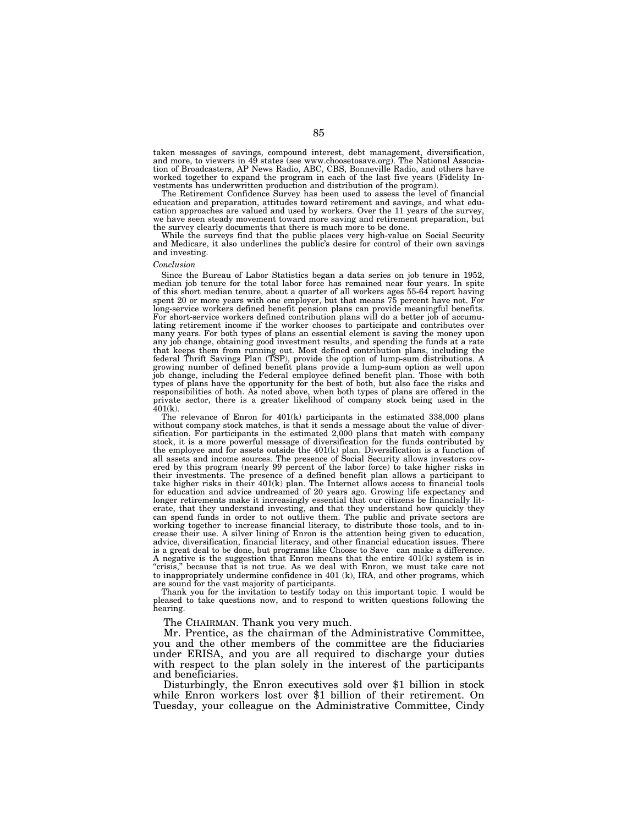taken messages of savings, compound interest, debt management, diversification, and more, to viewers in 49 states (see www.choosetosave.org). The National Association of Broadcasters, AP News Radio, ABC, CBS, Bonneville Radio, and others have worked together to expand the program in each of the last five years (Fidelity Investments has underwritten production and distribution of the program).

The Retirement Confidence Survey has been used to assess the level of financial education and preparation, attitudes toward retirement and savings, and what education approaches are valued and used by workers. Over the 11 years of the survey, we have seen steady movement toward more saving and retirement preparation, but the survey clearly documents that there is much more to be done.

While the surveys find that the public places very high-value on Social Security and Medicare, it also underlines the public's desire for control of their own savings and investing.

## *Conclusion*

Since the Bureau of Labor Statistics began a data series on job tenure in 1952, median job tenure for the total labor force has remained near four years. In spite of this short median tenure, about a quarter of all workers ages 55-64 report having spent 20 or more years with one employer, but that means 75 percent have not. For long-service workers defined benefit pension plans can provide meaningful benefits. For short-service workers defined contribution plans will do a better job of accumulating retirement income if the worker chooses to participate and contributes over many years. For both types of plans an essential element is saving the money upon any job change, obtaining good investment results, and spending the funds at a rate that keeps them from running out. Most defined contribution plans, including the federal Thrift Savings Plan (TSP), provide the option of lump-sum distributions. A growing number of defined benefit plans provide a lump-sum option as well upon job change, including the Federal employee defined benefit plan. Those with both types of plans have the opportunity for the best of both, but also face the risks and responsibilities of both. As noted above, when both types of plans are offered in the private sector, there is a greater likelihood of company stock being used in the 401(k).

The relevance of Enron for 401(k) participants in the estimated 338,000 plans without company stock matches, is that it sends a message about the value of diversification. For participants in the estimated 2,000 plans that match with company stock, it is a more powerful message of diversification for the funds contributed by the employee and for assets outside the  $401(k)$  plan. Diversification is a function of all assets and income sources. The presence of Social Security allows investors covered by this program (nearly 99 percent of the labor force) to take higher risks in their investments. The presence of a defined benefit plan allows a participant to take higher risks in their  $401(k)$  plan. The Internet allows access to financial tools for education and advice undreamed of 20 years ago. Growing life expectancy and longer retirements make it increasingly essential that our citizens be financially literate, that they understand investing, and that they understand how quickly they can spend funds in order to not outlive them. The public and private sectors are working together to increase financial literacy, to distribute those tools, and to increase their use. A silver lining of Enron is the attention being given to education, advice, diversification, financial literacy, and other financial education issues. There is a great deal to be done, but programs like Choose to Save<sup>®</sup> can make a difference. A negative is the suggestion that Enron means that the entire 401(k) system is in ''crisis,'' because that is not true. As we deal with Enron, we must take care not to inappropriately undermine confidence in 401 (k), IRA, and other programs, which are sound for the vast majority of participants.

Thank you for the invitation to testify today on this important topic. I would be pleased to take questions now, and to respond to written questions following the hearing.

The CHAIRMAN. Thank you very much.

Mr. Prentice, as the chairman of the Administrative Committee, you and the other members of the committee are the fiduciaries under ERISA, and you are all required to discharge your duties with respect to the plan solely in the interest of the participants and beneficiaries.

Disturbingly, the Enron executives sold over \$1 billion in stock while Enron workers lost over \$1 billion of their retirement. On Tuesday, your colleague on the Administrative Committee, Cindy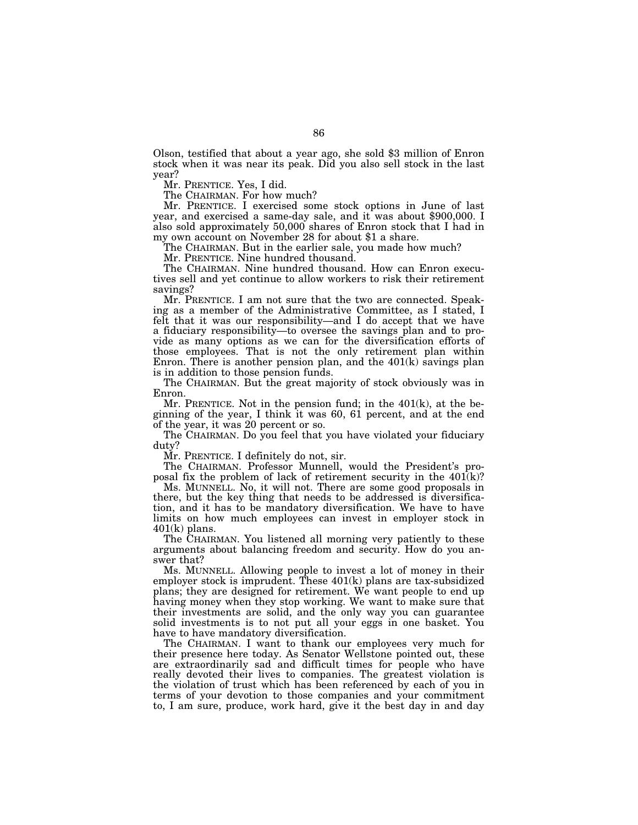Olson, testified that about a year ago, she sold \$3 million of Enron stock when it was near its peak. Did you also sell stock in the last year?

Mr. PRENTICE. Yes, I did.

The CHAIRMAN. For how much?<br>Mr. PRENTICE. I exercised some stock options in June of last year, and exercised a same-day sale, and it was about \$900,000. I also sold approximately 50,000 shares of Enron stock that I had in my own account on November 28 for about \$1 a share.

The CHAIRMAN. But in the earlier sale, you made how much?

Mr. PRENTICE. Nine hundred thousand.

The CHAIRMAN. Nine hundred thousand. How can Enron executives sell and yet continue to allow workers to risk their retirement savings?

Mr. PRENTICE. I am not sure that the two are connected. Speaking as a member of the Administrative Committee, as I stated, I felt that it was our responsibility—and I do accept that we have a fiduciary responsibility—to oversee the savings plan and to provide as many options as we can for the diversification efforts of those employees. That is not the only retirement plan within Enron. There is another pension plan, and the  $401(k)$  savings plan is in addition to those pension funds.

The CHAIRMAN. But the great majority of stock obviously was in Enron.

Mr. PRENTICE. Not in the pension fund; in the  $401(k)$ , at the beginning of the year, I think it was 60, 61 percent, and at the end of the year, it was 20 percent or so.

The CHAIRMAN. Do you feel that you have violated your fiduciary duty?

Mr. PRENTICE. I definitely do not, sir.

The CHAIRMAN. Professor Munnell, would the President's proposal fix the problem of lack of retirement security in the  $401(k)$ ?

Ms. MUNNELL. No, it will not. There are some good proposals in there, but the key thing that needs to be addressed is diversification, and it has to be mandatory diversification. We have to have limits on how much employees can invest in employer stock in  $401(k)$  plans.

The CHAIRMAN. You listened all morning very patiently to these arguments about balancing freedom and security. How do you answer that?

Ms. MUNNELL. Allowing people to invest a lot of money in their employer stock is imprudent. These 401(k) plans are tax-subsidized plans; they are designed for retirement. We want people to end up having money when they stop working. We want to make sure that their investments are solid, and the only way you can guarantee solid investments is to not put all your eggs in one basket. You have to have mandatory diversification.

The CHAIRMAN. I want to thank our employees very much for their presence here today. As Senator Wellstone pointed out, these are extraordinarily sad and difficult times for people who have really devoted their lives to companies. The greatest violation is the violation of trust which has been referenced by each of you in terms of your devotion to those companies and your commitment to, I am sure, produce, work hard, give it the best day in and day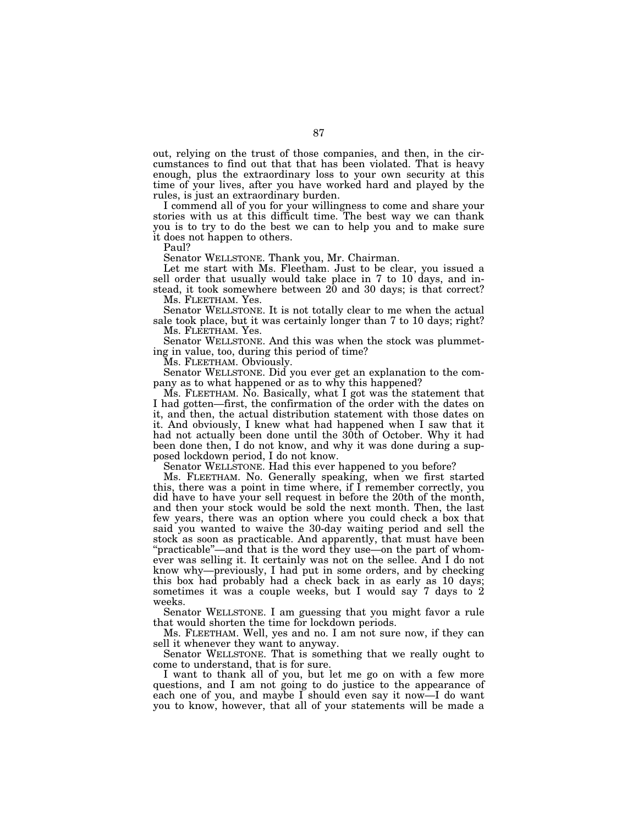out, relying on the trust of those companies, and then, in the circumstances to find out that that has been violated. That is heavy enough, plus the extraordinary loss to your own security at this time of your lives, after you have worked hard and played by the rules, is just an extraordinary burden.

I commend all of you for your willingness to come and share your stories with us at this difficult time. The best way we can thank you is to try to do the best we can to help you and to make sure it does not happen to others.

Paul?

Senator WELLSTONE. Thank you, Mr. Chairman.

Let me start with Ms. Fleetham. Just to be clear, you issued a sell order that usually would take place in 7 to  $10^{6}$  days, and instead, it took somewhere between 20 and 30 days; is that correct?

Ms. FLEETHAM. Yes.

Senator WELLSTONE. It is not totally clear to me when the actual sale took place, but it was certainly longer than 7 to 10 days; right? Ms. FLEETHAM. Yes.

Senator WELLSTONE. And this was when the stock was plummeting in value, too, during this period of time?

Ms. FLEETHAM. Obviously.

Senator WELLSTONE. Did you ever get an explanation to the company as to what happened or as to why this happened?

Ms. FLEETHAM. No. Basically, what I got was the statement that I had gotten—first, the confirmation of the order with the dates on it, and then, the actual distribution statement with those dates on it. And obviously, I knew what had happened when I saw that it had not actually been done until the 30th of October. Why it had been done then, I do not know, and why it was done during a supposed lockdown period, I do not know.

Senator WELLSTONE. Had this ever happened to you before?

Ms. FLEETHAM. No. Generally speaking, when we first started this, there was a point in time where, if I remember correctly, you did have to have your sell request in before the 20th of the month, and then your stock would be sold the next month. Then, the last few years, there was an option where you could check a box that said you wanted to waive the 30-day waiting period and sell the stock as soon as practicable. And apparently, that must have been ''practicable''—and that is the word they use—on the part of whomever was selling it. It certainly was not on the sellee. And I do not know why—previously, I had put in some orders, and by checking this box had probably had a check back in as early as 10 days; sometimes it was a couple weeks, but I would say 7 days to 2 weeks.

Senator WELLSTONE. I am guessing that you might favor a rule that would shorten the time for lockdown periods.

Ms. FLEETHAM. Well, yes and no. I am not sure now, if they can sell it whenever they want to anyway.

Senator WELLSTONE. That is something that we really ought to come to understand, that is for sure.

I want to thank all of you, but let me go on with a few more questions, and I am not going to do justice to the appearance of each one of you, and maybe I should even say it now—I do want you to know, however, that all of your statements will be made a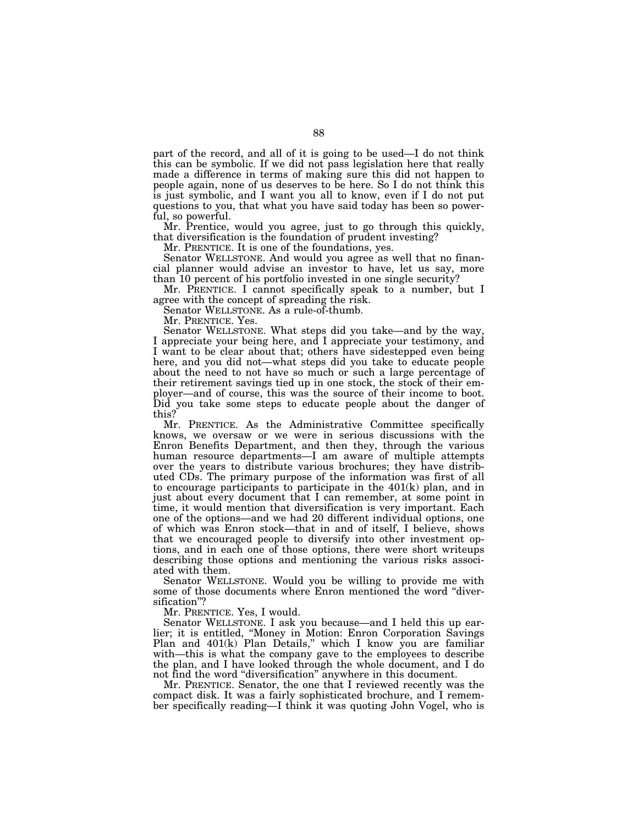part of the record, and all of it is going to be used—I do not think this can be symbolic. If we did not pass legislation here that really made a difference in terms of making sure this did not happen to people again, none of us deserves to be here. So I do not think this is just symbolic, and I want you all to know, even if I do not put questions to you, that what you have said today has been so powerful, so powerful.

Mr. Prentice, would you agree, just to go through this quickly, that diversification is the foundation of prudent investing?

Mr. PRENTICE. It is one of the foundations, yes.

Senator WELLSTONE. And would you agree as well that no financial planner would advise an investor to have, let us say, more than 10 percent of his portfolio invested in one single security?

Mr. PRENTICE. I cannot specifically speak to a number, but I agree with the concept of spreading the risk.

Senator WELLSTONE. As a rule-of-thumb.

Mr. PRENTICE. Yes.

Senator WELLSTONE. What steps did you take—and by the way, I appreciate your being here, and I appreciate your testimony, and I want to be clear about that; others have sidestepped even being here, and you did not—what steps did you take to educate people about the need to not have so much or such a large percentage of their retirement savings tied up in one stock, the stock of their employer—and of course, this was the source of their income to boot. Did you take some steps to educate people about the danger of this?

Mr. PRENTICE. As the Administrative Committee specifically knows, we oversaw or we were in serious discussions with the Enron Benefits Department, and then they, through the various human resource departments—I am aware of multiple attempts over the years to distribute various brochures; they have distributed CDs. The primary purpose of the information was first of all to encourage participants to participate in the 401(k) plan, and in just about every document that I can remember, at some point in time, it would mention that diversification is very important. Each one of the options—and we had 20 different individual options, one of which was Enron stock—that in and of itself, I believe, shows that we encouraged people to diversify into other investment options, and in each one of those options, there were short writeups describing those options and mentioning the various risks associated with them.

Senator WELLSTONE. Would you be willing to provide me with some of those documents where Enron mentioned the word "diversification''?

Mr. PRENTICE. Yes, I would.

Senator WELLSTONE. I ask you because—and I held this up earlier; it is entitled, ''Money in Motion: Enron Corporation Savings Plan and 401(k) Plan Details,'' which I know you are familiar with—this is what the company gave to the employees to describe the plan, and I have looked through the whole document, and I do not find the word ''diversification'' anywhere in this document.

Mr. PRENTICE. Senator, the one that I reviewed recently was the compact disk. It was a fairly sophisticated brochure, and I remember specifically reading—I think it was quoting John Vogel, who is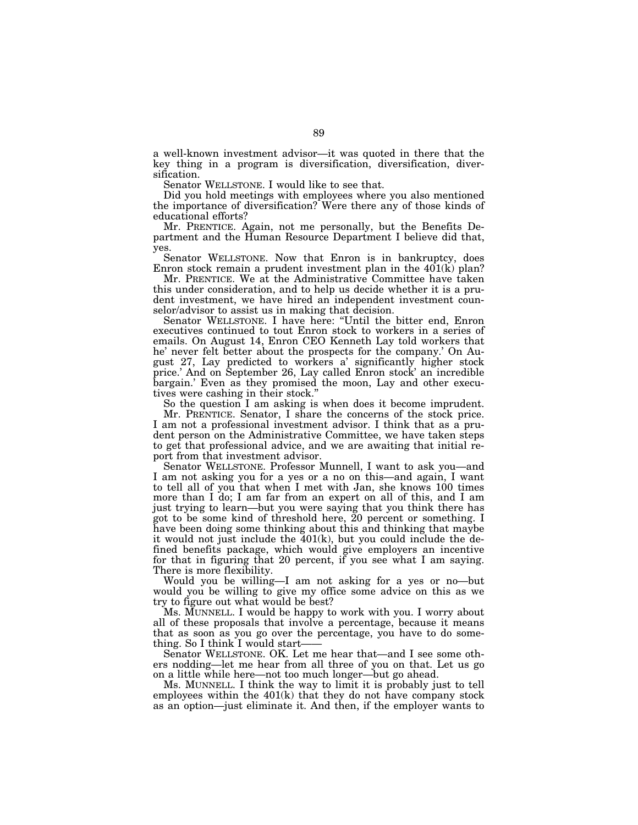a well-known investment advisor—it was quoted in there that the key thing in a program is diversification, diversification, diversification.

Senator WELLSTONE. I would like to see that.

Did you hold meetings with employees where you also mentioned the importance of diversification? Were there any of those kinds of educational efforts?

Mr. PRENTICE. Again, not me personally, but the Benefits Department and the Human Resource Department I believe did that, yes.

Senator WELLSTONE. Now that Enron is in bankruptcy, does Enron stock remain a prudent investment plan in the 401(k) plan?

Mr. PRENTICE. We at the Administrative Committee have taken this under consideration, and to help us decide whether it is a prudent investment, we have hired an independent investment counselor/advisor to assist us in making that decision.

Senator WELLSTONE. I have here: ''Until the bitter end, Enron executives continued to tout Enron stock to workers in a series of emails. On August 14, Enron CEO Kenneth Lay told workers that he' never felt better about the prospects for the company.' On August 27, Lay predicted to workers a' significantly higher stock price.' And on September 26, Lay called Enron stock' an incredible bargain.' Even as they promised the moon, Lay and other executives were cashing in their stock.''

So the question I am asking is when does it become imprudent.

Mr. PRENTICE. Senator, I share the concerns of the stock price. I am not a professional investment advisor. I think that as a prudent person on the Administrative Committee, we have taken steps to get that professional advice, and we are awaiting that initial report from that investment advisor.

Senator WELLSTONE. Professor Munnell, I want to ask you—and I am not asking you for a yes or a no on this—and again, I want to tell all of you that when I met with Jan, she knows 100 times more than I do; I am far from an expert on all of this, and I am just trying to learn—but you were saying that you think there has got to be some kind of threshold here,  $\overline{2}0$  percent or something. I have been doing some thinking about this and thinking that maybe it would not just include the 401(k), but you could include the defined benefits package, which would give employers an incentive for that in figuring that 20 percent, if you see what I am saying. There is more flexibility.

Would you be willing—I am not asking for a yes or no—but would you be willing to give my office some advice on this as we try to figure out what would be best?

Ms. MUNNELL. I would be happy to work with you. I worry about all of these proposals that involve a percentage, because it means that as soon as you go over the percentage, you have to do something. So I think I would start-

Senator WELLSTONE. OK. Let me hear that—and I see some others nodding—let me hear from all three of you on that. Let us go on a little while here—not too much longer—but go ahead.

Ms. MUNNELL. I think the way to limit it is probably just to tell employees within the  $401(k)$  that they do not have company stock as an option—just eliminate it. And then, if the employer wants to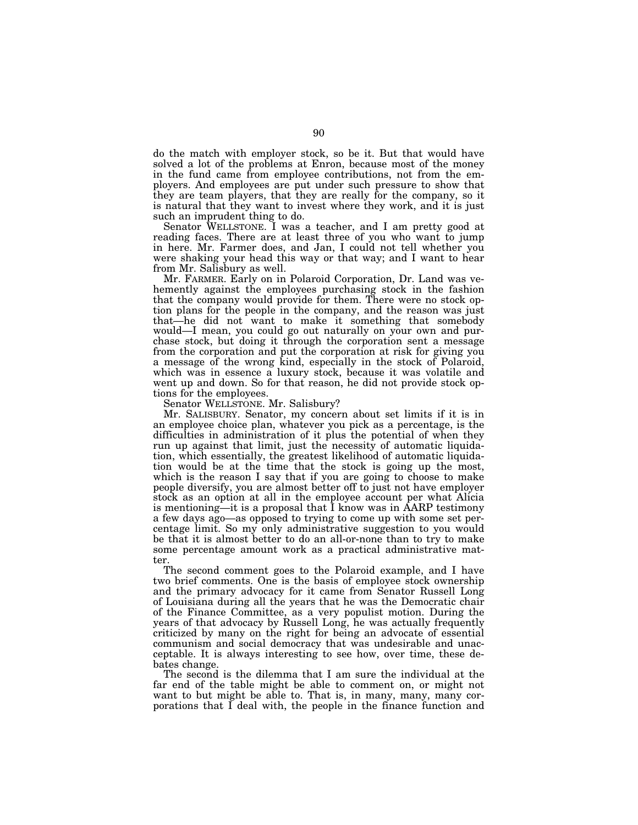do the match with employer stock, so be it. But that would have solved a lot of the problems at Enron, because most of the money in the fund came from employee contributions, not from the employers. And employees are put under such pressure to show that they are team players, that they are really for the company, so it is natural that they want to invest where they work, and it is just such an imprudent thing to do.

Senator WELLSTONE. I was a teacher, and I am pretty good at reading faces. There are at least three of you who want to jump in here. Mr. Farmer does, and Jan, I could not tell whether you were shaking your head this way or that way; and I want to hear from Mr. Salisbury as well.

Mr. FARMER. Early on in Polaroid Corporation, Dr. Land was vehemently against the employees purchasing stock in the fashion that the company would provide for them. There were no stock option plans for the people in the company, and the reason was just that—he did not want to make it something that somebody would—I mean, you could go out naturally on your own and purchase stock, but doing it through the corporation sent a message from the corporation and put the corporation at risk for giving you a message of the wrong kind, especially in the stock of Polaroid, which was in essence a luxury stock, because it was volatile and went up and down. So for that reason, he did not provide stock options for the employees.

Senator WELLSTONE. Mr. Salisbury?

Mr. SALISBURY. Senator, my concern about set limits if it is in an employee choice plan, whatever you pick as a percentage, is the difficulties in administration of it plus the potential of when they run up against that limit, just the necessity of automatic liquidation, which essentially, the greatest likelihood of automatic liquidation would be at the time that the stock is going up the most, which is the reason I say that if you are going to choose to make people diversify, you are almost better off to just not have employer stock as an option at all in the employee account per what Alicia is mentioning—it is a proposal that I know was in AARP testimony a few days ago—as opposed to trying to come up with some set percentage limit. So my only administrative suggestion to you would be that it is almost better to do an all-or-none than to try to make some percentage amount work as a practical administrative matter.

The second comment goes to the Polaroid example, and I have two brief comments. One is the basis of employee stock ownership and the primary advocacy for it came from Senator Russell Long of Louisiana during all the years that he was the Democratic chair of the Finance Committee, as a very populist motion. During the years of that advocacy by Russell Long, he was actually frequently criticized by many on the right for being an advocate of essential communism and social democracy that was undesirable and unacceptable. It is always interesting to see how, over time, these debates change.

The second is the dilemma that I am sure the individual at the far end of the table might be able to comment on, or might not want to but might be able to. That is, in many, many, many corporations that I deal with, the people in the finance function and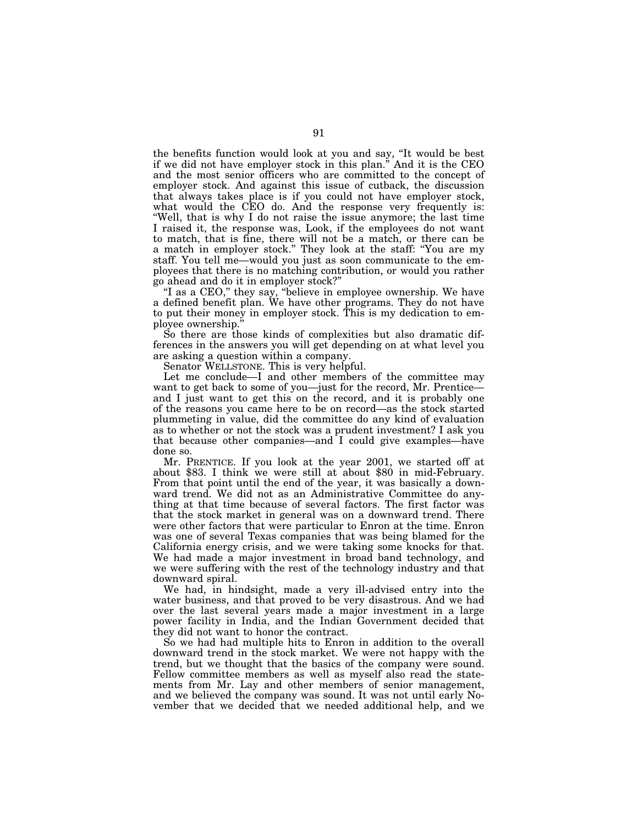the benefits function would look at you and say, ''It would be best if we did not have employer stock in this plan.'' And it is the CEO and the most senior officers who are committed to the concept of employer stock. And against this issue of cutback, the discussion that always takes place is if you could not have employer stock, what would the CEO do. And the response very frequently is: ''Well, that is why I do not raise the issue anymore; the last time I raised it, the response was, Look, if the employees do not want to match, that is fine, there will not be a match, or there can be a match in employer stock.'' They look at the staff: ''You are my staff. You tell me—would you just as soon communicate to the employees that there is no matching contribution, or would you rather go ahead and do it in employer stock?''

"I as a CEO," they say, "believe in employee ownership. We have a defined benefit plan. We have other programs. They do not have to put their money in employer stock. This is my dedication to employee ownership.''

So there are those kinds of complexities but also dramatic differences in the answers you will get depending on at what level you are asking a question within a company.

Senator WELLSTONE. This is very helpful.

Let me conclude—I and other members of the committee may want to get back to some of you—just for the record, Mr. Prentice and I just want to get this on the record, and it is probably one of the reasons you came here to be on record—as the stock started plummeting in value, did the committee do any kind of evaluation as to whether or not the stock was a prudent investment? I ask you that because other companies—and I could give examples—have done so.

Mr. PRENTICE. If you look at the year 2001, we started off at about \$83. I think we were still at about \$80 in mid-February. From that point until the end of the year, it was basically a downward trend. We did not as an Administrative Committee do anything at that time because of several factors. The first factor was that the stock market in general was on a downward trend. There were other factors that were particular to Enron at the time. Enron was one of several Texas companies that was being blamed for the California energy crisis, and we were taking some knocks for that. We had made a major investment in broad band technology, and we were suffering with the rest of the technology industry and that downward spiral.

We had, in hindsight, made a very ill-advised entry into the water business, and that proved to be very disastrous. And we had over the last several years made a major investment in a large power facility in India, and the Indian Government decided that they did not want to honor the contract.

So we had had multiple hits to Enron in addition to the overall downward trend in the stock market. We were not happy with the trend, but we thought that the basics of the company were sound. Fellow committee members as well as myself also read the statements from Mr. Lay and other members of senior management, and we believed the company was sound. It was not until early November that we decided that we needed additional help, and we